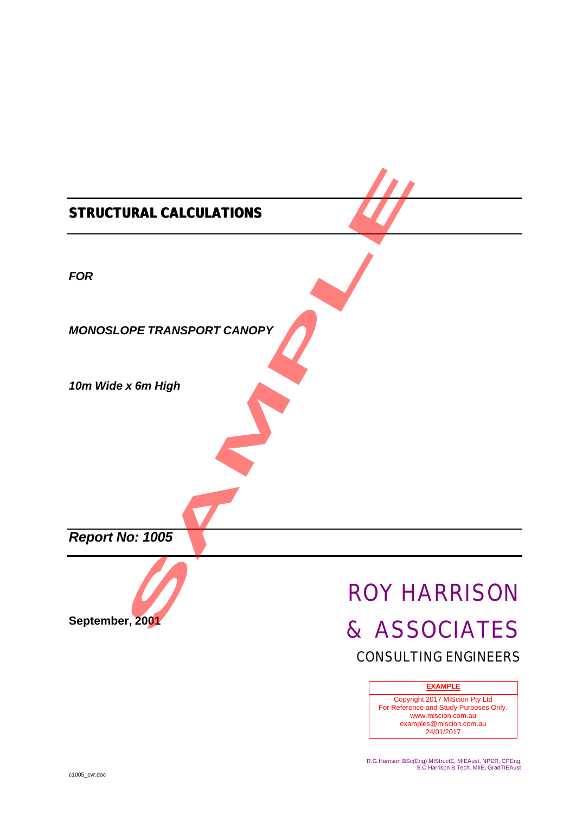| <b>STRUCTURAL CALCULATIONS</b>    |                                             |
|-----------------------------------|---------------------------------------------|
| <b>FOR</b>                        |                                             |
| <b>MONOSLOPE TRANSPORT CANOPY</b> |                                             |
| 10m Wide x 6m High                |                                             |
|                                   |                                             |
| Report No: 1005                   |                                             |
|                                   | <b>ROY HARRISON</b>                         |
| September, 2001                   | & ASSOCIATES<br><b>CONSULTING ENGINEERS</b> |

### **EXAMPLE**

Copyright 2017 MiScion Pty Ltd For Reference and Study Purposes Only. www.miscion.com.au examples@miscion.com.au 24/01/2017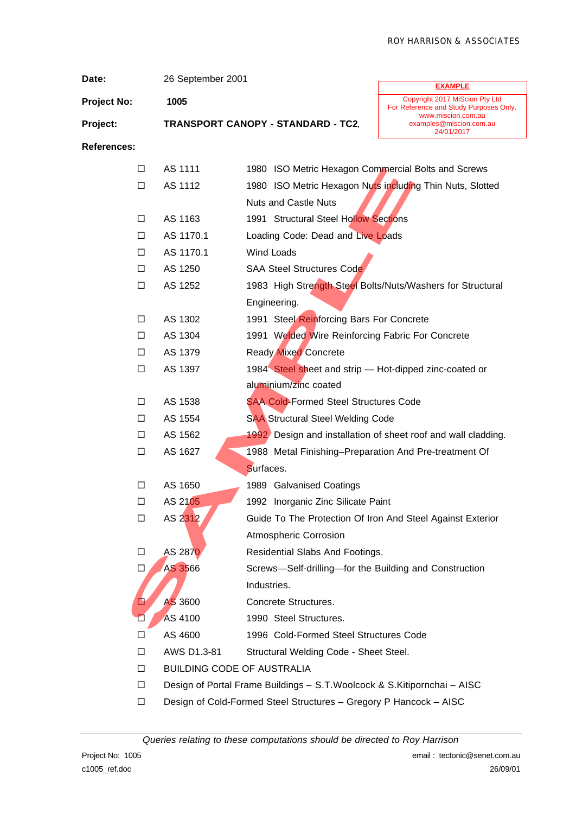| Date:              | 26 September 2001 |                                                                          |                                                                                                       |
|--------------------|-------------------|--------------------------------------------------------------------------|-------------------------------------------------------------------------------------------------------|
| <b>Project No:</b> | 1005              |                                                                          | <b>EXAMPLE</b><br>Copyright 2017 MiScion Pty Ltd                                                      |
| Project:           |                   | <b>TRANSPORT CANOPY - STANDARD - TC2,</b>                                | For Reference and Study Purposes Only.<br>www.miscion.com.au<br>examples@miscion.com.au<br>24/01/2017 |
| <b>References:</b> |                   |                                                                          |                                                                                                       |
| □                  | AS 1111           | 1980 ISO Metric Hexagon Commercial Bolts and Screws                      |                                                                                                       |
| □                  | AS 1112           | 1980 ISO Metric Hexagon Nuts including Thin Nuts, Slotted                |                                                                                                       |
|                    |                   | <b>Nuts and Castle Nuts</b>                                              |                                                                                                       |
| □                  | AS 1163           | 1991 Structural Steel Hollow Sections                                    |                                                                                                       |
| □                  | AS 1170.1         | Loading Code: Dead and Live Loads                                        |                                                                                                       |
| □                  | AS 1170.1         | Wind Loads                                                               |                                                                                                       |
| □                  | AS 1250           | <b>SAA Steel Structures Code</b>                                         |                                                                                                       |
| $\Box$             | AS 1252           | 1983 High Strength Steel Bolts/Nuts/Washers for Structural               |                                                                                                       |
|                    |                   | Engineering.                                                             |                                                                                                       |
| □                  | AS 1302           | 1991 Steel Reinforcing Bars For Concrete                                 |                                                                                                       |
| $\Box$             | AS 1304           | 1991 Welded Wire Reinforcing Fabric For Concrete                         |                                                                                                       |
| □                  | AS 1379           | <b>Ready Mixed Concrete</b>                                              |                                                                                                       |
| $\Box$             | AS 1397           | 1984 Steel sheet and strip - Hot-dipped zinc-coated or                   |                                                                                                       |
|                    |                   | aluminium/zinc coated                                                    |                                                                                                       |
| □                  | AS 1538           | <b>SAA Cold-Formed Steel Structures Code</b>                             |                                                                                                       |
| $\Box$             | AS 1554           | <b>SAA Structural Steel Welding Code</b>                                 |                                                                                                       |
| □                  | AS 1562           | 1992 Design and installation of sheet roof and wall cladding.            |                                                                                                       |
| $\Box$             | AS 1627           | 1988 Metal Finishing-Preparation And Pre-treatment Of                    |                                                                                                       |
|                    |                   | Surfaces.                                                                |                                                                                                       |
| □                  | AS 1650           | 1989 Galvanised Coatings                                                 |                                                                                                       |
| ⊔                  | AS 2105           | 1992 Inorganic Zinc Silicate Paint                                       |                                                                                                       |
| $\Box$             | AS 2312           | Guide To The Protection Of Iron And Steel Against Exterior               |                                                                                                       |
|                    |                   | <b>Atmospheric Corrosion</b>                                             |                                                                                                       |
| □                  | AS 2870           | Residential Slabs And Footings.                                          |                                                                                                       |
| □                  | AS 3566           | Screws-Self-drilling-for the Building and Construction                   |                                                                                                       |
|                    |                   | Industries.                                                              |                                                                                                       |
| □                  | AS 3600           | Concrete Structures.                                                     |                                                                                                       |
|                    | AS 4100           | 1990 Steel Structures.                                                   |                                                                                                       |
| □                  | AS 4600           | 1996 Cold-Formed Steel Structures Code                                   |                                                                                                       |
| □                  | AWS D1.3-81       | Structural Welding Code - Sheet Steel.                                   |                                                                                                       |
| □                  |                   | <b>BUILDING CODE OF AUSTRALIA</b>                                        |                                                                                                       |
| □                  |                   | Design of Portal Frame Buildings - S.T. Woolcock & S.Kitipornchai - AISC |                                                                                                       |
| □                  |                   | Design of Cold-Formed Steel Structures - Gregory P Hancock - AISC        |                                                                                                       |

*Queries relating to these computations should be directed to Roy Harrison*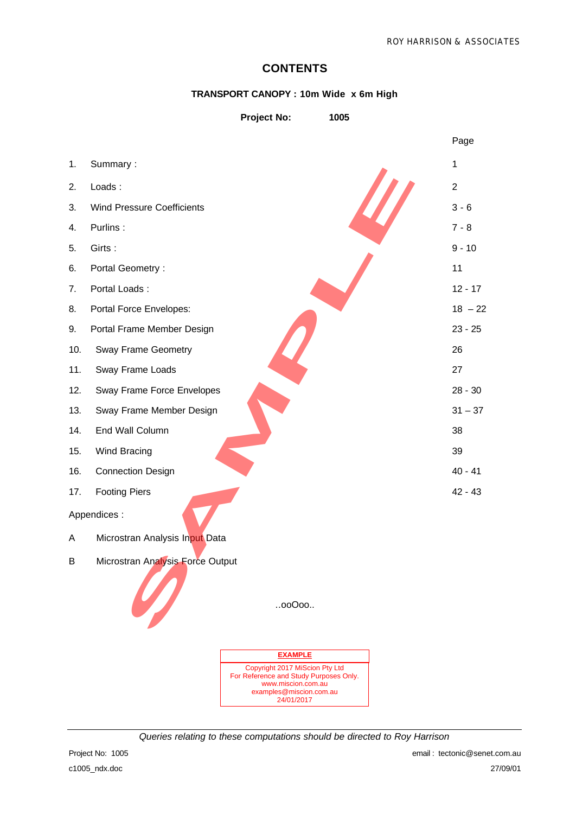## **CONTENTS**

## **TRANSPORT CANOPY : 10m Wide x 6m High**

| <b>Project No:</b> | 1005 |
|--------------------|------|

|     |                                   |                                                              | Page           |
|-----|-----------------------------------|--------------------------------------------------------------|----------------|
| 1.  | Summary:                          |                                                              | $\mathbf{1}$   |
| 2.  | Loads:                            |                                                              | $\overline{2}$ |
| 3.  | <b>Wind Pressure Coefficients</b> |                                                              | $3 - 6$        |
| 4.  | Purlins:                          |                                                              | $7 - 8$        |
| 5.  | Girts:                            |                                                              | $9 - 10$       |
| 6.  | Portal Geometry:                  |                                                              | 11             |
| 7.  | Portal Loads:                     |                                                              | $12 - 17$      |
| 8.  | Portal Force Envelopes:           |                                                              | $18 - 22$      |
| 9.  | Portal Frame Member Design        |                                                              | $23 - 25$      |
| 10. | Sway Frame Geometry               |                                                              | 26             |
| 11. | Sway Frame Loads                  |                                                              | 27             |
| 12. | Sway Frame Force Envelopes        |                                                              | $28 - 30$      |
| 13. | Sway Frame Member Design          |                                                              | $31 - 37$      |
| 14. | End Wall Column                   |                                                              | 38             |
| 15. | Wind Bracing                      |                                                              | 39             |
| 16. | <b>Connection Design</b>          |                                                              | $40 - 41$      |
| 17. | <b>Footing Piers</b>              |                                                              | $42 - 43$      |
|     | Appendices :                      |                                                              |                |
| A   | Microstran Analysis Input Data    |                                                              |                |
| В   | Microstran Analysis Force Output  |                                                              |                |
|     |                                   |                                                              |                |
|     | W                                 | 00000                                                        |                |
|     |                                   |                                                              |                |
|     |                                   |                                                              |                |
|     |                                   | <b>EXAMPLE</b><br>Copyright 2017 MiScion Pty Ltd             |                |
|     |                                   | For Reference and Study Purposes Only.<br>www.miscion.com.au |                |
|     |                                   | examples@miscion.com.au<br>24/01/2017                        |                |



*Queries relating to these computations should be directed to Roy Harrison*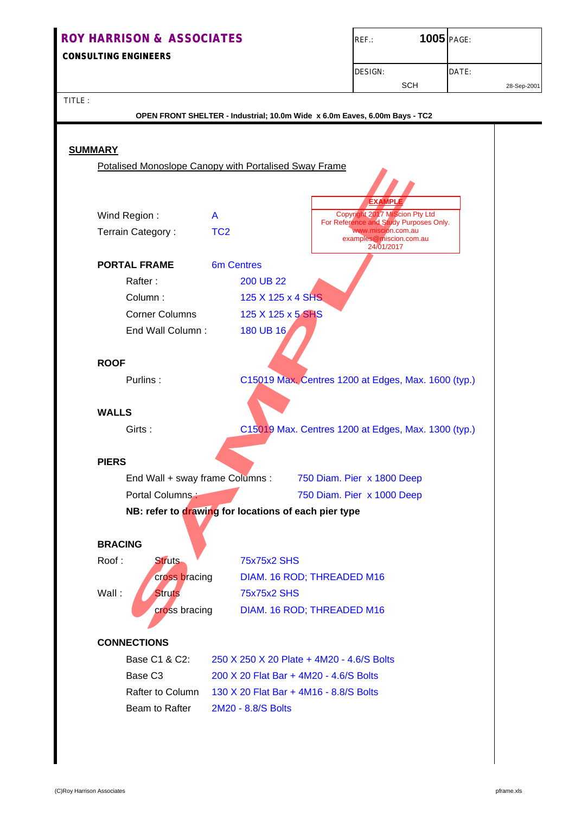## **ROY HARRISON & ASSOCIATES ROY HARRISON & ASSOCIATES CONSULTING ENGINEERS ENGINEERS** DESIGN: DATE: SCH 28-Sep-2001 TITLE :

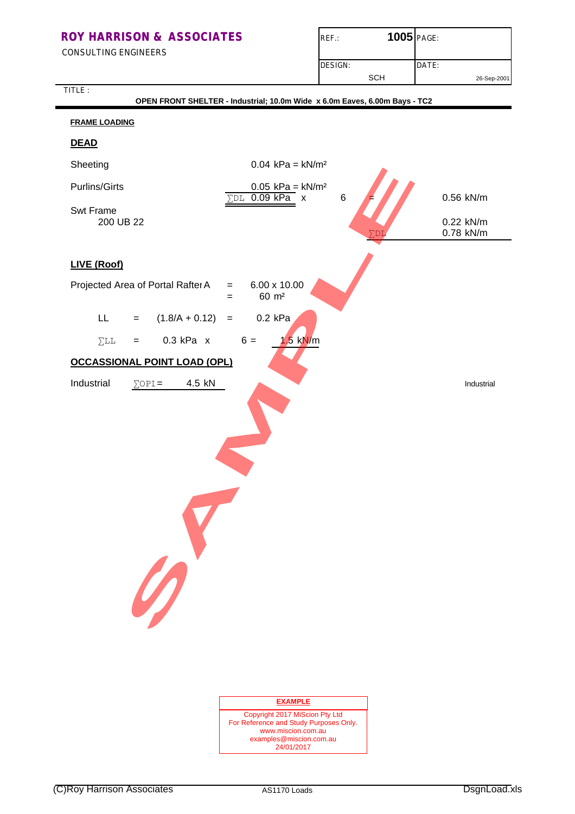CONSULTING ENGINEERS

TITLE :

| $REF$ :        | 1005 PAGE: |             |  |
|----------------|------------|-------------|--|
| <b>DESIGN:</b> |            | DATE:       |  |
|                | <b>SCH</b> | 26-Sep-2001 |  |

| OPEN FRONT SHELTER - Industrial; 10.0m Wide x 6.0m Eaves, 6.00m Bays - TC2 |                                                                             |           |  |  |  |  |  |
|----------------------------------------------------------------------------|-----------------------------------------------------------------------------|-----------|--|--|--|--|--|
| <b>FRAME LOADING</b>                                                       |                                                                             |           |  |  |  |  |  |
| <b>DEAD</b>                                                                |                                                                             |           |  |  |  |  |  |
| Sheeting                                                                   | $0.04$ kPa = kN/m <sup>2</sup>                                              |           |  |  |  |  |  |
| <b>Purlins/Girts</b>                                                       | $0.05$ kPa = kN/m <sup>2</sup><br>$\Sigma$ DL 0.09 kPa<br>6<br>$\mathbf{x}$ | 0.56 kN/m |  |  |  |  |  |
| Swt Frame<br>200 UB 22                                                     |                                                                             | 0.22 kN/m |  |  |  |  |  |
|                                                                            |                                                                             | 0.78 kN/m |  |  |  |  |  |
| LIVE (Roof)                                                                |                                                                             |           |  |  |  |  |  |
| Projected Area of Portal Rafter A                                          | 6.00 x 10.00<br>$=$<br>60 m <sup>2</sup><br>$=$                             |           |  |  |  |  |  |
| $(1.8/A + 0.12)$<br>LL.<br>$=$                                             | $0.2$ kPa<br>$\equiv$                                                       |           |  |  |  |  |  |
| $0.3$ kPa $x$<br>$\Sigma$ LL<br>$=$                                        | $6 =$<br>$1.5$ kN/m                                                         |           |  |  |  |  |  |
| <b>OCCASSIONAL POINT LOAD (OPL)</b>                                        |                                                                             |           |  |  |  |  |  |
|                                                                            |                                                                             |           |  |  |  |  |  |
| 0                                                                          |                                                                             |           |  |  |  |  |  |

#### **EXAMPLE**

Copyright 2017 MiScion Pty Ltd For Reference and Study Purposes Only. www.miscion.com.au examples@miscion.com.au 24/01/2017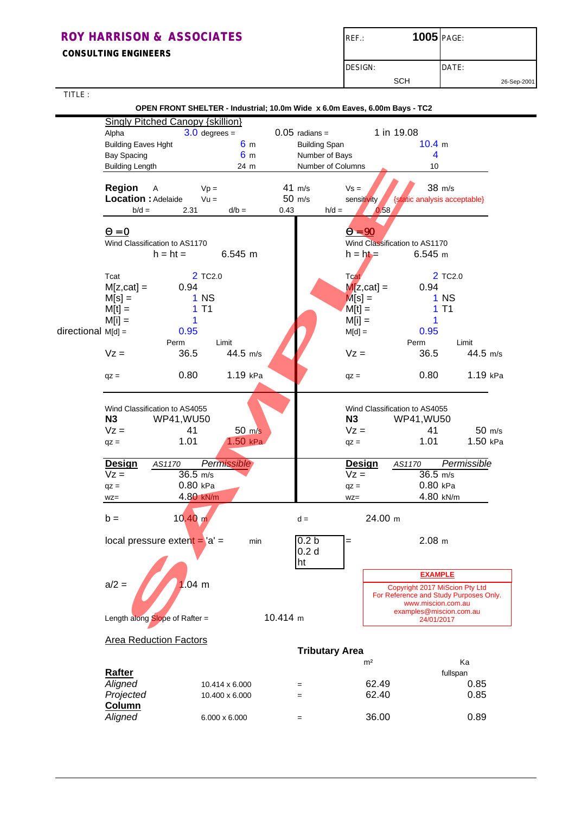**CONSULTING ENGINEERS**

| $REF$ :        | 1005 PAGE: |             |
|----------------|------------|-------------|
| <b>DESIGN:</b> |            | DATE:       |
|                | SCH        | 26-Sep-2001 |

ı

TITLE :

|                      |                                         |                     | OPEN FRONT SHELTER - Industrial; 10.0m Wide x 6.0m Eaves, 6.00m Bays - TC2 |                  |                       |                |                                                                          |             |
|----------------------|-----------------------------------------|---------------------|----------------------------------------------------------------------------|------------------|-----------------------|----------------|--------------------------------------------------------------------------|-------------|
|                      | <b>Singly Pitched Canopy {skillion}</b> |                     |                                                                            |                  |                       |                |                                                                          |             |
|                      | Alpha                                   | $3.0$ degrees =     |                                                                            | $0.05$ radians = |                       |                | 1 in 19.08                                                               |             |
|                      | <b>Building Eaves Hght</b>              |                     | 6 <sub>m</sub>                                                             |                  | <b>Building Span</b>  |                | 10.4 m                                                                   |             |
|                      | <b>Bay Spacing</b>                      |                     | 6 <sub>m</sub>                                                             |                  | Number of Bays        |                | 4                                                                        |             |
|                      | <b>Building Length</b>                  |                     | 24 m                                                                       |                  | Number of Columns     |                | 10                                                                       |             |
|                      | Region<br>A                             | $Vp =$              |                                                                            | $41$ m/s         |                       | $Vs =$         | 38 m/s                                                                   |             |
|                      | Location : Adelaide                     | $Vu =$              |                                                                            | 50 m/s           |                       | sensitivity    | {static analysis acceptable}                                             |             |
|                      | $b/d =$                                 | 2.31                | $d/b =$                                                                    | 0.43             | $h/d =$               | 0.58           |                                                                          |             |
|                      |                                         |                     |                                                                            |                  |                       |                |                                                                          |             |
|                      | $\mathbf{Q} = \mathbf{0}$               |                     |                                                                            |                  |                       | $Q = 90$       |                                                                          |             |
|                      | Wind Classification to AS1170           |                     |                                                                            |                  |                       |                | Wind Classification to AS1170                                            |             |
|                      | $h = ht =$                              |                     | 6.545 m                                                                    |                  |                       | $h = h b =$    | $6.545$ m                                                                |             |
|                      |                                         |                     |                                                                            |                  |                       |                |                                                                          |             |
|                      | Tcat                                    | 2 TC <sub>2.0</sub> |                                                                            |                  |                       | <b>Tcat</b>    | 2 TC <sub>2.0</sub>                                                      |             |
|                      | $M[z, cat] =$                           | 0.94                |                                                                            |                  |                       | $M[z, cat] =$  | 0.94                                                                     |             |
|                      | $M[s] =$                                | 1 <sub>N</sub>      |                                                                            |                  |                       | $M[s] =$       | 1 <sub>N</sub>                                                           |             |
|                      | $M[t] =$                                | T <sub>1</sub><br>1 |                                                                            |                  |                       | $M[t] =$       | T <sub>1</sub><br>1                                                      |             |
|                      | $M[i] =$                                | 1                   |                                                                            |                  |                       | $M[i] =$       | 1                                                                        |             |
| $directional$ M[d] = |                                         | 0.95                |                                                                            |                  |                       | $M[d] =$       | 0.95                                                                     |             |
|                      | Perm                                    |                     | Limit                                                                      |                  |                       |                | Perm                                                                     | Limit       |
|                      | $Vz =$                                  | 36.5                | 44.5 m/s                                                                   |                  |                       | $Vz =$         | 36.5                                                                     | 44.5 m/s    |
|                      |                                         |                     |                                                                            |                  |                       |                |                                                                          |             |
|                      | $qz =$                                  | 0.80                | 1.19 kPa                                                                   |                  |                       | $qz =$         | 0.80                                                                     | 1.19 kPa    |
|                      |                                         |                     |                                                                            |                  |                       |                |                                                                          |             |
|                      | Wind Classification to AS4055           |                     |                                                                            |                  |                       |                | Wind Classification to AS4055                                            |             |
|                      | N3                                      | <b>WP41, WU50</b>   |                                                                            |                  |                       | N3             | WP41, WU50                                                               |             |
|                      | $Vz =$                                  | 41                  | $50 \, \text{m/s}$                                                         |                  |                       | $Vz =$         | 41                                                                       | 50 m/s      |
|                      |                                         | 1.01                | $1.50$ kPa                                                                 |                  |                       |                | 1.01                                                                     | 1.50 kPa    |
|                      | $qz =$                                  |                     |                                                                            |                  |                       | $qz =$         |                                                                          |             |
|                      | <b>Design</b><br>AS1170                 |                     | Permissible                                                                |                  |                       | <b>Design</b>  | AS1170                                                                   | Permissible |
|                      | $Vz =$                                  | $36.5$ m/s          |                                                                            |                  |                       | $Vz =$         | $36.5$ m/s                                                               |             |
|                      | $qz =$                                  | 0.80 kPa            |                                                                            |                  |                       | $qz =$         | $0.80$ kPa                                                               |             |
|                      | $WZ =$                                  | 4.80 kN/m           |                                                                            |                  |                       | $WZ =$         | 4.80 kN/m                                                                |             |
|                      |                                         |                     |                                                                            |                  |                       |                |                                                                          |             |
|                      | $b =$                                   | 10.40 m             |                                                                            | $d =$            |                       | 24.00 m        |                                                                          |             |
|                      | local pressure extent $=$ 'a' $=$       |                     | min                                                                        |                  | 0.2 <sub>b</sub>      | =              | $2.08$ m                                                                 |             |
|                      |                                         |                     |                                                                            |                  | 0.2 <sub>d</sub>      |                |                                                                          |             |
|                      |                                         |                     |                                                                            | ht               |                       |                |                                                                          |             |
|                      |                                         |                     |                                                                            |                  |                       |                | <b>EXAMPLE</b>                                                           |             |
|                      | $a/2 =$                                 | $1.04 \, m$         |                                                                            |                  |                       |                |                                                                          |             |
|                      |                                         |                     |                                                                            |                  |                       |                | Copyright 2017 MiScion Pty Ltd<br>For Reference and Study Purposes Only. |             |
|                      |                                         |                     |                                                                            |                  |                       |                | www.miscion.com.au                                                       |             |
|                      | Length along Slope of Rafter =          |                     |                                                                            | 10.414 m         |                       |                | examples@miscion.com.au<br>24/01/2017                                    |             |
|                      | <b>Area Reduction Factors</b>           |                     |                                                                            |                  |                       |                |                                                                          |             |
|                      |                                         |                     |                                                                            |                  | <b>Tributary Area</b> |                |                                                                          |             |
|                      |                                         |                     |                                                                            |                  |                       | m <sup>2</sup> |                                                                          | Ka          |
|                      | <b>Rafter</b>                           |                     |                                                                            |                  |                       |                |                                                                          |             |
|                      | Aligned                                 |                     |                                                                            |                  |                       | 62.49          | fullspan                                                                 | 0.85        |
|                      |                                         |                     | 10.414 x 6.000                                                             | $=$              |                       |                |                                                                          |             |
|                      | Projected                               |                     | 10.400 x 6.000                                                             | $=$              |                       | 62.40          |                                                                          | 0.85        |
|                      | Column                                  |                     |                                                                            |                  |                       |                |                                                                          |             |
|                      | Aligned                                 |                     | $6.000 \times 6.000$                                                       | $=$              |                       | 36.00          |                                                                          | 0.89        |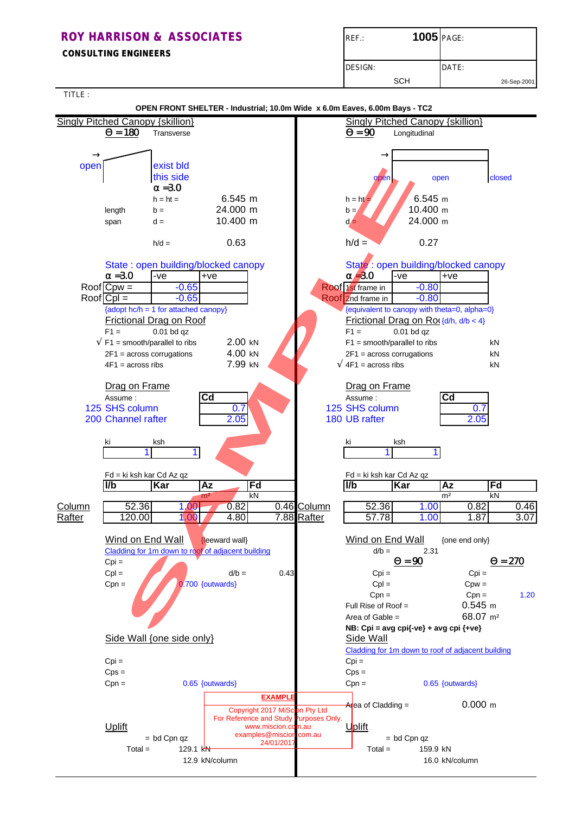## **ROY HARRISON & ASSOCIATES** REF.: **1005** PAGE:  **CONSULTING ENGINEERS** DESIGN: DATE: SCH 26-Sep-2001

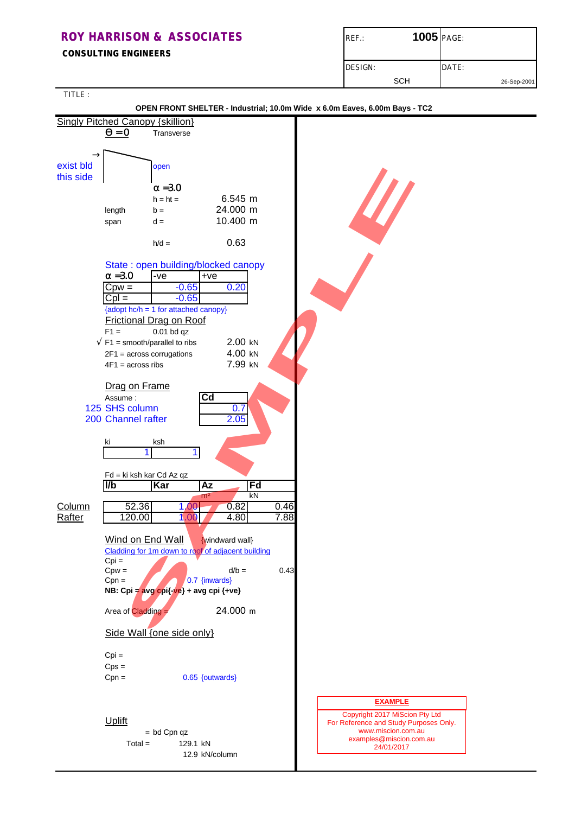| <b>ROY HARRISON &amp; ASSOCIATES</b><br><b>CONSULTING ENGINEERS</b> | <b>1005</b> PAGE:<br>$REF$ : |             |
|---------------------------------------------------------------------|------------------------------|-------------|
|                                                                     | DESIGN:<br><b>SCH</b>        | DATE:       |
| _____                                                               |                              | 26-Sep-2001 |

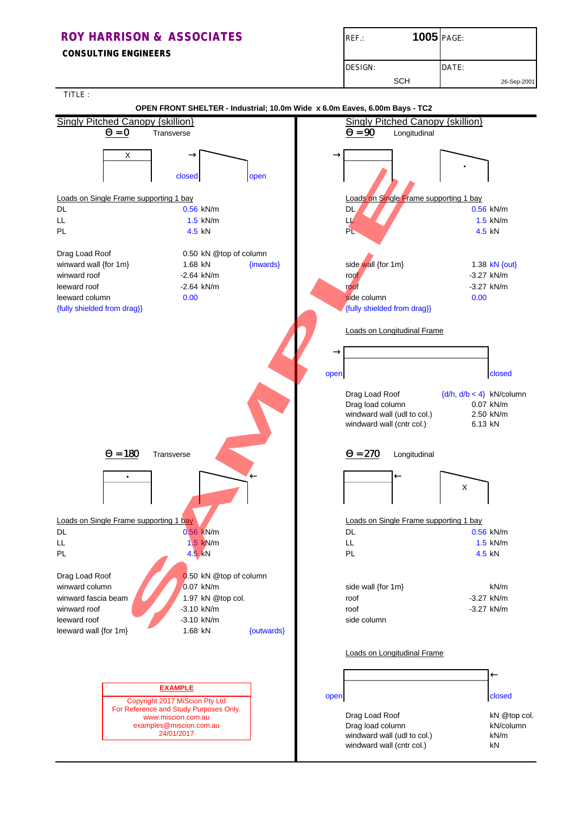**CONSULTING ENGINEERS**

| $REF$ .: | 1005 PAGE: |             |
|----------|------------|-------------|
| DESIGN:  |            | DATE:       |
|          | SCH        | 26-Sep-2001 |

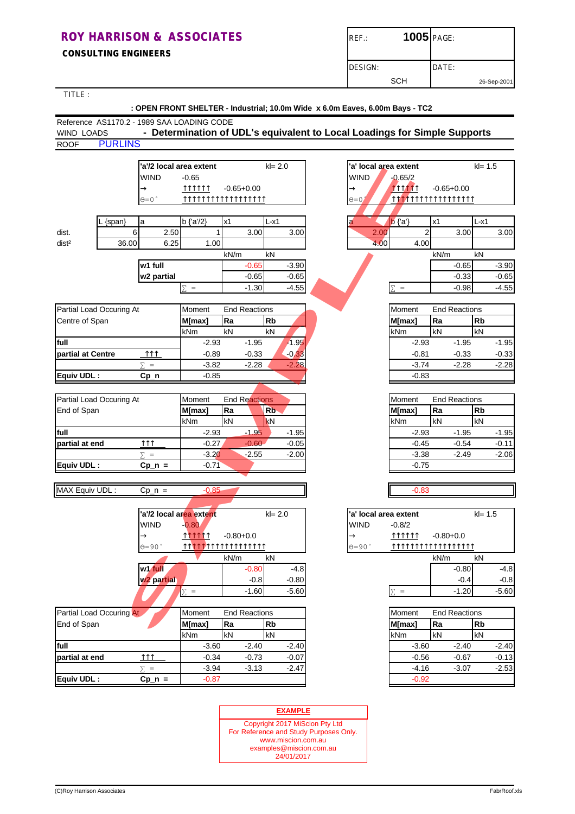**CONSULTING ENGINEERS**

| $REF$ : | 1005 PAGE: |             |
|---------|------------|-------------|
| DESIGN: |            | DATE:       |
|         | SCH        | 26-Sep-2001 |

TITLE :

|                                            | : OPEN FRONT SHELTER - Industrial; 10.0m Wide x 6.0m Eaves, 6.00m Bays - TC2 |                                                                           |      |                      |                |                       |                |                      |         |            |         |
|--------------------------------------------|------------------------------------------------------------------------------|---------------------------------------------------------------------------|------|----------------------|----------------|-----------------------|----------------|----------------------|---------|------------|---------|
| Reference AS1170.2 - 1989 SAA LOADING CODE |                                                                              |                                                                           |      |                      |                |                       |                |                      |         |            |         |
| <b>WIND LOADS</b>                          |                                                                              | - Determination of UDL's equivalent to Local Loadings for Simple Supports |      |                      |                |                       |                |                      |         |            |         |
| <b>PURLINS</b><br><b>ROOF</b>              |                                                                              |                                                                           |      |                      |                |                       |                |                      |         |            |         |
|                                            |                                                                              | 'a'/2 local area extent                                                   |      | $kl = 2.0$           |                | 'a' local area extent |                |                      |         | $kl = 1.5$ |         |
|                                            | WIND                                                                         | $-0.65$                                                                   |      |                      |                | <b>WIND</b>           | $-0.65/2$      |                      |         |            |         |
|                                            | $\rightarrow$                                                                | <u> 111111</u>                                                            |      | $-0.65 + 0.00$       |                | $\rightarrow$         | <b>TTTTTT</b>  | $-0.65 + 0.00$       |         |            |         |
|                                            | $\Theta = 0$ $^{\circ}$                                                      | TTTTTTTTTTTTTTTTTT                                                        |      |                      |                | $\Theta = 0$          |                |                      |         |            |         |
|                                            |                                                                              |                                                                           |      |                      |                |                       |                |                      |         |            |         |
| {span}                                     | a                                                                            | b {'a'/2}                                                                 | x1   | L-x1                 |                | a                     | $b$ {'a'}      | x1                   |         | L-x1       |         |
| dist.                                      | 6<br>2.50                                                                    |                                                                           |      | 3.00                 | 3.00           | 2.00                  |                | $\overline{2}$       | 3.00    |            | 3.00    |
| dist <sup>2</sup>                          | 36.00<br>6.25                                                                | 1.00                                                                      |      |                      |                | 4.00                  | 4.00           |                      |         |            |         |
|                                            |                                                                              |                                                                           | kN/m | kN                   |                |                       |                | kN/m                 |         | kN         |         |
|                                            | w1 full                                                                      |                                                                           |      | $-0.65$              | $-3.90$        |                       |                |                      | $-0.65$ |            | $-3.90$ |
|                                            | w2 partial                                                                   |                                                                           |      | $-0.65$              | $-0.65$        |                       |                |                      | $-0.33$ |            | $-0.65$ |
|                                            |                                                                              | $\Sigma =$                                                                |      | $-1.30$              | $-4.55$        |                       | $\Sigma =$     |                      | $-0.98$ |            | $-4.55$ |
|                                            |                                                                              |                                                                           |      |                      |                |                       |                |                      |         |            |         |
| Partial Load Occuring At                   |                                                                              | Moment                                                                    |      | <b>End Reactions</b> |                |                       | Moment         | <b>End Reactions</b> |         |            |         |
| Centre of Span                             |                                                                              | M[max]                                                                    | Ra   | <b>Rb</b>            |                |                       | M[max]         | Ra                   |         | <b>Rb</b>  |         |
|                                            |                                                                              | kNm                                                                       | kN   | kN                   |                |                       | kNm            | kN                   |         | kN         |         |
| full                                       |                                                                              | $-2.93$                                                                   |      | $-1.95$              | $-1.95$        |                       | $-2.93$        |                      | $-1.95$ |            | $-1.95$ |
| partial at Centre                          | <b>MM</b>                                                                    | $-0.89$                                                                   |      | $-0.33$              | $-0.33$        |                       | $-0.81$        |                      | $-0.33$ |            | $-0.33$ |
|                                            | $\Sigma =$                                                                   | $-3.82$                                                                   |      | $-2.28$              | $-2.28$        |                       | $-3.74$        |                      | $-2.28$ |            | $-2.28$ |
| Equiv UDL:                                 | $Cp_n$                                                                       | $-0.85$                                                                   |      |                      |                |                       | $-0.83$        |                      |         |            |         |
|                                            |                                                                              |                                                                           |      |                      |                |                       |                |                      |         |            |         |
| Partial Load Occuring At                   |                                                                              | Moment                                                                    |      | <b>End Reactions</b> |                |                       | Moment         | <b>End Reactions</b> |         |            |         |
| End of Span                                |                                                                              | M[max]                                                                    | Ra   | R <sub>b</sub>       |                |                       | M[max]         | Ra                   |         | <b>Rb</b>  |         |
|                                            |                                                                              | kNm                                                                       | kN   | <b>kN</b>            |                |                       | kNm            | kN                   |         | kN         |         |
| full                                       |                                                                              | $-2.93$                                                                   |      | $-1.95$              | $-1.95$        |                       | $-2.93$        |                      | $-1.95$ |            | $-1.95$ |
| partial at end                             | ↑↑↑                                                                          | $-0.27$                                                                   |      | $-0.60$              | $-0.05$        |                       | $-0.45$        |                      | $-0.54$ |            | $-0.11$ |
|                                            | $\Sigma =$                                                                   | $-3.20$                                                                   |      | $-2.55$              | $-2.00$        |                       | $-3.38$        |                      | -2.49   |            | $-2.06$ |
| Equiv UDL:                                 | $Cp_n =$                                                                     | $-0.71$                                                                   |      |                      |                |                       | $-0.75$        |                      |         |            |         |
|                                            |                                                                              |                                                                           |      |                      |                |                       |                |                      |         |            |         |
| MAX Equiv UDL:                             | $Cp_n =$                                                                     | $-0.85$                                                                   |      |                      |                |                       | $-0.83$        |                      |         |            |         |
|                                            |                                                                              |                                                                           |      |                      |                |                       |                |                      |         |            |         |
|                                            |                                                                              | a'/2 local area extent                                                    |      | $kl = 2.0$           |                | 'a' local area extent |                |                      |         | $kl = 1.5$ |         |
|                                            | WIND                                                                         | $-0.80$                                                                   |      |                      |                | <b>WIND</b>           | $-0.8/2$       |                      |         |            |         |
|                                            | $\rightarrow$                                                                | <u> 111111</u>                                                            |      | $-0.80 + 0.0$        |                | $\rightarrow$         | <u> 111111</u> | $-0.80 + 0.0$        |         |            |         |
|                                            | $0 = 90$ °                                                                   |                                                                           |      |                      |                | $\Theta = 90$ °       |                |                      |         |            |         |
|                                            |                                                                              |                                                                           | kN/m | kN                   |                |                       |                | kN/m                 |         | kN         |         |
|                                            | w1 full                                                                      |                                                                           |      | $-0.80$              | $-4.8$         |                       |                |                      | $-0.80$ |            | $-4.8$  |
|                                            | w <sub>2</sub> partial                                                       |                                                                           |      | $-0.8$               | $-0.80$        |                       |                |                      | $-0.4$  |            | $-0.8$  |
|                                            |                                                                              | $\Sigma =$                                                                |      | $-1.60$              | $-5.60$        |                       | $\Sigma =$     |                      | $-1.20$ |            | $-5.60$ |
|                                            |                                                                              |                                                                           |      |                      |                |                       |                |                      |         |            |         |
| Partial Load Occuring At                   |                                                                              | Moment                                                                    |      | <b>End Reactions</b> |                |                       | Moment         | <b>End Reactions</b> |         |            |         |
| End of Span                                |                                                                              | M[max]                                                                    | Ra   | <b>Rb</b>            |                |                       | M[max]         | Ra                   |         | <b>Rb</b>  |         |
|                                            |                                                                              | kNm                                                                       | kN   | kN                   |                |                       | kNm            | kN                   |         | kN         |         |
| full                                       |                                                                              | $-3.60$                                                                   |      | $-2.40$              | $-2.40$        |                       | $-3.60$        |                      | $-2.40$ |            | $-2.40$ |
| partial at end                             | $\uparrow \uparrow \uparrow$                                                 | $-0.34$                                                                   |      | $-0.73$              | $-0.07$        |                       | $-0.56$        |                      | $-0.67$ |            | $-0.13$ |
|                                            | $\Sigma$ =                                                                   | $-3.94$                                                                   |      | $-3.13$              | $-2.47$        |                       | $-4.16$        |                      | $-3.07$ |            | $-2.53$ |
| Equiv UDL:                                 | $Cp_n =$                                                                     | $-0.87$                                                                   |      |                      |                |                       | $-0.92$        |                      |         |            |         |
|                                            |                                                                              |                                                                           |      |                      |                |                       |                |                      |         |            |         |
|                                            |                                                                              |                                                                           |      |                      | <b>EXAMPLE</b> |                       |                |                      |         |            |         |
|                                            |                                                                              |                                                                           |      |                      |                |                       |                |                      |         |            |         |

#### Copyright 2017 MiScion Pty Ltd For Reference and Study Purposes Only. www.miscion.com.au examples@miscion.com.au 24/01/2017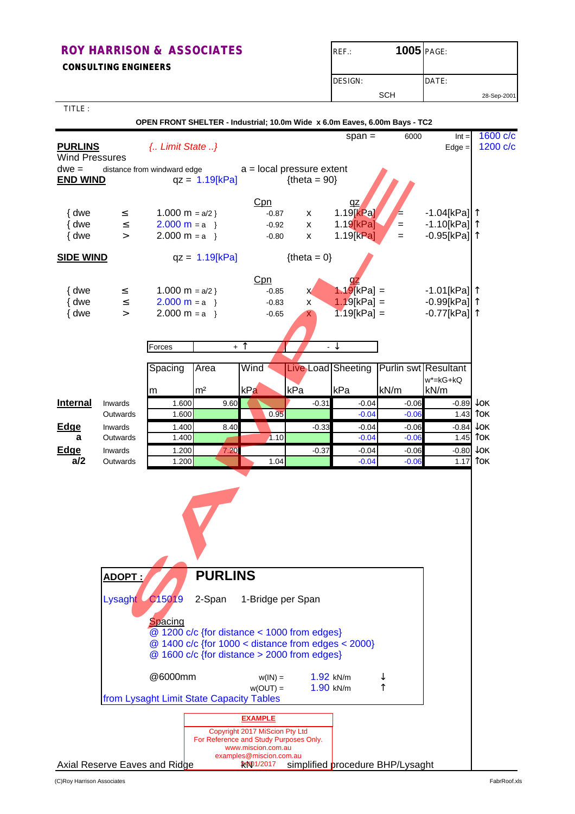**CONSULTING ENGINEERS**

| $REF$ :        | 1005 PAGE: |       |             |
|----------------|------------|-------|-------------|
| <b>DESIGN:</b> |            | DATE: |             |
|                | <b>SCH</b> |       | 28-Sep-2001 |

TITLE :

|                                         |                            | OPEN FRONT SHELTER - Industrial; 10.0m Wide x 6.0m Eaves, 6.00m Bays - TC2 |                                        |                                                                                                                        |                                                                                                                                                      |                                                         |                                                   |                                                                     |                                   |
|-----------------------------------------|----------------------------|----------------------------------------------------------------------------|----------------------------------------|------------------------------------------------------------------------------------------------------------------------|------------------------------------------------------------------------------------------------------------------------------------------------------|---------------------------------------------------------|---------------------------------------------------|---------------------------------------------------------------------|-----------------------------------|
| <b>PURLINS</b><br><b>Wind Pressures</b> |                            | { Limit State }                                                            |                                        |                                                                                                                        |                                                                                                                                                      | span $=$                                                | 6000                                              | $Int =$<br>$Edge =$                                                 | 1600 c/c<br>1200 c/c              |
| $dwe =$<br><b>END WIND</b>              |                            | distance from windward edge                                                | $qz = 1.19[kPa]$                       |                                                                                                                        | $a = local pressure extent$<br>${thea = 90}$                                                                                                         |                                                         |                                                   |                                                                     |                                   |
| { dwe<br>{ dwe<br>{ dwe                 | $\leq$<br>$\leq$<br>$\geq$ | 1.000 m = $a/2$ }<br>$2.000 m = a$<br>$2.000 m = a$                        |                                        | Cpn<br>$-0.87$<br>$-0.92$<br>$-0.80$                                                                                   | X<br>X<br>$\mathsf{x}$                                                                                                                               | <u>qz</u><br>$1.19$ [ $kPa$ ]<br>1.19[kPa]<br>1.19[kPa] | $=$<br>$=$                                        | -1.04[kPa] <b> </b> ↑<br>-1.10[kPa] <sup>1</sup><br>-0.95[kPa] ↑    |                                   |
| <b>SIDE WIND</b>                        |                            |                                                                            | $qz = 1.19[kPa]$                       |                                                                                                                        | ${thea = 0}$                                                                                                                                         |                                                         |                                                   |                                                                     |                                   |
| { dwe<br>{ dwe<br>{ dwe                 | $\leq$<br>$\leq$<br>$\geq$ | 1.000 m = $a/2$ }<br>$2.000 m = a$<br>$2.000 m = a$                        |                                        | Cpn<br>$-0.85$<br>$-0.83$<br>$-0.65$                                                                                   | X.<br>x<br>$\mathbf{X}$                                                                                                                              | az<br>$1.19$ [kPa] =<br>$1.19$ [kPa] =<br>$1.19[kPa] =$ |                                                   | -1.01[kPa] <b> </b> 1<br>-0.99[kPa] 1<br>$-0.77$ [kPa] <sup>1</sup> |                                   |
|                                         |                            | Forces                                                                     | $+$ $\overline{\phantom{0}}$           |                                                                                                                        |                                                                                                                                                      | $\cdot \downarrow$                                      |                                                   |                                                                     |                                   |
|                                         |                            | Spacing<br>m                                                               | Area<br>m <sup>2</sup>                 | Wind<br>kPa                                                                                                            | kPa                                                                                                                                                  | kPa                                                     | Live Load Sheeting   Purlin swt Resultant<br>kN/m | $w^*$ = $kG+ kQ$<br>kN/m                                            |                                   |
| <b>Internal</b>                         | Inwards                    | 1.600                                                                      | 9.60                                   |                                                                                                                        | $-0.31$                                                                                                                                              | $-0.04$                                                 | $-0.06$                                           |                                                                     | $-0.89 \text{ to } \kappa$        |
|                                         | Outwards                   | 1.600                                                                      |                                        | 0.95                                                                                                                   |                                                                                                                                                      | $-0.04$                                                 | $-0.06$                                           |                                                                     | 1.43 $\text{C}$                   |
| <b>Edge</b><br>a                        | Inwards<br>Outwards        | 1.400<br>1.400                                                             | 8.40                                   | 1.10                                                                                                                   | $-0.33$                                                                                                                                              | $-0.04$<br>$-0.04$                                      | $-0.06$<br>$-0.06$                                |                                                                     | $-0.84$ $\sqrt{0K}$<br>$1.45$ Tok |
| <b>Edge</b>                             | Inwards                    | 1.200                                                                      | 7.20                                   |                                                                                                                        | $-0.37$                                                                                                                                              | $-0.04$                                                 | $-0.06$                                           |                                                                     | $-0.80\ \text{JOK}$               |
| a/2                                     | Outwards                   | 1.200                                                                      |                                        | 1.04                                                                                                                   |                                                                                                                                                      | $-0.04$                                                 | $-0.06$                                           |                                                                     | 1.17 $\text{C}$                   |
|                                         | ADOPT;<br>Lysaght          | C15019<br>Spacing                                                          | <b>PURLINS</b><br>2-Span               | 1-Bridge per Span                                                                                                      | $@$ 1200 c/c {for distance < 1000 from edges}<br>@ 1400 c/c {for 1000 < distance from edges < 2000}<br>$@$ 1600 c/c {for distance > 2000 from edges} |                                                         |                                                   |                                                                     |                                   |
|                                         |                            | @6000mm<br>from Lysaght Limit State Capacity Tables                        |                                        | $w(IN) =$<br>$w(OUT) =$                                                                                                |                                                                                                                                                      | $1.92$ kN/m<br>1.90 kN/m                                |                                                   |                                                                     |                                   |
|                                         |                            | Axial Reserve Eaves and Ridge                                              | For Reference and Study Purposes Only. | <b>EXAMPLE</b><br>Copyright 2017 MiScion Pty Ltd<br>www.miscion.com.au<br>examples@miscion.com.au<br><b>24X01/2017</b> |                                                                                                                                                      |                                                         | simplified procedure BHP/Lysaght                  |                                                                     |                                   |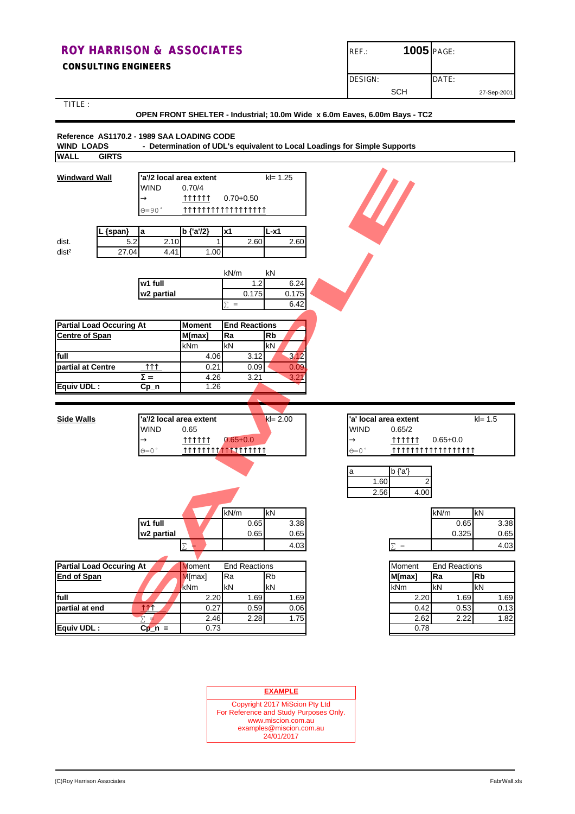#### **CONSULTING ENGINEERS**

| $REF$ :        | 1005 PAGE: |       |             |
|----------------|------------|-------|-------------|
| <b>DESIGN:</b> | <b>SCH</b> | DATE: | 27-Sep-2001 |

TITLE :

#### **OPEN FRONT SHELTER - Industrial; 10.0m Wide x 6.0m Eaves, 6.00m Bays - TC2**

#### **Reference AS1170.2 - 1989 SAA LOADING CODE**

**WIND LOADS - Determination of UDL's equivalent to Local Loadings for Simple Supports WALL GIRTS**

| <b>Windward Wall</b>            |                              | 'a'/2 local area extent |                            | $kl = 1.25$ |                        |                         |                      |            |
|---------------------------------|------------------------------|-------------------------|----------------------------|-------------|------------------------|-------------------------|----------------------|------------|
|                                 | <b>WIND</b>                  | 0.70/4                  |                            |             |                        |                         |                      |            |
|                                 |                              | 111111                  |                            |             |                        |                         |                      |            |
|                                 | $\rightarrow$                |                         | $0.70 + 0.50$              |             |                        |                         |                      |            |
|                                 | $0 = 90$ °                   |                         | TTTTTTTTTTTTTTTTTTT        |             |                        |                         |                      |            |
| {span}                          | la                           | b {'a'/2}               | <b>x1</b>                  | $L-x1$      |                        |                         |                      |            |
| dist.                           | 5.2<br>2.10                  | 1                       | 2.60                       | 2.60        |                        |                         |                      |            |
| 27.04<br>dist <sup>2</sup>      | 4.41                         | 1.00                    |                            |             |                        |                         |                      |            |
|                                 |                              |                         |                            |             |                        |                         |                      |            |
|                                 |                              |                         | kN/m                       | kN          |                        |                         |                      |            |
|                                 | w1 full                      |                         | 1.2                        | 6.24        |                        |                         |                      |            |
|                                 | w2 partial                   |                         | 0.175                      | 0.175       |                        |                         |                      |            |
|                                 |                              |                         | $\equiv$                   | 6.42        |                        |                         |                      |            |
|                                 |                              |                         |                            |             |                        |                         |                      |            |
| <b>Partial Load Occuring At</b> |                              | Moment                  | <b>End Reactions</b>       |             |                        |                         |                      |            |
| <b>Centre of Span</b>           |                              | M[max]                  | Ra                         | <b>Rb</b>   |                        |                         |                      |            |
|                                 |                              | kNm                     | kN                         | kN          |                        |                         |                      |            |
| full                            |                              | 4.06                    | 3.12                       | 3.12        |                        |                         |                      |            |
| partial at Centre               | $\uparrow \uparrow \uparrow$ | 0.21                    | 0.09                       | 0.09        |                        |                         |                      |            |
|                                 | $S =$                        | 4.26                    | 3.21                       | 3.21        |                        |                         |                      |            |
| Equiv UDL:                      | Cp_n                         | 1.26                    |                            |             |                        |                         |                      |            |
|                                 |                              |                         |                            |             |                        |                         |                      |            |
| <b>Side Walls</b>               |                              | a'/2 local area extent  |                            | $kl = 2.00$ |                        | 'a' local area extent   |                      | $kl = 1.5$ |
|                                 | <b>WIND</b>                  | 0.65                    |                            |             | <b>WIND</b>            | 0.65/2                  |                      |            |
|                                 | $\rightarrow$                | 111111                  | $0.65 + 0.0$               |             | $\rightarrow$          | <u> 111111 </u>         | $0.65 + 0.0$         |            |
|                                 | $\Theta = 0$ $\degree$       |                         | <b>TTTTTTTTTTTTTTTTTTT</b> |             | $\Theta = 0$ $\degree$ |                         | TTTTTTTTTTTTTTTTTTT  |            |
|                                 |                              |                         |                            |             |                        |                         |                      |            |
|                                 |                              |                         |                            |             | a                      | $b {a}$                 |                      |            |
|                                 |                              |                         |                            |             |                        | 1.60<br>2               |                      |            |
|                                 |                              |                         |                            |             |                        | 2.56<br>4.00            |                      |            |
|                                 |                              |                         |                            |             |                        |                         |                      |            |
|                                 |                              |                         | kN/m                       | kN          |                        |                         | kN/m                 | kN         |
|                                 | w1 full                      |                         | 0.65                       | 3.38        |                        |                         | 0.65                 | 3.38       |
|                                 | w2 partial                   |                         | 0.65                       | 0.65        |                        |                         | 0.325                | 0.65       |
|                                 |                              |                         |                            | 4.03        |                        | $\qquad \qquad =$<br>Σ. |                      | 4.03       |
|                                 |                              |                         |                            |             |                        |                         |                      |            |
| <b>Partial Load Occuring At</b> |                              | <b>Moment</b>           | <b>End Reactions</b>       |             |                        | Moment                  | <b>End Reactions</b> |            |
| <b>End of Span</b>              |                              | M[max]                  | Ra                         | <b>Rb</b>   |                        | M[max]                  | Ra                   | <b>Rb</b>  |
|                                 |                              | kNm                     | kN                         | kN          |                        | kNm                     | kN                   | kN         |
| full                            |                              | 2.20                    | 1.69                       | 1.69        |                        | 2.20                    | 1.69                 | 1.69       |
| partial at end                  | TM_                          | 0.27                    | 0.59                       | 0.06        |                        | 0.42                    | 0.53                 | 0.13       |
|                                 | Σ.                           | 2.46                    | 2.28                       | 1.75        |                        | 2.62                    | 2.22                 | 1.82       |
| <b>Equiv UDL:</b>               | $Cp_n =$                     | 0.73                    |                            |             |                        | 0.78                    |                      |            |

| <b>EXAMPLE</b>                                                                                                                          |  |
|-----------------------------------------------------------------------------------------------------------------------------------------|--|
| Copyright 2017 MiScion Pty Ltd<br>For Reference and Study Purposes Only.<br>www.miscion.com.au<br>examples@miscion.com.au<br>24/01/2017 |  |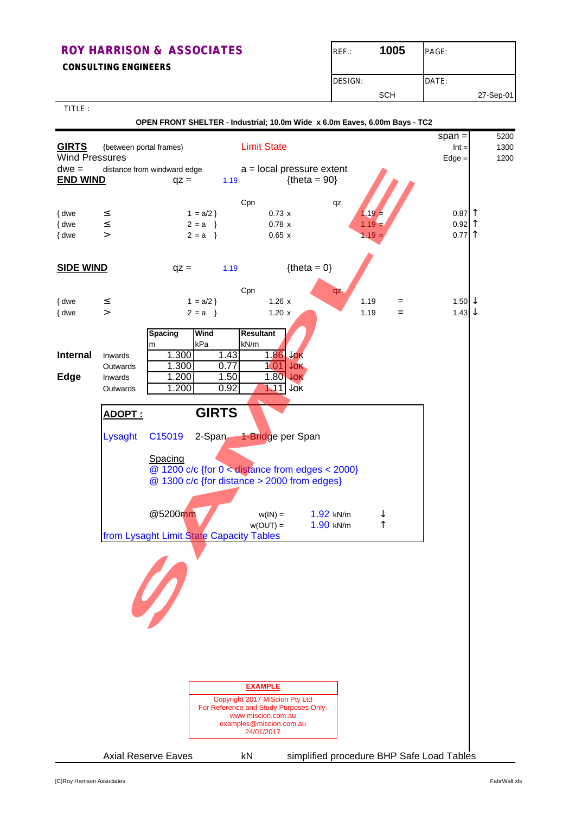**CONSULTING ENGINEERS**

| $REF$ : | 1005       | PAGE: |           |
|---------|------------|-------|-----------|
| DESIGN: |            | DATE: |           |
|         | <b>SCH</b> |       | 27-Sep-01 |

TITLE :

 **OPEN FRONT SHELTER - Industrial; 10.0m Wide x 6.0m Eaves, 6.00m Bays - TC2**

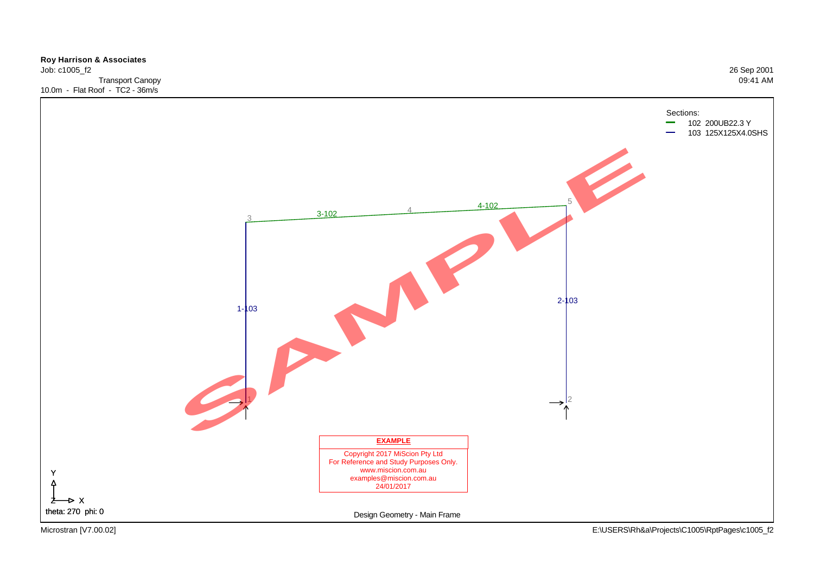

Microstran [V7.00.02] E:\USERS\Rh&a\Projects\C1005\RptPages\c1005\_f2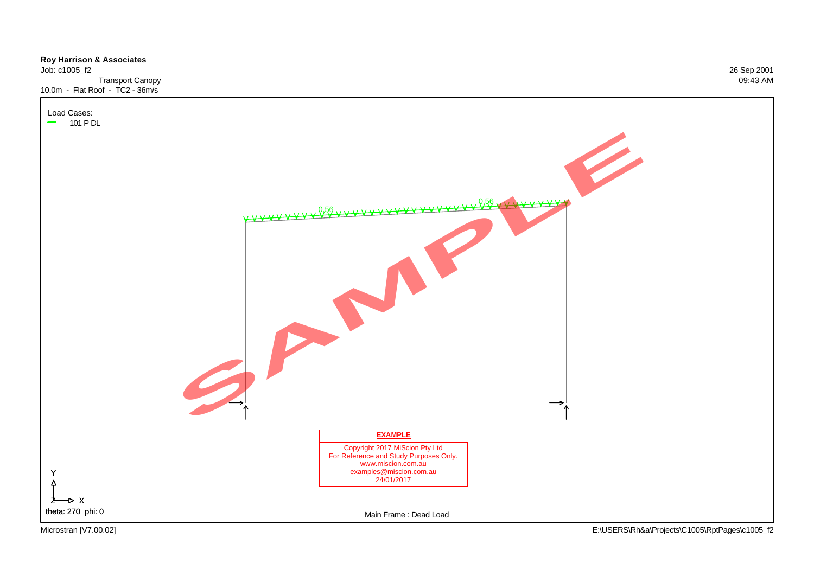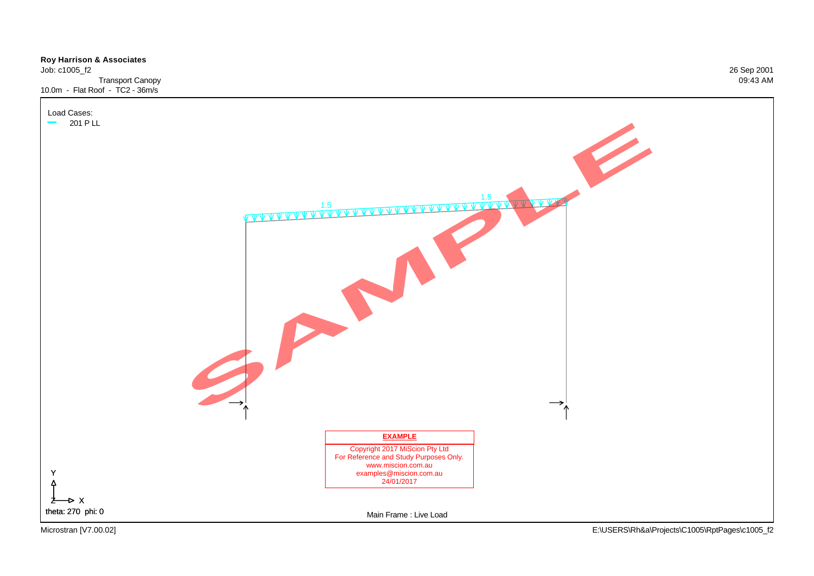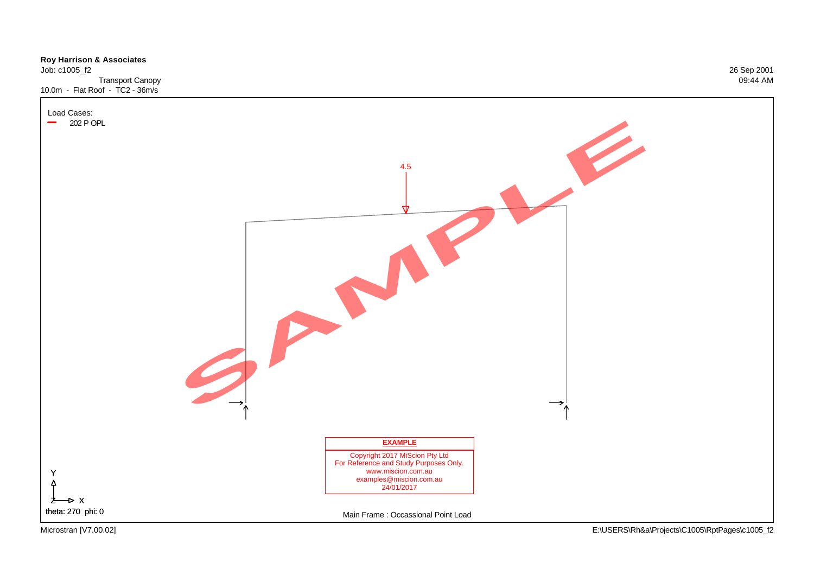

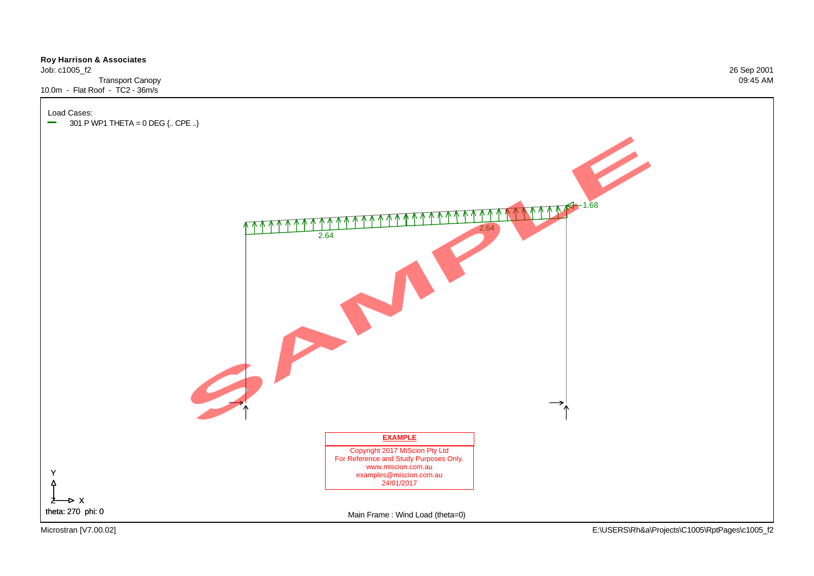### **Roy Harrison & Associates**  Job: c1005\_f2 26 Sep 2001 Transport Canopy 09:45 AM 10.0m - Flat Roof - TC2 - 36m/s



1.68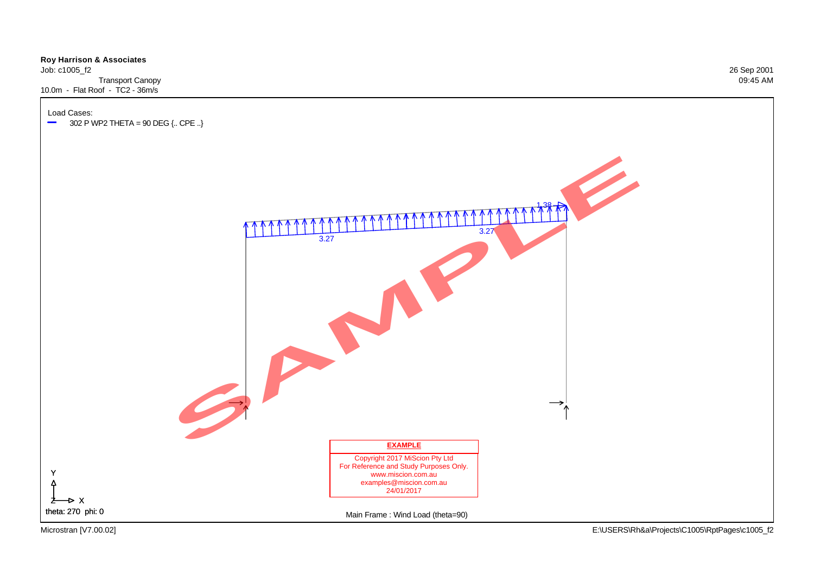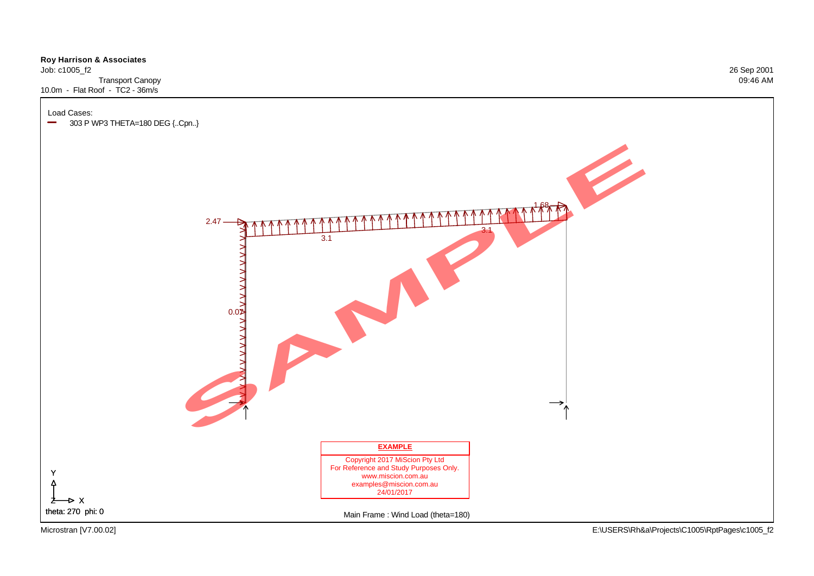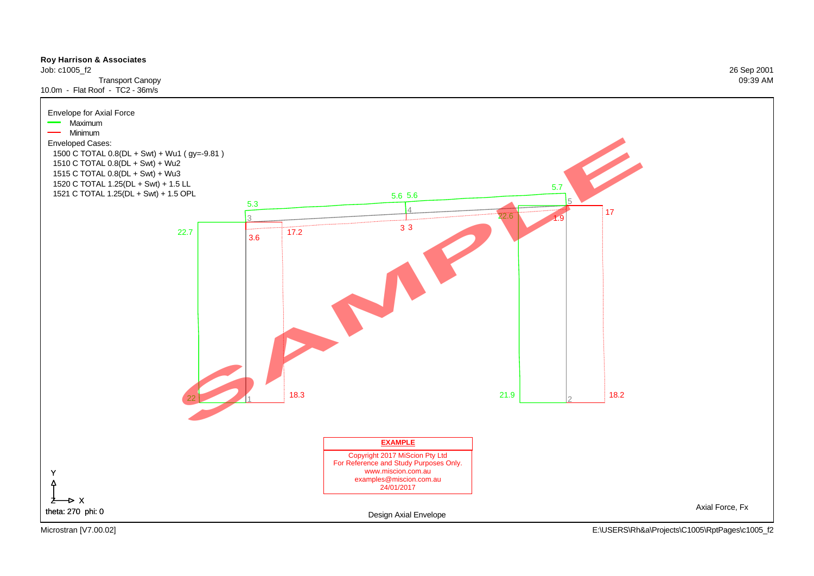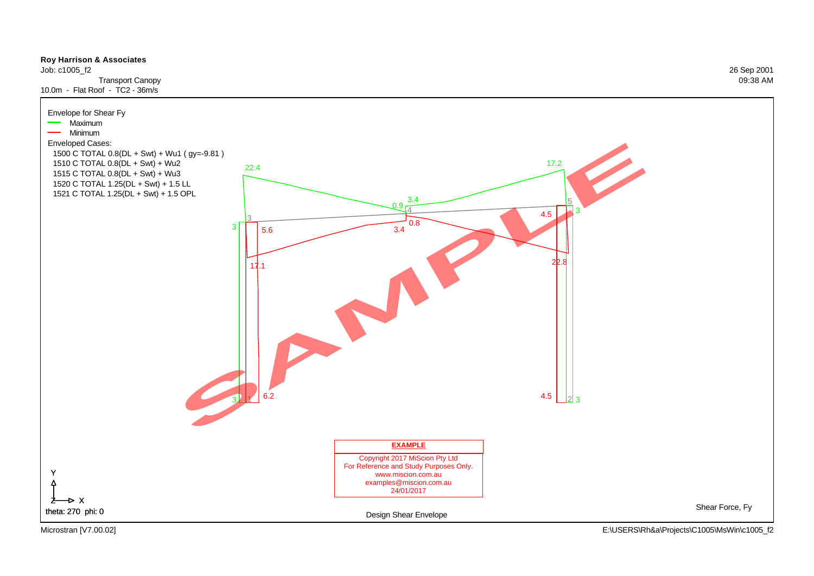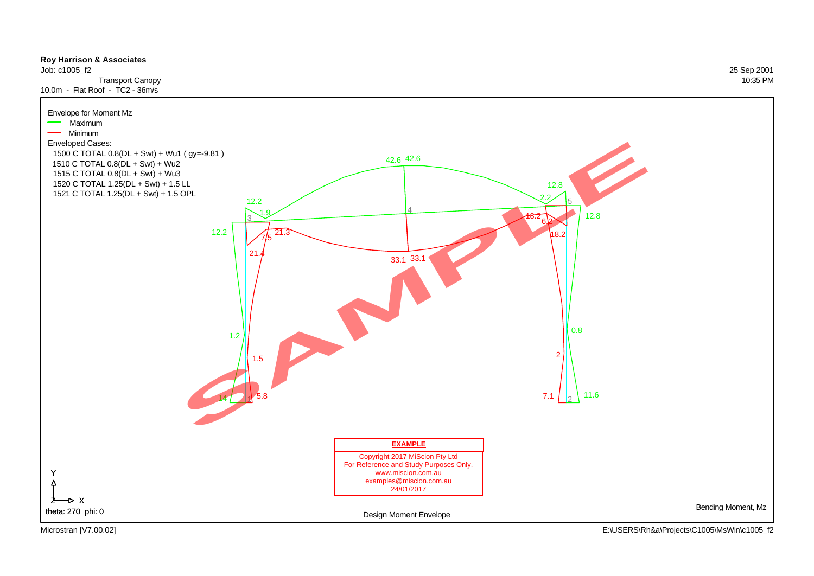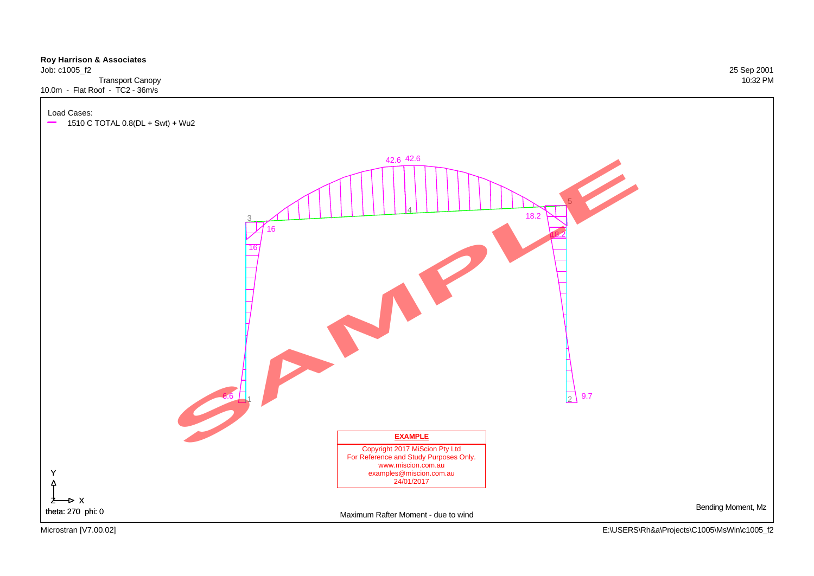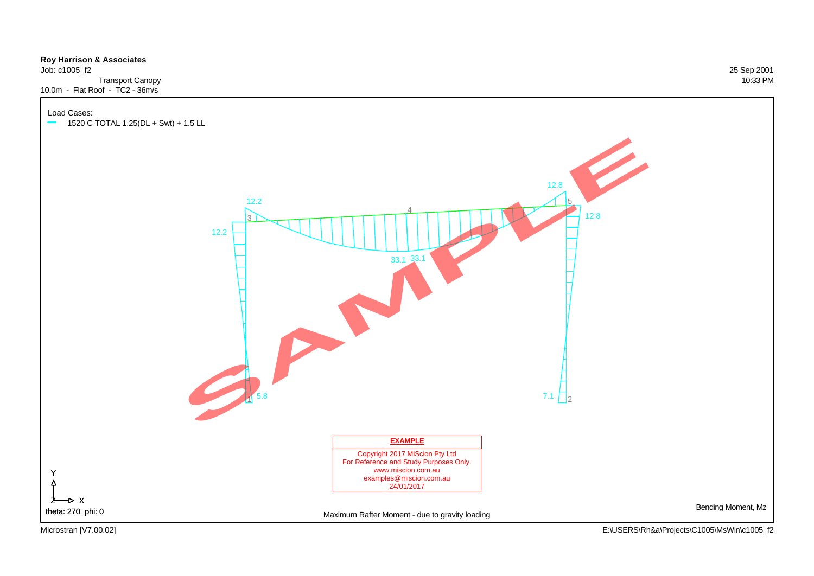#### **Roy Harrison & Associates**

Job: c1005\_f2 25 Sep 2001 Transport Canopy 10:33 PM 10.0m - Flat Roof - TC2 - 36m/s

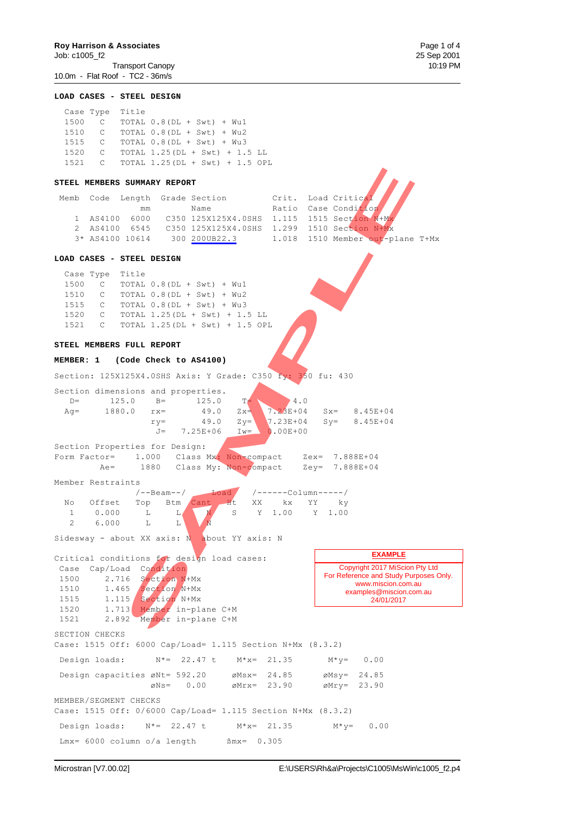Job: c1005\_f2 25 Sep 2001 Transport Canopy 10:19 PM 10.0m - Flat Roof - TC2 - 36m/s

**LOAD CASES - STEEL DESIGN** Case Type Title 1500 C TOTAL 0.8(DL + Swt) + Wu1 1510 C TOTAL 0.8(DL + Swt) + Wu2 1515 C TOTAL 0.8(DL + Swt) + Wu3 1520 C TOTAL 1.25(DL + Swt) + 1.5 LL 1521 C TOTAL 1.25(DL + Swt) + 1.5 OPL **STEEL MEMBERS SUMMARY REPORT** Memb Code Length Grade Section Crit. Load Critical mm Name Ratio Case Condition 1 AS4100 6000 C350 125X125X4.0SHS 1.115 1515 Section N+M 2 AS4100 6545 C350 125X125X4.0SHS 1.299 1510 Section N+Mx<br>3\* AS4100 10614 300 200UB22.3 1.018 1510 Member out-p 3\* AS4100 10614 300 200UB22.3 1.018 1510 Member out-plane T+Mx **LOAD CASES - STEEL DESIGN** Case Type Title 1500 C TOTAL 0.8(DL + Swt) + Wu1 1510 C TOTAL 0.8(DL + Swt) + Wu2 1515 C TOTAL 0.8(DL + Swt) + Wu3 1520 C TOTAL 1.25(DL + Swt) + 1.5 LL<br>1521 C TOTAL 1.25(DL + Swt) + 1.5 OP! 1521 C TOTAL 1.25(DL + Swt) + 1.5 OPL **STEEL MEMBERS FULL REPORT MEMBER: 1 (Code Check to AS4100)** Section: 125X125X4.0SHS Axis: Y Grade: C350 fy: 350 fu: 430 Section dimensions and properties. D= 125.0 B= 125.0 T= 4.0<br>Aq= 1880.0 rx= 49.0  $Zx = \begin{bmatrix} 4.0 \\ 7.23E+04 \end{bmatrix}$ Ag= 1880.0 rx= 49.0 Zx= 7.23E+04 Sx= 8.45E+04  $ry=$  49.0  $Zy=$  7.23E+04  $Sy=$  8.45E+04  $J=$  7.25E+06 Iw= 0.00E+00 Section Properties for Design: Form Factor= 1.000 Class Mx: Non-compact Zex= 7.888E+04 Ae= 1880 Class My: Non-compact Zey= 7.888E+04 Member Restraints /--Beam--/ Load /------Column-----/ No Offset Top Btm Cant 1 0.000 L L N S Y 1.00 Y 1.00 2 6.000 L L Sidesway - about XX axis: N about YY axis: N Critical conditions for design load cases: Case Cap/Load Condition 1500 2.716 Section N+Mx 1510 1.465 Section N+Mx 1515 1.115 Section N+Mx 1520 1.713 Member in-plane C+M 1521 2.892 Member in-plane C+M SECTION CHECKS Case: 1515 Off: 6000 Cap/Load= 1.115 Section N+Mx (8.3.2) Design loads:  $N^* = 22.47$  t  $M^*x = 21.35$   $M^*y = 0.00$ Design capacities  $\varnothing$ Nt= 592.20  $\varnothing$ Msx= 24.85  $\varnothing$ Msy= 24.85 øNs= 0.00 øMrx= 23.90 øMry= 23.90 MEMBER/SEGMENT CHECKS Case: 1515 Off: 0/6000 Cap/Load= 1.115 Section N+Mx (8.3.2) Design loads:  $N^*= 22.47$  t  $M^*x= 21.35$   $M^*y= 0.00$ Lmx=  $6000$  column o/a length  $\text{Bmx} = 0.305$ Copyright 2017 MiScion Pty Ltd For Reference and Study Purposes Only. www.miscion.com.au examples@miscion.com.au 24/01/2017 **EXAMPLE SUMMARY REPORT**<br>
SAMPLE GRAD CREATION (PRINCIPS) NAMEL AND CREATION (PRINCIPS) 2017<br>
6600 CREATION (SAMPLE 1.115 1515 Section 2019)<br>
6600 CREATION (SAMPLE) 2018 1515 Section 2019<br>
10614 300 <u>201011929.3</u> 1.018 1510 Sectio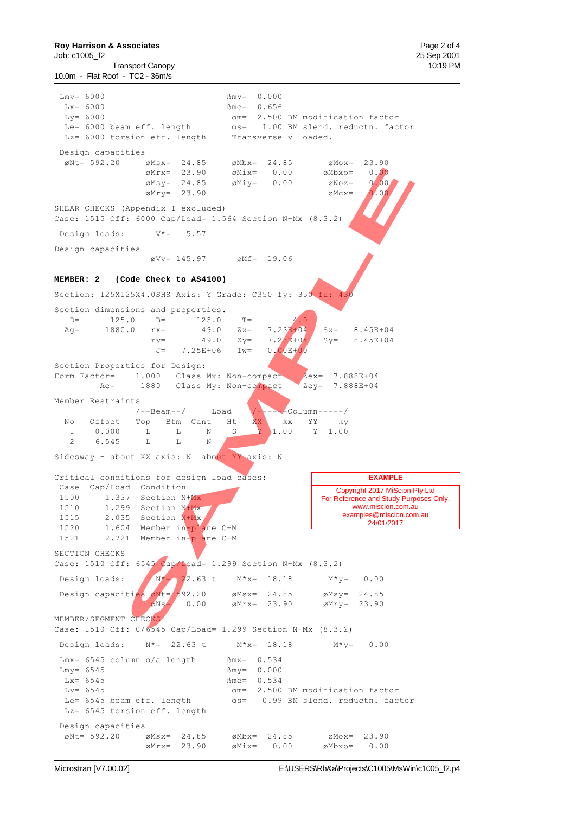10.0m - Flat Roof - TC2 - 36m/s

 $Lmy = 6000$   $Bmy = 0.000$  $Lx = 6000$   $Bme = 0.656$  $Ly= 6000$   $\alpha m= 2.500$  BM modification factor Le=  $6000$  beam eff. length  $\alpha s= 1.00$  BM slend. reductn. factor Lz= 6000 torsion eff. length Transversely loaded. Design capacities  $\varnothing$ Nt= 592.20  $\varnothing$ Msx= 24.85  $\varnothing$ Mbx= 24.85  $\varnothing$ Mox= 23.90  $\varnothing$ Mrx= 23.90  $\varnothing$ Mix= 0.00  $\varnothing$ Mbxo= 0.00  $\varnothing$ Msy= 24.85  $\varnothing$ Miy= 0.00  $\varnothing$ Noz= 0.00  $\emptyset$ Mry= 23.90  $\emptyset$ Mcx=  $\emptyset$ .00 SHEAR CHECKS (Appendix I excluded) Case: 1515 Off: 6000 Cap/Load= 1.564 Section N+Mx (8.3.2) Design loads: V\*= 5.57 Design capacities  $\varnothing$ Vv= 145.97  $\varnothing$ Mf= 19.06 **MEMBER: 2 (Code Check to AS4100)** Section: 125X125X4.0SHS Axis: Y Grade: C350 fy: 350 fu: 43 Section dimensions and properties. D= 125.0 B= 125.0 T=  $A_0$ <br>Aq= 1880.0 rx= 49.0 Zx= 7.23**E**/04 Ag= 1880.0  $rx =$  49.0  $Zx =$  7.23E+04  $Sx =$  8.45E+04<br>  $ry =$  49.0  $Zy =$  7.23E+04  $Sy =$  8.45E+04  $ry=$  49.0  $Zy=$  7.23E+04 Sy= 8.45E+04  $J= 7.25E+06$   $Iw= 0.00E+00$ Section Properties for Design: Form Factor= 1.000 Class Mx: Non-compact Zex= 7.888E+04 Ae= 1880 Class My: Non-compact Zey= 7.888E+04 Member Restraints /--Beam--/ Load /------Column-----/ No Offset Top Btm Cant Ht XX kx YY ky 1 0.000 L L N S Y 1.00 Y 1.00 2 6.545 L L N Sidesway - about XX axis: N about YY axis: N Critical conditions for design load cases: Case Cap/Load Condition 1500 1.337 Section N+Mx 1510 1.299 Section N+Mx 1515 2.035 Section N+Mx 1520 1.604 Member in-plane C+M 1521 2.721 Member in-plane C+M SECTION CHECKS Case: 1510 Off: 6545 Cap/Load= 1.299 Section N+Mx (8.3.2) Design loads:  $N^*= 2^2.63 \text{ t}$   $M^*x = 18.18$   $M^*y = 0.00$ Design capacities  $\omega$ Nt= 592.20  $\omega$ Msx= 24.85  $\omega$ Msy= 24.85  $\delta$ Ns= 0.00  $\delta$ Mrx= 23.90  $\delta$ Mry= 23.90 MEMBER/SEGMENT CHECKS Case: 1510 Off: 0/6545 Cap/Load= 1.299 Section N+Mx (8.3.2) Design loads:  $N^* = 22.63$  t  $M^*x = 18.18$   $M^*y = 0.00$  $Lmx = 6545$  column o/a length  $Mmx = 0.534$  $Lmy = 6545$   $\beta my = 0.000$  $Lx = 6545$   $\text{m}e = 0.534$  $Ly= 6545$   $\alpha m= 2.500$  BM modification factor Le=  $6545$  beam eff. length  $\alpha s$ = 0.99 BM slend. reductn. factor Copyright 2017 MiScion Pty Ltd For Reference and Study Purposes Only. www.miscion.com.au examples@miscion.com.au 24/01/2017 **EXAMPLE** eMix= 23.90 eMix= 0.00 eMix= 0.00 eMix=<br>
eMiy= 24.85 eMiy= 0.00 eMix=<br>
eMiy= 23.90 eMix= 0.00 eMix=<br>
eMiy= 23.90 eMix= 0.00 eMix=<br>
Fig. 1000 Cap/coad-1.564 Section NHX (8.3.2)<br>
The section of the section NHX (8.3.2)<br>
SAMPL

Lz= 6545 torsion eff. length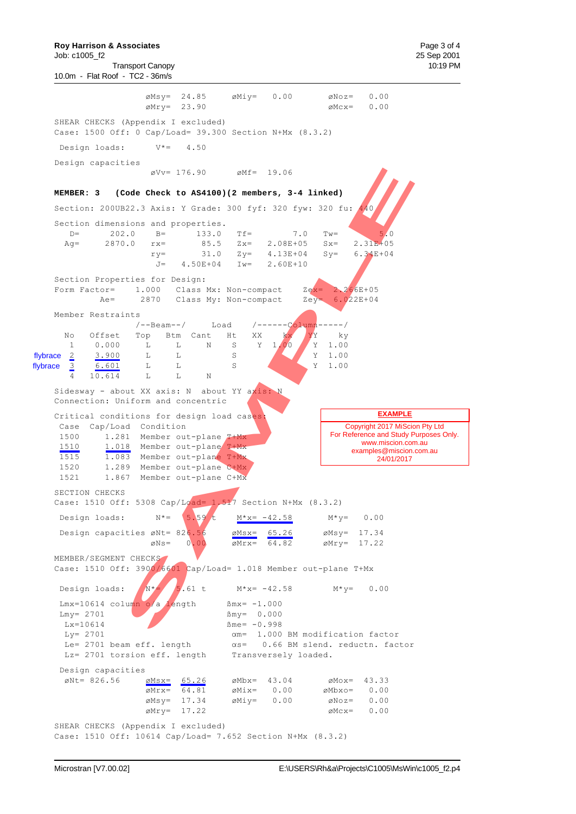**Roy Harrison & Associates**  Page 3 of 4 Job: c1005\_f2 25 Sep 2001 Transport Canopy 10:19 PM 10.0m - Flat Roof - TC2 - 36m/s  $\emptyset$ Msy= 24.85  $\emptyset$ Miy= 0.00  $\emptyset$ Noz= 0.00  $\varnothing$ Mry= 23.90  $\varnothing$ Mcx= 0.00 SHEAR CHECKS (Appendix I excluded) Case: 1500 Off: 0 Cap/Load= 39.300 Section N+Mx (8.3.2) Design loads: V\*= 4.50 Design capacities  $\text{\#Vv} = 176.90$   $\text{\#Mf} = 19.06$ **MEMBER: 3 (Code Check to AS4100)(2 members, 3-4 linked)** Section: 200UB22.3 Axis: Y Grade: 300 fyf: 320 fyw: 320 fu: 440 Section dimensions and properties. D=  $202.0$  B=  $133.0$  Tf=  $7.0$  Tw= Ag= 2870.0 rx= 85.5 Zx= 2.08E+05 Sx= 2.31E+05  $ry=$  31.0  $Zy=$  4.13E+04  $Sy=$  6.34E+04<br> $J=$  4.50E+04 Iw= 2.60E+10 4.50E+04 Iw= 2.60E+10 Section Properties for Design: Form Factor= 1.000 Class Mx: Non-compact Zex= 2.266E+05 Ae= 2870 Class My: Non-compact Zey= 6.022E+04 Member Restraints /--Beam--/ Load /------Column-----/ No Offset Top Btm Cant Ht XX kx YY ky 1 0.000 L L N S Y 1.00 Y 1.00 2 3.900 L L S Y 1.00 3 6.601 L L S Y 1.00 4 10.614 L L N Sidesway - about XX axis: N about YY axis: N Connection: Uniform and concentric Critical conditions for design load cases Case Cap/Load Condition 1500 1.281 Member out-plane T+Mx 1510 1.018 Member out-plane T+Mx 1515 1.083 Member out-plane T+Mx 1520 1.289 Member out-plane C+Mx 1521 1.867 Member out-plane C+Mx SECTION CHECKS Case: 1510 Off: 5308 Cap/Load= 1.517 Section N+Mx  $(8.3.2)$ Design loads:  $N^* = \begin{bmatrix} 5.59 \ t \end{bmatrix}$   $M^* = -42.58$   $M^* = 0.00$ Design capacities  $\varnothing$ Nt= 826.56  $\varnothing$ Msx= 65.26  $\varnothing$ Msy= 17.34  $\varnothing$ Ns= 0.00  $\varnothing$ Mrx= 64.82  $\varnothing$ Mry= 17.22 MEMBER/SEGMENT CHECKS Case: 1510 Off: 3900/6601 Cap/Load= 1.018 Member out-plane T+Mx Design loads:  $N^* = 5.61 \text{ t}$  M\*x= -42.58 M\*y= 0.00 Lmx=10614 column o/a length  $\text{Bmx} = -1.000$  $\texttt{Lmy} = 2701$   $\texttt{Bmy} = 0.000$  $Lx = 10614$   $\beta$  me= -0.998  $Ly = 2701$   $\alpha m = 1.000$  BM modification factor Le= 2701 beam eff. length  $\alpha s= 0.66$  BM slend. reductn. factor Lz= 2701 torsion eff. length Transversely loaded. Design capacities  $\emptyset$ Nt= 826.56  $\emptyset$ Msx= 65.26  $\emptyset$ Mbx= 43.04  $\emptyset$ Mox= 43.33  $\varnothing$ Mrx= 64.81  $\varnothing$ Mix= 0.00  $\varnothing$ Mbxo= 0.00  $\varnothing$ Msy= 17.34  $\varnothing$ Miy= 0.00  $\varnothing$ Noz= 0.00  $\varnothing$ Mry= 17.22  $\varnothing$ Mcx= 0.00 flybrace  $2$ flybrace Copyright 2017 MiScion Pty Ltd For Reference and Study Purposes Only. www.miscion.com.au examples@miscion.com.au 24/01/2017 **EXAMPLE** sVv= 176.90 eMf= 19.06<br>
Scde Check to A84100)(2 members, 3-4 linked)<br>
Soloms and properties.<br>
1.0 m-<br>
1.0 m-<br>
Sample The Sample Check (1991)<br>
1.0 m-<br>
1.0 m-<br>
1.3 m-<br>
1.0 m-<br>
1.3 m-<br>
1.0 m-<br>
1.3 m-<br>
1.0 m-<br>
1.0 m-<br>
1.0 m-<br>

SHEAR CHECKS (Appendix I excluded) Case: 1510 Off: 10614 Cap/Load= 7.652 Section N+Mx (8.3.2)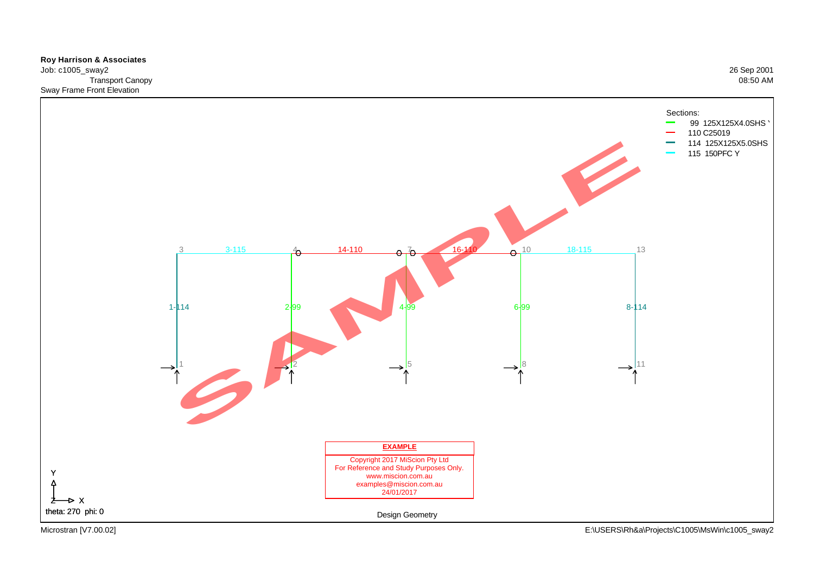**Roy Harrison & Associates**  Job: c1005\_sway2 26 Sep 2001 Transport Canopy 08:50 AM Sway Frame Front Elevation



Microstran [V7.00.02] E:\USERS\Rh&a\Projects\C1005\MsWin\c1005\_sway2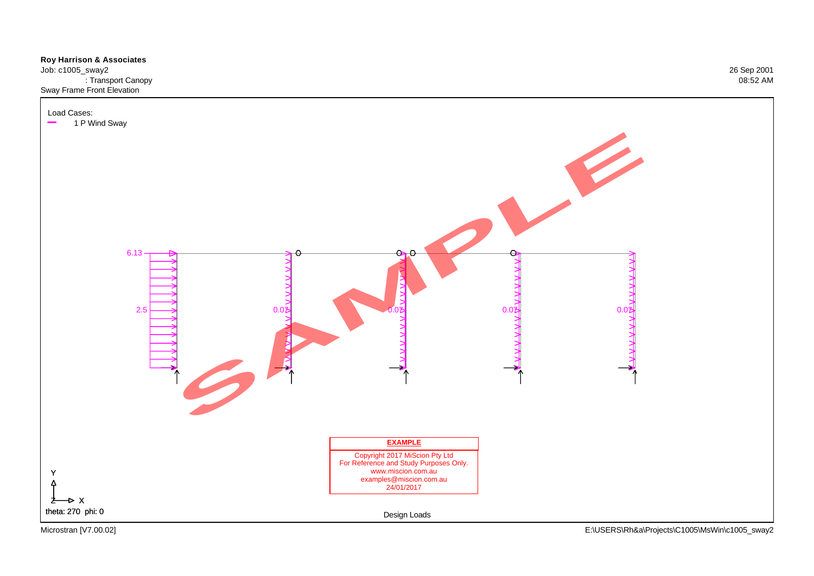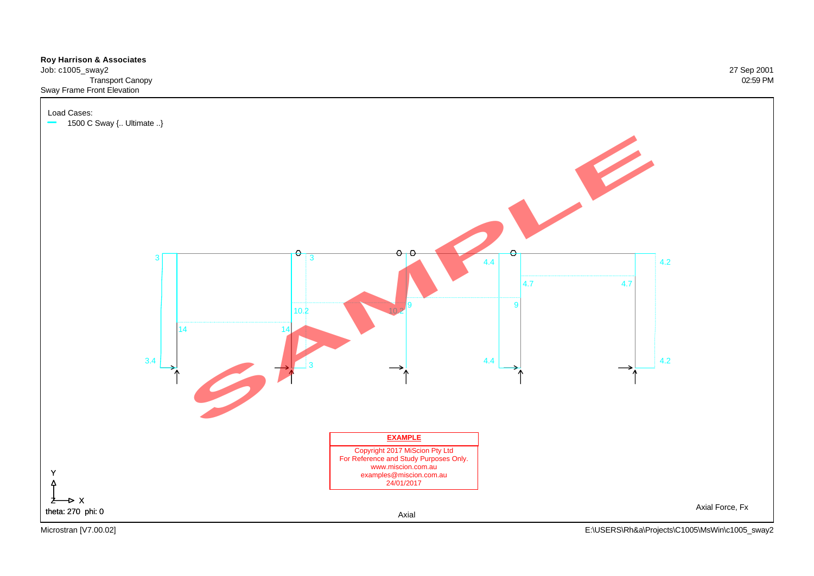

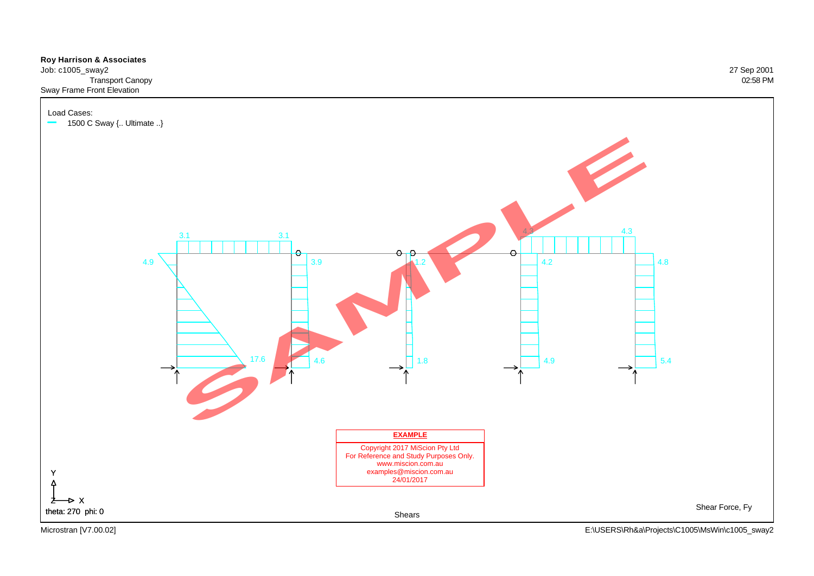

Job: c1005\_sway2 27 Sep 2001 Transport Canopy 02:58 PM Sway Frame Front Elevation

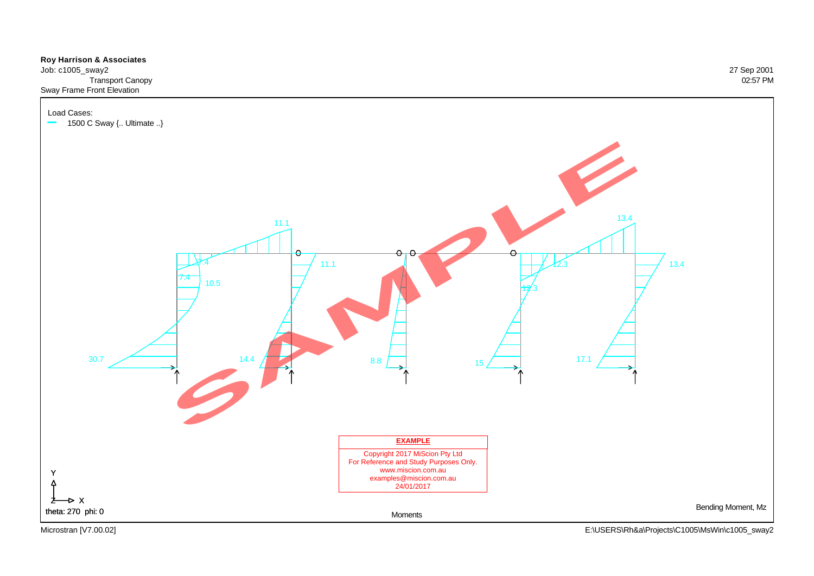

![](_page_32_Figure_1.jpeg)

Microstran [V7.00.02] E:\USERS\Rh&a\Projects\C1005\MsWin\c1005\_sway2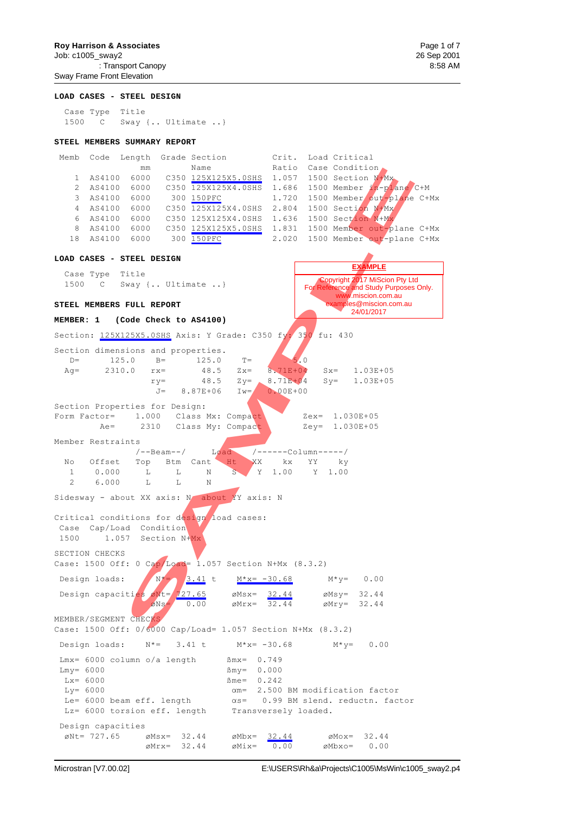#### **Roy Harrison & Associates Page 1 of 7 Page 1 of 7 Page 1 of 7 Page 1 of 7 Page 1 of 7 Page 1 of 7**

Job: c1005\_sway2 26 Sep 2001 : Transport Canopy 8:58 AM Sway Frame Front Elevation

#### **LOAD CASES - STEEL DESIGN**

 Case Type Title 1500 C Sway {.. Ultimate ..}

#### **STEEL MEMBERS SUMMARY REPORT**

| Memb | Code   |      | Length Grade Section | Crit. | Load Critical                       |
|------|--------|------|----------------------|-------|-------------------------------------|
|      |        | mm   | Name                 | Ratio | Case Condition                      |
|      | AS4100 | 6000 | C350 125X125X5.0SHS  | 1.057 | 1500 Section N+Mx                   |
|      | AS4100 | 6000 | C350 125X125X4.0SHS  |       | $1.686$ 1500 Member $1n$ -plane C+M |
| 3    | AS4100 | 6000 | 300 150PFC           |       | 1.720 1500 Member out-plane C+Mx    |
| 4    | AS4100 | 6000 | C350 125X125X4.0SHS  | 2.804 | 1500 Section N+Mx                   |
| 6    | AS4100 | 6000 | C350 125X125X4.0SHS  | 1.636 | 1500 Section N+Mx                   |
| 8    | AS4100 | 6000 | C350 125X125X5.0SHS  |       | 1.831 1500 Member out-plane C+Mx    |
| 18   | AS4100 | 6000 | 300 150PFC           |       | 2.020 1500 Member out-plane C+Mx    |

### **LOAD CASES - STEEL DESIGN** Case Type Title 1500 C Sway {.. Ultimate .. } **STEEL MEMBERS FULL REPORT MEMBER: 1 (Code Check to AS4100)** Section: 125X125X5.0SHS Axis: Y Grade: C350 fy: 350 fu: 430 Section dimensions and properties.  $D=$  125.0 B= 125.0 T= 5.0 Ag= 2310.0 rx= 48.5 Zx= 8.71E+04 Sx= 1.03E+05  $ry=$  48.5  $Zy=$  8.71E+04  $Sy=$  1.03E+05 J= 8.87E+06 Iw= 0.00E+00 Section Properties for Design: Form Factor= 1.000 Class Mx: Compact Zex= 1.030E+05 Ae= 2310 Class My: Compact Zey= 1.030E+05 Member Restraints /--Beam--/ Load /------Column-----/ No Offset Top Btm Cant Ht XX kx YY ky 1 0.000 L L N S Y 1.00 Y 1.00 1 0.000 L L N<br>2 6.000 L L N Sidesway - about XX axis: N about YY axis: N Critical conditions for design load cases: Case Cap/Load Condition 1500 1.057 Section N+Mx SECTION CHECKS Case: 1500 Off: 0 Cap/Load= 1.057 Section N+Mx  $(8.3.2)$ Design loads:  $N^*=$  3.41 t  $M^*x = -30.68$   $M^*y = 0.00$ Design capacities  $\omega$ Nt=  $\sqrt{27.65}$   $\omega$ Msx=  $32.44$   $\omega$ Msy= 32.44  $\delta$ Ns= 0.00  $\delta$ Mrx=  $\frac{32.44}{32.44}$   $\delta$ Mry= 32.44 MEMBER/SEGMENT CHECKS Case: 1500 Off: 0/6000 Cap/Load= 1.057 Section N+Mx (8.3.2) Design loads:  $N^* = 3.41 \text{ t}$   $M^*x = -30.68$   $M^*y = 0.00$  $Lmx = 6000$  column o/a length  $Bmx = 0.749$  $Lmy = 6000$   $\beta my = 0.000$  $Lx = 6000$   $\beta$  me= 0.242 Ly= 6000 **domest computer of the CO**  $\alpha$ m= 2.500 BM modification factor Le=  $6000$  beam eff. length  $\alpha s$ = 0.99 BM slend. reductn. factor Lz= 6000 torsion eff. length Transversely loaded. Design capacities  $\emptyset$ Nt= 727.65  $\emptyset$ Msx= 32.44  $\emptyset$ Mbx= 32.44  $\emptyset$ Mox= 32.44  $\varnothing$ Mrx= 32.44  $\varnothing$ Mix= 0.00  $\varnothing$ Mbxo= 0.00 Copyright 2017 MiScion Pty Ltd For Reference and Study Purposes Only. www.miscion.com.au ples@miscion.com.au 24/01/2017 **EXAMPLE** mm Name (1912)<br>
SAMPLE 1000 C350 <u>225X225X, 05HB</u> 10.057 1500 Section Must<br>
6000 C350 2<u>25X225X4, 05HB</u> 10.057 1500 Kenber Arthur<br>
6000 C350 225X225X4, 05HB 1.720 1500 Kenber Arthur<br>
6000 C350 1253125X4, 05HB 1.720 1500 Ke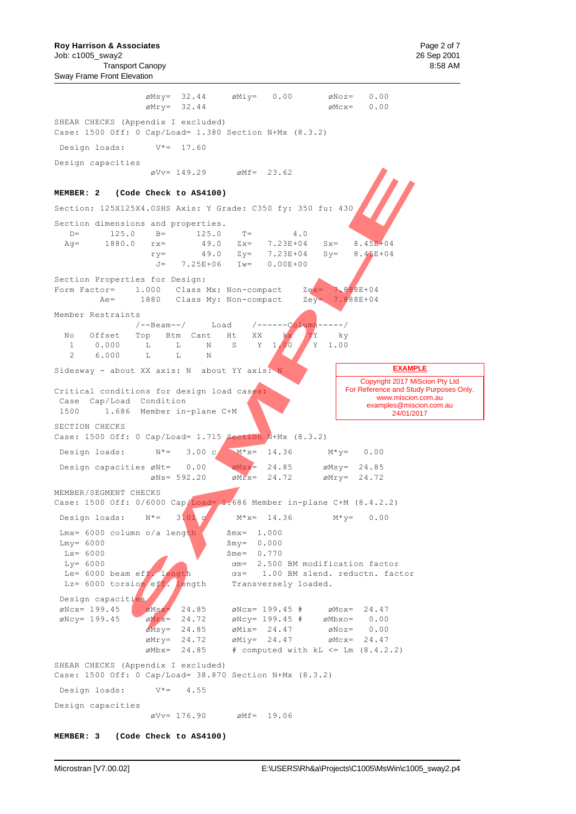**Roy Harrison & Associates Page 2 of 7 Page 2 of 7 Page 2 of 7 Page 2 of 7 Page 2 of 7** 

Sway Frame Front Elevation

 $\emptyset$ Msy= 32.44  $\emptyset$ Miy= 0.00  $\emptyset$ Noz= 0.00  $\varnothing$ Mry= 32.44  $\varnothing$ Mcx= 0.00 SHEAR CHECKS (Appendix I excluded) Case: 1500 Off: 0 Cap/Load= 1.380 Section N+Mx (8.3.2) Design loads: V\*= 17.60 Design capacities  $\text{\degree}$ Vv= 149.29  $\text{\degree}$ Mf= 23.62 **MEMBER: 2 (Code Check to AS4100)** Section: 125X125X4.0SHS Axis: Y Grade: C350 fy: 350 fu: 430 Section dimensions and properties.<br>D= 125.0 B= 125.0 D= 125.0 B= 125.0 T= 4.0<br>Ad= 1880.0 rx= 49.0 Zx= 7.23E+04 Ag= 1880.0  $rx=$  49.0  $Zx=$  7.23E+04  $Sx=$  8.45E+04<br>  $ry=$  49.0  $Zy=$  7.23E+04  $Sy=$  8.45E+04 ry= 49.0 Zy= 7.23E+04 Sy= 8.45E+04<br>J= 7.25E+06 Iw= 0.00E+00 7.25E+06 Iw= 0.00E+00 Section Properties for Design: Form Factor=  $1.000$  Class Mx: Non-compact  $Ze^{x} = 7.888E+04$ Ae= 1880 Class My: Non-compact Zey= 7.888E+04 Member Restraints /--Beam--/ Load /------Column-----/ No Offset Top Btm Cant Ht XX kx YY ky 1 0.000 L L N S Y 1.00 Y 1.00 2 6.000 L L N Sidesway - about XX axis: N about YY axis: Critical conditions for design load cases: Case Cap/Load Condition 1500 1.686 Member in-plane C+M SECTION CHECKS Case: 1500 Off: 0 Cap/Load= 1.715 Section N+Mx (8.3.2) Design loads:  $N^* = 3.00 \text{ C}$   $M^*x = 14.36$   $M^*y = 0.00$ Design capacities  $\varnothing$ Nt= 0.00  $\varnothing$ Msx= 24.85  $\emptyset$ Nt= 0.00  $\emptyset$ Msx= 24.85  $\emptyset$ Msy= 24.85<br>  $\emptyset$ Ns= 592.20  $\emptyset$ Mrx= 24.72  $\emptyset$ Mry= 24.72 MEMBER/SEGMENT CHECKS Case: 1500 Off: 0/6000 Cap/Load= 1.686 Member in-plane C+M (8.4.2.2) Design loads:  $N^* = 3.01$  c  $M^* = 14.36$   $M^* = 0.00$ Lmx=  $6000$  column o/a length  $\sim$  Smx= 1.000  $Lmy = 6000$   $\beta my = 0.000$  $Lx = 6000$   $\beta$  me= 0.770 Ly= 6000  $\alpha$ m= 2.500 BM modification factor<br>Le= 6000 beam eff. length  $\alpha$ s= 1.00 BM slend. reductn. fac  $\alpha$ s= 1.00 BM slend. reductn. factor Lz= 6000 torsion eff. length Transversely loaded. Design capacities<br>
ØNcx= 199.45  $\emptyset$ Ncx= 199.45  $\emptyset$ Msx= 24.85  $\emptyset$ Ncx= 199.45 #  $\emptyset$ Mox= 24.47  $\emptyset$ Ncy= 199.45  $\emptyset$ Mrx= 24.72  $\emptyset$ Ncy= 199.45 #  $\emptyset$ Mbxo= 0.00  $\overline{\emptyset}$ Msy= 24.85  $\emptyset$ Mix= 24.47  $\emptyset$ Noz= 0.00  $\varnothing$ Mry= 24.72  $\varnothing$ Miy= 24.47  $\varnothing$ Mcx= 24.47  $\emptyset$ Mbx= 24.85 # computed with kL  $\leq$  Lm (8.4.2.2) SHEAR CHECKS (Appendix I excluded) Case: 1500 Off: 0 Cap/Load= 38.870 Section N+Mx (8.3.2) Design loads:  $V^* = 4.55$ Design capacities  $\varnothing$ Vv= 176.90  $\varnothing$ Mf= 19.06 Copyright 2017 MiScion Pty Ltd For Reference and Study Purposes Only. www.miscion.com.au examples@miscion.com.au 24/01/2017 **EXAMPLE** ove 149.29 oMf = 23.62<br>
Code Check to A84100)<br>
SAM.03H3 Axis: Y Grade: C350 fy: 350 fu: 430<br>
1.0 hm<br>
1.0 hm<br>
1.0 hm<br>
1.0 hm<br>
1.5 hm<br>
1.0 hm<br>
1.9 cm<br>
29 dm 02 fy: 7.23B-104<br>
1.9 cm<br>
1.000 class Mx: Non-compact<br>
2.5 dm 02 mm

**MEMBER: 3 (Code Check to AS4100)**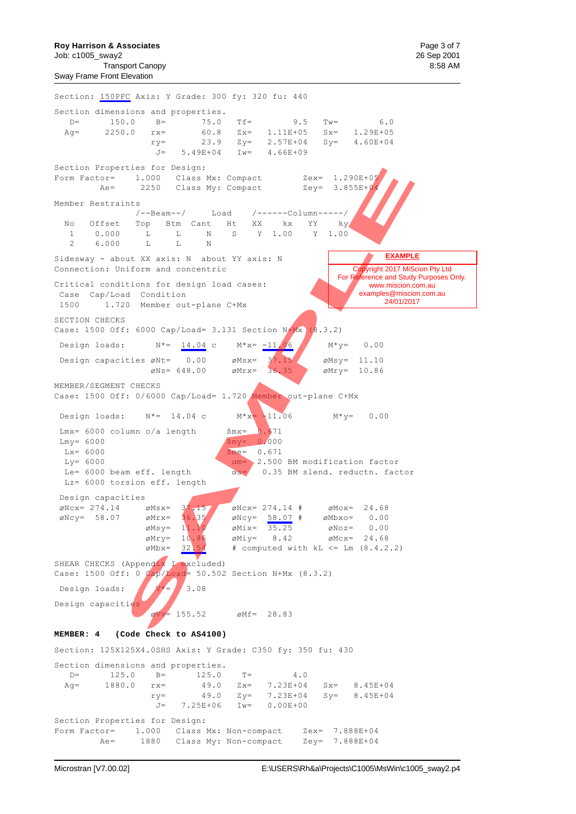**Roy Harrison & Associates Page 3 of 7 Page 3 of 7 Page 3 of 7 Page 3 of 7 Page 3 of 7 Page 3 of 7** 

Sway Frame Front Elevation

Section: 150PFC Axis: Y Grade: 300 fy: 320 fu: 440 Section dimensions and properties. D= 150.0 B= 75.0 Tf= 9.5 Tw= 6.0 Ag= 2250.0  $rx=$  60.8  $Zx=$  1.11E+05  $Sx=$  1.29E+05<br> $xy=$  23.9  $Zy=$  2.57E+04  $Sy=$  4.60E+04 ry= 23.9 Zy= 2.57E+04 Sy= 4.60E+04 J= 5.49E+04 Iw= 4.66E+09 Section Properties for Design: Form Factor= 1.000 Class Mx: Compact 2ex= 1.290E+05<br>Ae= 2250 Class My: Compact 2ey= 3.855E+04 2250 Class My: Compact Member Restraints /--Beam--/ Load /------Column-----/ No Offset Top Btm Cant Ht XX kx YY<br>1 0.000 L L N S Y 1.00 Y<br>2 6.000 L L N 1 0.000 L L N S Y 1.00 Y 1.00  $\begin{array}{ccccccccc} 1 & & 0.000 & & \text{L} & & \text{L} & & \text{N} \\ 2 & & 6.000 & & \text{L} & & \text{L} & & \text{N} \end{array}$ Sidesway - about XX axis: N about YY axis: N Connection: Uniform and concentric Critical conditions for design load cases: Case Cap/Load Condition 1500 1.720 Member out-plane C+Mx SECTION CHECKS Case: 1500 Off: 6000 Cap/Load= 3.131 Section  $N+Mx$  (8.3.2) Design loads:  $N^* = 14.04 \text{ c}$   $M^*x = -11.06$   $M^*y = 0.00$ Design capacities  $\varnothing$ Nt= 0.00  $\varnothing$ Msx= 37.15  $\varnothing$ Msy= 11.10  $\emptyset$ Ns= 648.00  $\emptyset$ Mrx= 36.35  $\emptyset$   $\emptyset$ Mry= 10.86 MEMBER/SEGMENT CHECKS Case: 1500 Off: 0/6000 Cap/Load= 1.720 Member out-plane C+Mx Design loads:  $N^* = 14.04$  c  $M^*x = -11.06$   $M^*y = 0.00$  $Lmx = 6000$  column o/a length  $\text{Bmx} = 0.671$  $Lmv = 6000$   $\beta mv = 0.000$  $Lx = 6000$   $Bme = 0.671$  $Ly= 6000$   $\alpha m= 2.500$  BM modification factor Le= 6000 beam eff. length  $\alpha s = 0.35$  BM slend. reductn. factor Lz= 6000 torsion eff. length Design capacities  $\varnothing$ Ncx= 274.14  $\varnothing$ Msx= 37.15  $\varnothing$ Ncx= 274.14 #  $\varnothing$ Mox= 24.68 ÌNcy= 58.07 ÌMrx= 36.35 ÌNcy= 58.07 # ÌMbxo= 0.00  $\begin{array}{rcl} \n\varnothing \text{Mrx} = & 36.35 \\
\varnothing \text{Msy} = & 11.10 \\
\varnothing \text{Mix} = & \varnothing \text{Mix} = & 35.25 \\
\end{array}$   $\begin{array}{rcl} \n\varnothing \text{Roy} = & 0.00 \\
\varnothing \text{Mix} = & 35.25 \\
\end{array}$  $\varnothing$ Mry= 10.86  $\varnothing$ Miy= 8.42  $\varnothing$ Mcx= 24.68  $\emptyset$ Mbx=  $32.54$  # computed with kL <= Lm (8.4.2.2) SHEAR CHECKS (Appendix I excluded) Case: 1500 Off: 0  $Cap/Load = 50.502$  Section N+Mx (8.3.2) Design loads:  $N^* = 3.08$ Design capacities  $\text{Vv} = 155.52$   $\text{Mf} = 28.83$ **MEMBER: 4 (Code Check to AS4100)** Section: 125X125X4.0SHS Axis: Y Grade: C350 fy: 350 fu: 430 Section dimensions and properties. D= 125.0 B= 125.0 T= 4.0<br>Ag= 1880.0 rx= 49.0 Zx= 7.23E+04 Ag= 1880.0 rx= 49.0 Zx= 7.23E+04 Sx= 8.45E+04  $ry=$  49.0  $Zy=$  7.23E+04  $Sy=$  8.45E+04<br> $J=$  7.25E+06 Iw= 0.00E+00  $J= 7.25E+06$  Iw= Section Properties for Design: Form Factor= 1.000 Class Mx: Non-compact Zex= 7.888E+04 Ae= 1880 Class My: Non-compact Zey= 7.888E+04 Copyright 2017 MiScion Pty Ltd For Reference and Study Purposes Only. www.miscion.com.au examples@miscion.com.au  $^{1}$  24/01/2017 **EXAMPLE** 1.000 Chass Nx; Compact Zex= 1.2902+01<br>
1.000 Chass Nx; Compact Zey= 3.85524<br>
2250 Chass Nx; Compact Zey= 3.85524<br>
7.<br>
7. - Rean--/ Tood /-----Column----/<br>
7. - The Case Nx; NX<br>
5. If  $\frac{1}{2}$  is  $\frac{1}{2}$  is  $\frac{1}{2}$  i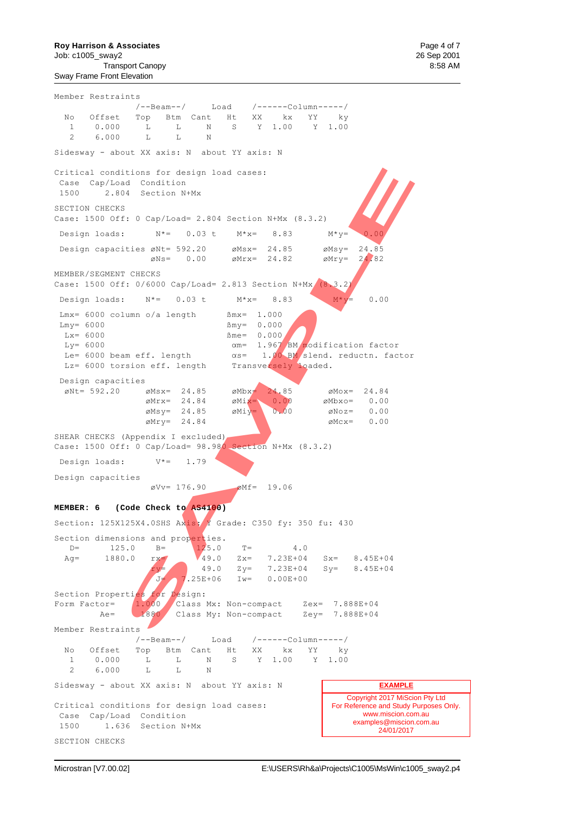**Roy Harrison & Associates**  Page 4 of 7 Job: c1005\_sway2 26 Sep 2001 Transport Canopy 8:58 AM Sway Frame Front Elevation

Member Restraints /--Beam--/ Load /------Column-----/ No Offset Top Btm Cant Ht XX kx YY ky 1 0.000 L L N S Y 1.00 Y 1.00 2 6.000 L L N Sidesway - about XX axis: N about YY axis: N Critical conditions for design load cases: Case Cap/Load Condition 1500 2.804 Section N+Mx SECTION CHECKS Case: 1500 Off: 0 Cap/Load= 2.804 Section N+Mx (8.3.2) Design loads:  $N^* = 0.03$  t  $M^*x = 8.83$   $M^*y = 0.00$ Design capacities  $\emptyset$ Nt= 592.20  $\emptyset$ Msx= 24.85  $\emptyset$ Msy= 24.85<br>  $\emptyset$ Ns= 0.00  $\emptyset$ Mrx= 24.82  $\emptyset$ Mry= 24.82  $\varnothing$ Ns= 0.00 MEMBER/SEGMENT CHECKS Case: 1500 Off: 0/6000 Cap/Load= 2.813 Section N+Mx (8.3.2) Design loads:  $N^*=$  0.03 t  $M^*x=$  8.83  $M^*y=$  0.00  $Lmx = 6000$  column o/a length  $Mmx = 1.000$  $\text{Lmy} = 6000$ <br>  $\text{Lxy} = 6000$ <br>  $\text{Lxy} = 0.000$ <br>  $\text{Bmy} = 0.000$ <br>  $\text{Bmy} = 0.000$  $Bme = 0.000$  $Ly = 6000$   $\alpha m = 1.967 / BW$  modification factor  $L = 6000$  beam eff. length  $\alpha s = 1.00$  BM slend. reductn. factor Lz= 6000 torsion eff. length Transversely loaded. Design capacities  $\varnothing$ Nt= 592.20  $\varnothing$ Msx= 24.85  $\varnothing$ Mbx $=$  24.85  $\varnothing$ Mox= 24.84  $\varnothing$ Mrx= 24.84  $\varnothing$ Mix= 0.00  $\varnothing$ Mbxo= 0.00  $M_{\text{max}} = 24.85$   $M_{\text{max}} = 24.85$   $M_{\text{max}} = 24.84$   $M_{\text{max}} = 0.00$   $M_{\text{max}} = 0.00$   $M_{\text{max}} = 0.00$   $M_{\text{max}} = 0.00$  $\varnothing$ Mry= 24.84  $\varnothing$ Mcx= 0.00 SHEAR CHECKS (Appendix I excluded) Case: 1500 Off: 0 Cap/Load= 98.980 Section N+Mx (8.3.2) Design loads: V\*= 1.79 Design capacities  $\text{\degree O}$ Vv= 176.90  $\text{\degree Mf}$ = 19.06 **MEMBER: 6 (Code Check to AS4100)** Section: 125X125X4.0SHS Axis: Y Grade: C350 fy: 350 fu: 430 Section dimensions and properties.<br> $D = 125.0$   $B = 125.0$ D= 125.0 B=  $125.0$  T=  $4.0$ <br>Aq= 1880.0 rx=  $49.0$  Zx= 7.23E+04 Ag= 1880.0  $rx =$  49.0  $2x = 7.23E+04$   $Sx = 8.45E+04$ <br>49.0  $2y = 7.23E+04$   $Sy = 8.45E+04$  $\begin{array}{cccc} \n\text{ry} = & 49.0 & \n\text{Zy} = & 7.23E + 04 \\
\text{J} = & 7.25E + 06 & \n\end{array}$   $\begin{array}{cccc} \n\text{Ly} = & 7.23E + 04 \\
\text{J} & 0.00E + 00\n\end{array}$  $Tw= 0.00E+0.0$ Section Properties for Design: Form Factor=  $\begin{pmatrix} 1.000 \\ 1.000 \end{pmatrix}$  Class Mx: Non-compact Zex= 7.888E+04 Ae= 1880 Class My: Non-compact Zey= 7.888E+04 Member Restraints /--Beam--/ Load /------Column-----/ No Offset Top Btm Cant Ht XX kx YY ky 1 0.000 L L N S Y 1.00 Y 1.00 2 6.000 L L N Sidesway - about XX axis: N about YY axis: N Critical conditions for design load cases: Case Cap/Load Condition 1500 1.636 Section N+Mx SECTION CHECKS Copyright 2017 MiScion Pty Ltd For Reference and Study Purposes Only. www.miscion.com.au examples@miscion.com.au 24/01/2017 **EXAMPLE** 1.10 a for design load cases:<br>
14 Gondition I-Mx<br>
14 Gondition N-Mx<br>
14 Section N-Mx<br>
16 Cap/Load- 2.804 Section N-Mx<br>
16 Cap/Load- 2.804 Section N-Mx<br>
16 eXt- 592.20<br>
16 eXt- 24.85<br>
16 eXt- 24.85<br>
1.8 eXt- 3.83<br>
1.8 eXt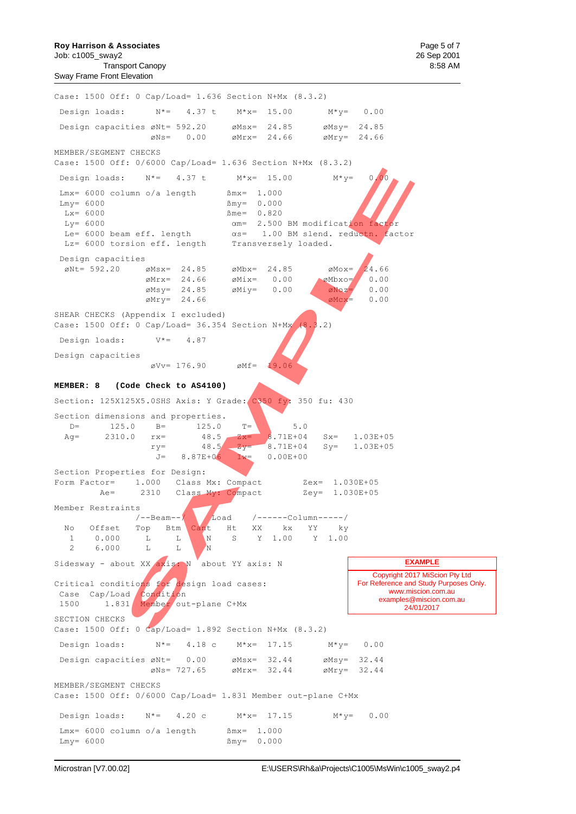**Roy Harrison & Associates Page 5 of 7 Page 5 of 7 Page 5 of 7 Page 5 of 7 Page 5 of 7 Page 5 of 7** Job: c1005\_sway2 26 Sep 2001 Transport Canopy 8:58 AM Sway Frame Front Elevation

Case: 1500 Off: 0 Cap/Load= 1.636 Section N+Mx (8.3.2) Design loads:  $N^* = 4.37 \text{ t}$   $M^*x = 15.00$   $M^*y = 0.00$ Design capacities øNt= 592.20 øMsx= 24.85 øMsy= 24.85  $\varnothing$ Ns= 0.00  $\varnothing$ Mrx= 24.66  $\varnothing$ Mry= 24.66 MEMBER/SEGMENT CHECKS Case: 1500 Off: 0/6000 Cap/Load= 1.636 Section N+Mx (8.3.2) Design loads:  $N^* = 4.37$  t  $M^*x = 15.00$   $M^*y = 0.00$  $Lmx = 6000$  column o/a length  $Mx = 1.000$  $Lmy = 6000$   $\text{Bmy} = 0.000$  $Lx = 6000$ <br> $Ly = 6000$ <br> $Gm = 2.500$  $\alpha$ m= 2.500 BM modification factor Le= 6000 beam eff. length  $\alpha s= 1.00$  BM slend. reductn. factor Lz= 6000 torsion eff. length Transversely loaded. Design capacities  $\emptyset$ Nt= 592.20  $\emptyset$ Msx= 24.85  $\emptyset$ Mbx= 24.85  $\emptyset$ Mox= 24.66  $\emptyset$ Mrx= 24.66  $\emptyset$ Mix= 0.00  $\emptyset$ Mbxo= 0.00  $\emptyset$ Msy= 24.85  $\emptyset$ Miy= 0.00  $\emptyset$   $\emptyset$ Noz= 0.00  $\emptyset$ Mry= 24.66  $\emptyset$ Mcx= 0.00 SHEAR CHECKS (Appendix I excluded) Case: 1500 Off: 0 Cap/Load= 36.354 Section N+Mx (8.3.2) Design loads: V\*= 4.87 Design capacities  $\varnothing$ Vv= 176.90  $\varnothing$ Mf= 19.06 **MEMBER: 8 (Code Check to AS4100)** Section: 125X125X5.0SHS Axis: Y Grade: C350 fy: 350 fu: 430 Section dimensions and properties.  $D=$  125.0 B= 125.0 T= 5.0 Ag= 2310.0  $rx =$  48.5  $Zx =$  8.71E+04 Sx= 1.03E+05  $ry=$  48.5  $Zy=$  8.71E+04 Sy= 1.03E+05  $J= 8.87E+06$  Iw= 0.00E+00 Section Properties for Design: Form Factor= 1.000 Class Mx: Compact Zex= 1.030E+05 Ae= 2310 Class My: Compact Zey= 1.030E+05 Member Restraints /--Beam--/ Load /------Column-----/ No Offset Top Btm Cant Ht XX kx YY ky<br>1 0.000 L L N S Y 1.00 Y 1.00 1 0.000 L L N S Y 1.00 Y 1.00 2 6.000 L L N Sidesway - about XX  $\alpha$ xis: N  $\alpha$  about YY axis: N Critical conditions for design load cases: Case Cap/Load Condition 1500 1.831 Member out-plane C+Mx SECTION CHECKS Case: 1500 Off: 0 Cap/Load= 1.892 Section N+Mx (8.3.2) Design loads: N\*= 4.18 c M\*x= 17.15 M\*y= 0.00 Design capacities  $\varnothing$ Nt= 0.00  $\varnothing$ Msx= 32.44  $\varnothing$ Msy= 32.44  $\emptyset$ Ns= 727.65  $\emptyset$ Mrx= 32.44  $\emptyset$ Mry= 32.44 MEMBER/SEGMENT CHECKS Case: 1500 Off: 0/6000 Cap/Load= 1.831 Member out-plane C+Mx Design loads:  $N^* = 4.20 \text{ c}$   $M^*x = 17.15$   $M^*y = 0.00$  $Lmx = 6000 \text{ column } \circ/a \text{ length}$   $\text{Bmx} = 1.000$  $Lmy = 6000$   $\text{Bmy} = 0.000$ Copyright 2017 MiScion Pty Ltd For Reference and Study Purposes Only. www.miscion.com.au examples@miscion.com.au 24/01/2017 **EXAMPLE** SET 4.37 t Mix= 15.00 Mixy= 0.00<br>
umn o/a length finx= 1.000<br>
finare 0.820<br>
finare 0.820<br>
meetical discusses in the set of the set of the set of the set of the set of the set of the set of the set of the set of the set of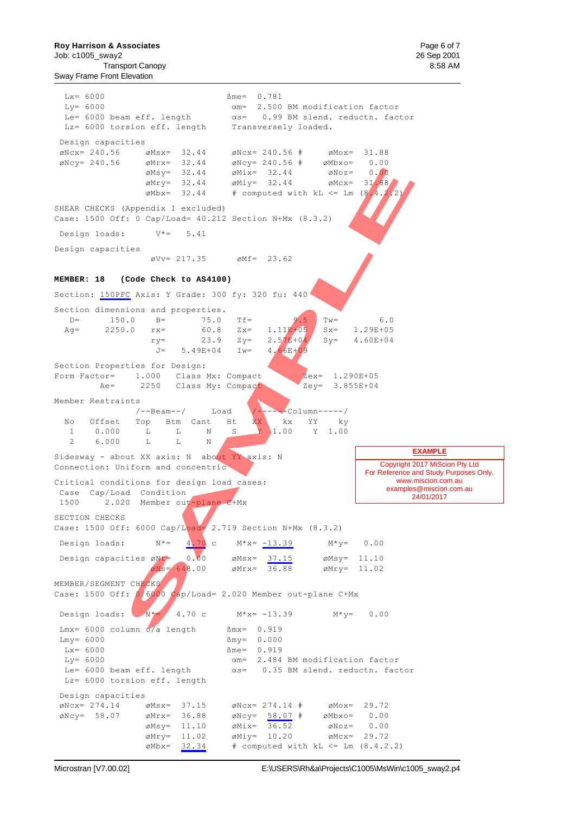**Roy Harrison & Associates Page 6 of 7 Page 6 of 7 Page 6 of 7 Page 6 of 7 Page 6 of 7 Page 6 of 7** Job: c1005\_sway2 26 Sep 2001 Transport Canopy 8:58 AM

Sway Frame Front Elevation

![](_page_38_Figure_3.jpeg)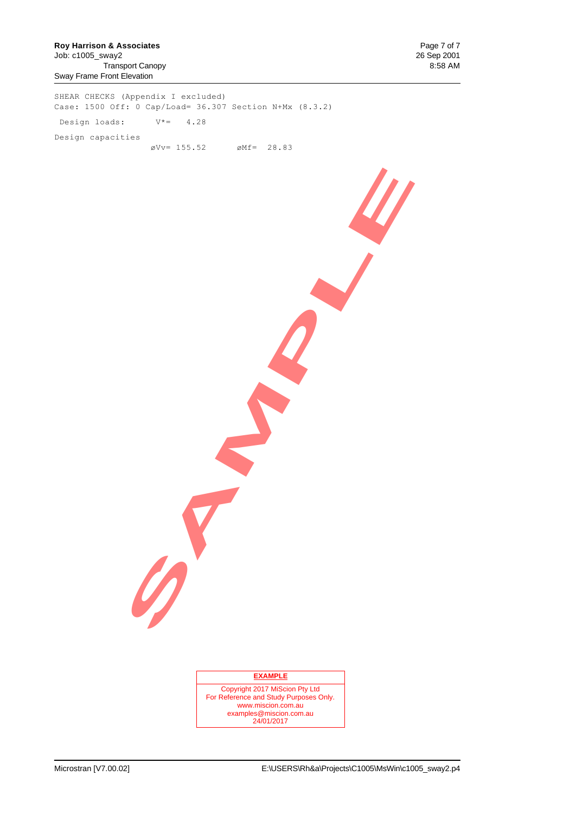SHEAR CHECKS (Appendix I excluded) Case: 1500 Off: 0 Cap/Load= 36.307 Section N+Mx (8.3.2) Design loads:  $V^* = 4.28$ Design capacities  $\text{\degree}$ Vv= 155.52  $\text{\degree}$ Mf= 28.83

#### **EXAMPLE**

**SAMPLE** 

Copyright 2017 MiScion Pty Ltd For Reference and Study Purposes Only. www.miscion.com.au examples@miscion.com.au 24/01/2017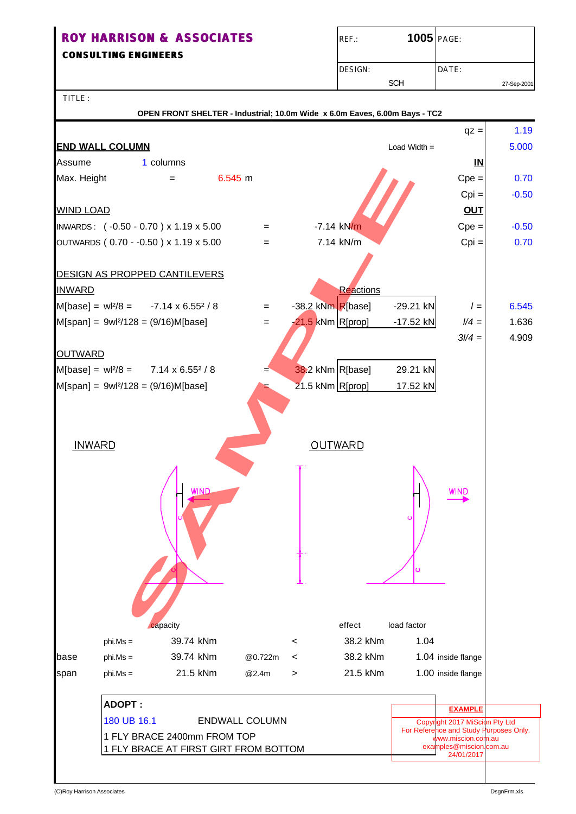**CONSULTING ENGINEERS**

| $REF$ : | <b>1005 PAGE:</b> |             |
|---------|-------------------|-------------|
| DESIGN: |                   | DATE:       |
|         | <b>SCH</b>        | 27-Sep-2001 |

TITLE :

 **OPEN FRONT SHELTER - Industrial; 10.0m Wide x 6.0m Eaves, 6.00m Bays - TC2**

![](_page_40_Figure_5.jpeg)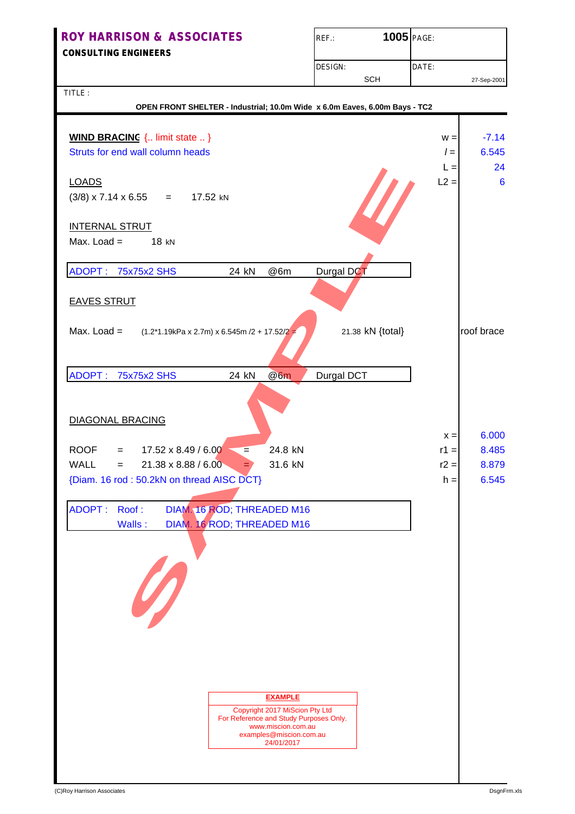| <b>ROY HARRISON &amp; ASSOCIATES</b> | <b>1005</b> PAGE:<br>REF.: |             |
|--------------------------------------|----------------------------|-------------|
| <b>CONSULTING ENGINEERS</b>          |                            |             |
|                                      | DESIGN:                    | DATE:       |
|                                      | SCH                        | 27-Sep-2001 |

TITLE :

| OPEN FRONT SHELTER - Industrial; 10.0m Wide x 6.0m Eaves, 6.00m Bays - TC2    |        |                 |
|-------------------------------------------------------------------------------|--------|-----------------|
|                                                                               |        |                 |
| <b>WIND BRACING</b> { limit state  }                                          | $W =$  | $-7.14$         |
| Struts for end wall column heads                                              | $l =$  | 6.545           |
|                                                                               | $L =$  | 24              |
| <b>LOADS</b>                                                                  | $L2 =$ | $6\phantom{1}6$ |
| $(3/8)$ x 7.14 x 6.55 = 17.52 kN                                              |        |                 |
|                                                                               |        |                 |
| <b>INTERNAL STRUT</b>                                                         |        |                 |
| Max. Load $=$<br>18 kN                                                        |        |                 |
|                                                                               |        |                 |
| ADOPT: 75x75x2 SHS<br>Durgal DCT<br>24 kN<br>@6m                              |        |                 |
|                                                                               |        |                 |
| <b>EAVES STRUT</b>                                                            |        |                 |
|                                                                               |        |                 |
| Max. Load $=$                                                                 |        | roof brace      |
| 21.38 kN {total}<br>$(1.2*1.19kPa \times 2.7m) \times 6.545m / 2 + 17.52/2 =$ |        |                 |
|                                                                               |        |                 |
|                                                                               |        |                 |
| ADOPT: 75x75x2 SHS<br>@6m<br>24 kN<br><b>Durgal DCT</b>                       |        |                 |
|                                                                               |        |                 |
|                                                                               |        |                 |
| <b>DIAGONAL BRACING</b>                                                       |        |                 |
|                                                                               | $x =$  | 6.000           |
| $= 17.52 \times 8.49 / 6.00$<br>24.8 kN<br>ROOF<br>$=$                        | $r1 =$ | 8.485           |
| <b>WALL</b><br>21.38 x 8.88 / 6.00<br>31.6 kN<br>$=$<br>$=$ $\prime$          | $r2 =$ | 8.879           |
| {Diam. 16 rod: 50.2kN on thread AISC DCT}                                     | $h =$  | 6.545           |
|                                                                               |        |                 |
| <b>ADOPT:</b><br>Roof:<br>DIAM. 16 ROD; THREADED M16                          |        |                 |
| DIAM. 16 ROD; THREADED M16<br>Walls:                                          |        |                 |
|                                                                               |        |                 |
|                                                                               |        |                 |
|                                                                               |        |                 |
|                                                                               |        |                 |
| D                                                                             |        |                 |
|                                                                               |        |                 |
|                                                                               |        |                 |
|                                                                               |        |                 |
|                                                                               |        |                 |
|                                                                               |        |                 |
|                                                                               |        |                 |
| <b>EXAMPLE</b>                                                                |        |                 |
| Copyright 2017 MiScion Pty Ltd                                                |        |                 |
| For Reference and Study Purposes Only.<br>www.miscion.com.au                  |        |                 |
| examples@miscion.com.au<br>24/01/2017                                         |        |                 |
|                                                                               |        |                 |
|                                                                               |        |                 |
|                                                                               |        |                 |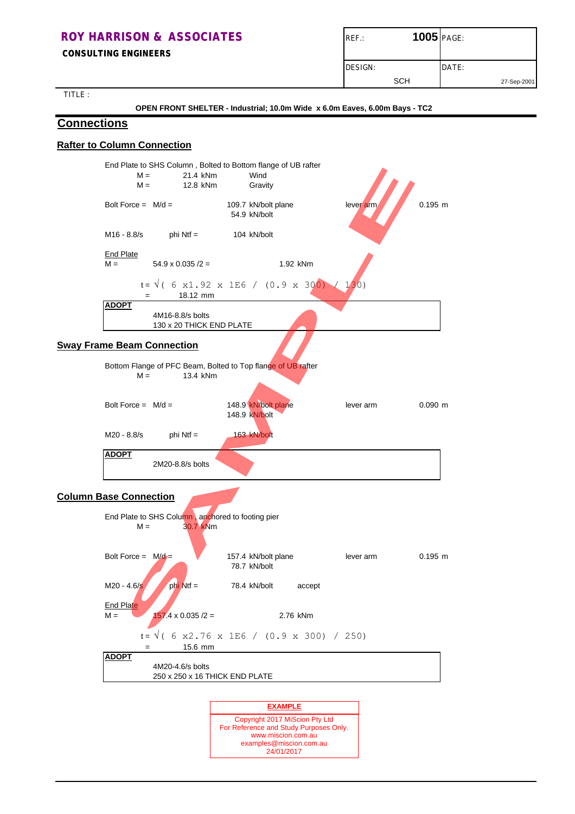| <b>ROY HARRISON &amp; ASSOCIATES</b><br><b>CONSULTING ENGINEERS</b> | <b>1005</b> PAGE:<br>$REF$ : |             |
|---------------------------------------------------------------------|------------------------------|-------------|
|                                                                     | DESIGN:                      | DATE:       |
| TITIE                                                               | SCH                          | 27-Sep-2001 |

TITLE :

 **OPEN FRONT SHELTER - Industrial; 10.0m Wide x 6.0m Eaves, 6.00m Bays - TC2**

### **Connections**

### **Rafter to Column Connection**

![](_page_42_Figure_5.jpeg)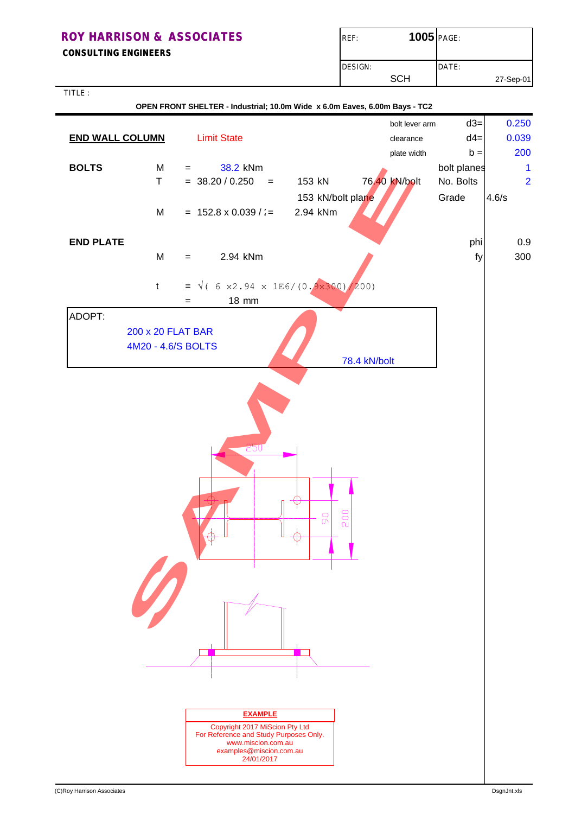| <b>ROY HARRISON &amp; ASSOCIATES</b><br><b>CONSULTING ENGINEERS</b> | <b>1005</b> PAGE:<br>REF: |           |
|---------------------------------------------------------------------|---------------------------|-----------|
|                                                                     | DESIGN:                   | DATE:     |
|                                                                     | <b>SCH</b>                | 27-Sep-01 |
| TITLE:                                                              |                           |           |

| .                      |                                         | OPEN FRONT SHELTER - Industrial; 10.0m Wide x 6.0m Eaves, 6.00m Bays - TC2                                                                                |                               |                |                    |                         |
|------------------------|-----------------------------------------|-----------------------------------------------------------------------------------------------------------------------------------------------------------|-------------------------------|----------------|--------------------|-------------------------|
|                        |                                         |                                                                                                                                                           |                               | bolt lever arm | $d3=$              | 0.250                   |
| <b>END WALL COLUMN</b> |                                         | <b>Limit State</b>                                                                                                                                        |                               | clearance      | $d4=$              | 0.039                   |
|                        |                                         |                                                                                                                                                           |                               | plate width    | $b =$              | 200                     |
| <b>BOLTS</b>           | M                                       | 38.2 kNm<br>$=$                                                                                                                                           |                               |                | bolt planes        | 1                       |
|                        | $\mathsf T$                             | $= 38.20 / 0.250$<br>$\equiv$                                                                                                                             | 153 kN                        | 76.40 kN/bolt  | No. Bolts<br>Grade | $\overline{2}$<br>4.6/s |
|                        | M                                       | $= 152.8 \times 0.039$ / :=                                                                                                                               | 153 kN/bolt plane<br>2.94 kNm |                |                    |                         |
|                        |                                         |                                                                                                                                                           |                               |                |                    |                         |
| <b>END PLATE</b>       |                                         |                                                                                                                                                           |                               |                | phi                | 0.9                     |
|                        | M                                       | 2.94 kNm<br>$=$                                                                                                                                           |                               |                | fy                 | 300                     |
|                        |                                         |                                                                                                                                                           |                               |                |                    |                         |
|                        | $\mathfrak{t}$                          | = $\sqrt{(6 \times 2.94 \times 1E6/(0.9 \times 300)/200)}$                                                                                                |                               |                |                    |                         |
|                        |                                         | 18 mm<br>$=$                                                                                                                                              |                               |                |                    |                         |
| ADOPT:                 |                                         |                                                                                                                                                           |                               |                |                    |                         |
|                        | 200 x 20 FLAT BAR<br>4M20 - 4.6/S BOLTS |                                                                                                                                                           |                               |                |                    |                         |
|                        |                                         |                                                                                                                                                           |                               | 78.4 kN/bolt   |                    |                         |
|                        |                                         |                                                                                                                                                           |                               |                |                    |                         |
|                        |                                         | 20U                                                                                                                                                       | 200<br>$\overline{0}$         |                |                    |                         |
|                        |                                         |                                                                                                                                                           |                               |                |                    |                         |
|                        |                                         | <b>EXAMPLE</b><br>Copyright 2017 MiScion Pty Ltd<br>For Reference and Study Purposes Only.<br>www.miscion.com.au<br>examples@miscion.com.au<br>24/01/2017 |                               |                |                    |                         |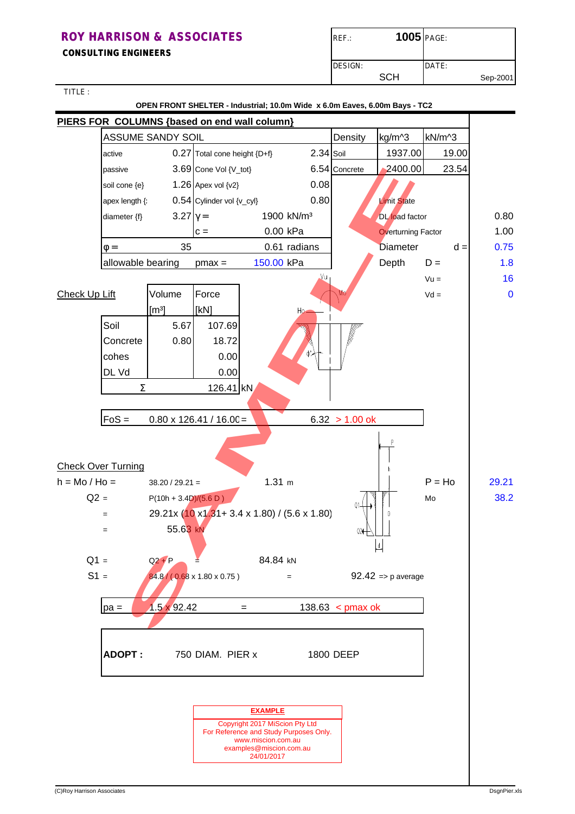**CONSULTING ENGINEERS**

| $REF$ : | <b>1005 PAGE:</b> |          |
|---------|-------------------|----------|
| DESIGN: | DATE:             |          |
| SCH     |                   | Sep-2001 |

TITLE :

 **OPEN FRONT SHELTER - Industrial; 10.0m Wide x 6.0m Eaves, 6.00m Bays - TC2**

![](_page_44_Figure_5.jpeg)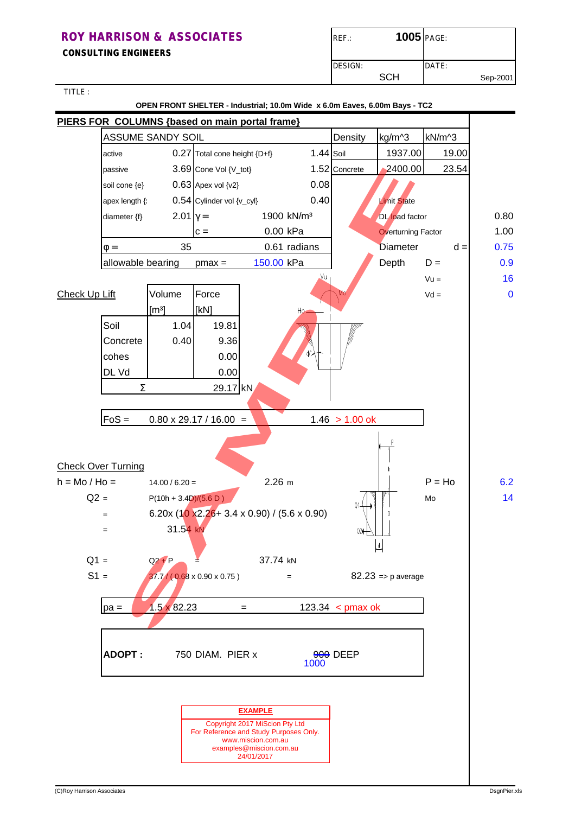**CONSULTING ENGINEERS**

| $REF$ : | 1005 PAGE: |       |          |
|---------|------------|-------|----------|
| DESIGN: |            | DATE: |          |
|         | SCH        |       | Sep-2001 |

TITLE :

 **OPEN FRONT SHELTER - Industrial; 10.0m Wide x 6.0m Eaves, 6.00m Bays - TC2**

![](_page_45_Figure_5.jpeg)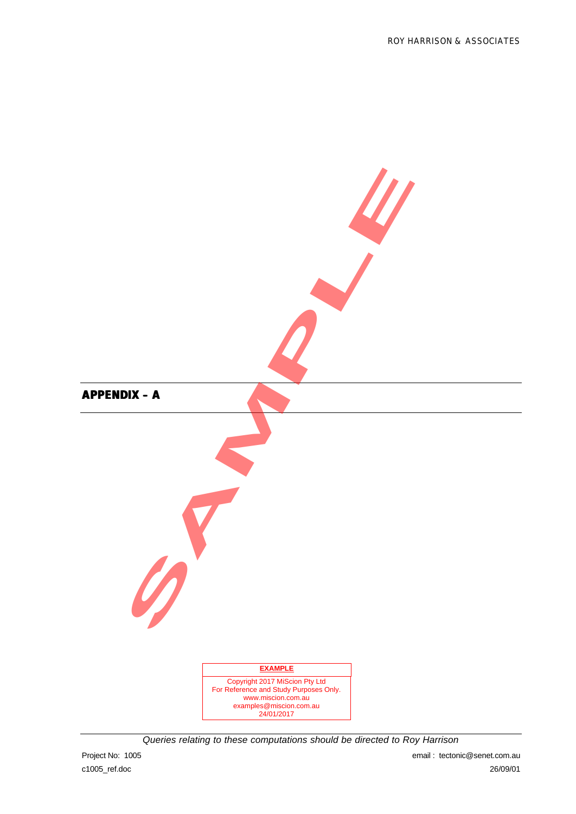![](_page_46_Figure_1.jpeg)

*Queries relating to these computations should be directed to Roy Harrison*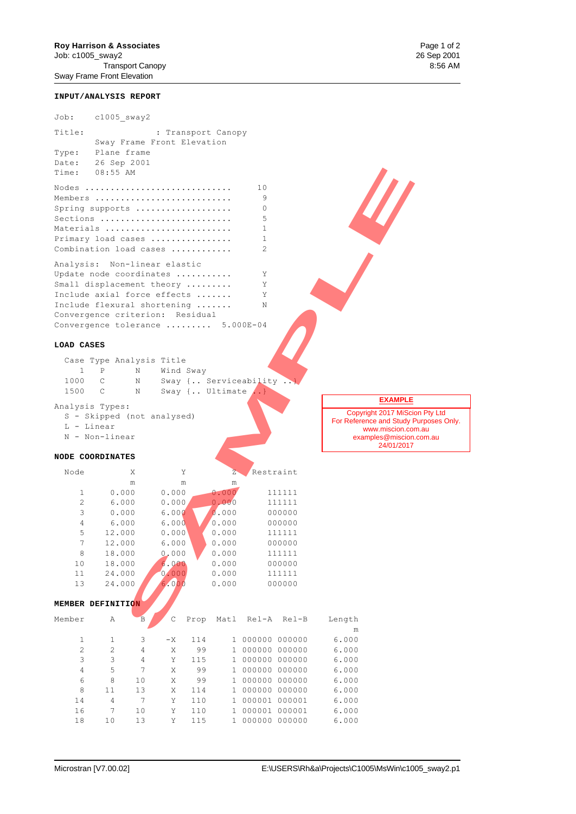Transport Canopy Sway Frame Front Elevation

#### **INPUT/ANALYSIS REPORT**

| Job:           | $c1005$ sway2                    |                |           |                         |       |                  |        |                                                   |
|----------------|----------------------------------|----------------|-----------|-------------------------|-------|------------------|--------|---------------------------------------------------|
| Title:         |                                  |                |           | : Transport Canopy      |       |                  |        |                                                   |
|                | Sway Frame Front Elevation       |                |           |                         |       |                  |        |                                                   |
| Type:          | Plane frame                      |                |           |                         |       |                  |        |                                                   |
| Date:          | 26 Sep 2001                      |                |           |                         |       |                  |        |                                                   |
| Time:          | $08:55$ AM                       |                |           |                         |       |                  |        |                                                   |
| Nodes          |                                  |                |           |                         | 10    |                  |        |                                                   |
|                | Members                          |                |           |                         | 9     |                  |        |                                                   |
|                | Spring supports                  |                |           |                         | 0     |                  |        |                                                   |
|                | Sections                         |                |           |                         | 5     |                  |        |                                                   |
|                | Materials                        |                |           |                         | 1     |                  |        |                                                   |
|                | Primary load cases               |                |           |                         | 1     |                  |        |                                                   |
|                | Combination load cases           |                |           |                         | 2     |                  |        |                                                   |
|                | Analysis: Non-linear elastic     |                |           |                         |       |                  |        |                                                   |
|                | Update node coordinates          |                |           |                         | Υ     |                  |        |                                                   |
|                | Small displacement theory        |                |           |                         | Υ     |                  |        |                                                   |
|                | Include axial force effects      |                |           |                         | Υ     |                  |        |                                                   |
|                | Include flexural shortening      |                |           |                         | Ν     |                  |        |                                                   |
|                | Convergence criterion: Residual  |                |           |                         |       |                  |        |                                                   |
|                | Convergence tolerance  5.000E-04 |                |           |                         |       |                  |        |                                                   |
|                |                                  |                |           |                         |       |                  |        |                                                   |
| LOAD CASES     |                                  |                |           |                         |       |                  |        |                                                   |
|                | Case Type Analysis Title         |                |           |                         |       |                  |        |                                                   |
| 1              | Ρ<br>Ν                           |                | Wind Sway |                         |       |                  |        |                                                   |
| 1000           | С<br>Ν                           |                |           | Sway { Serviceability ) |       |                  |        |                                                   |
| 1500           | $\mathsf{C}$<br>Ν                |                |           | Sway { Ultimate  }      |       |                  |        |                                                   |
|                | Analysis Types:                  |                |           |                         |       |                  |        | <b>EXAMPLE</b>                                    |
|                | S - Skipped (not analysed)       |                |           |                         |       |                  |        | Copyright 2017 MiSci<br>For Reference and Study F |
| L - Linear     |                                  |                |           |                         |       |                  |        | www.miscion.cor                                   |
|                | N - Non-linear                   |                |           |                         |       |                  |        | examples@miscion                                  |
|                |                                  |                |           |                         |       |                  |        | 24/01/2017                                        |
|                | <b>NODE COORDINATES</b>          |                |           |                         |       |                  |        |                                                   |
| Node           | Χ                                |                | Υ         | $\overline{z}$          |       | Restraint        |        |                                                   |
|                | m                                |                | m         | m                       |       |                  |        |                                                   |
| 1              | 0.000                            | 0.000          |           | 0.000                   |       | 111111           |        |                                                   |
| 2              | 6.000                            | 0.000          |           | 0.000                   |       | 111111           |        |                                                   |
| 3              | 0.000                            | 6.000          |           | 0.000                   |       | 000000           |        |                                                   |
| $\overline{4}$ | 6.000                            | 6.000          |           | 0.000                   |       | 000000           |        |                                                   |
| 5              | 12.000                           | 0.000          |           | 0.000                   |       | 111111           |        |                                                   |
| 7              | 12.000                           | 6.000          |           | 0.000                   |       | 000000           |        |                                                   |
| $\,8\,$        | 18.000                           | 0.000          |           | 0.000                   |       | 111111           |        |                                                   |
| 10             | 18.000                           | 6.000          |           | 0.000                   |       | 000000           |        |                                                   |
| 11<br>13       | 24.000<br>24.000                 | 0.000<br>6.000 |           | 0.000<br>0.000          |       | 111111<br>000000 |        |                                                   |
|                |                                  |                |           |                         |       |                  |        |                                                   |
|                | MEMBER DEFINITION                |                |           |                         |       |                  |        |                                                   |
|                |                                  |                |           |                         |       |                  |        |                                                   |
| Member         | Α                                | В<br>С         | Prop      | Matl                    | Rel-A | Rel-B            | Length |                                                   |
|                |                                  |                |           |                         |       |                  | m      |                                                   |

#### **LOAD CASES**

|      | Case Type Analysis Title |           |                       |  |
|------|--------------------------|-----------|-----------------------|--|
|      | N                        | Wind Sway |                       |  |
| 1000 | N                        |           | Sway { Serviceability |  |
| 1500 | N                        |           | Sway { Ultimate  }    |  |
|      |                          |           |                       |  |

```
 L - Linear
```
#### **NODE COORDINATES**

| Node | X      | Y         | $\overline{Z}$ | Restraint |
|------|--------|-----------|----------------|-----------|
|      | m      | m         | m              |           |
| 1    | 0.000  | 0.000     | 0.000          | 111111    |
| 2    | 6.000  | 0.000     | 0.000          | 111111    |
| 3    | 0.000  | 6.000     | 0.000          | 000000    |
| 4    | 6.000  | 6.000     | 0.000          | 000000    |
| 5    | 12.000 | 0.000     | 0.000          | 111111    |
| 7    | 12.000 | 6.000     | 0.000          | 000000    |
| 8    | 18.000 | 0.000     | 0.000          | 111111    |
| 10   | 18.000 | .000<br>6 | 0.000          | 000000    |
| 11   | 24.000 | .000      | 0.000          | 111111    |
| 13   | 24.000 | 6.000     | 0.000          | 000000    |

#### **MEMBER DEFINITION**

| Member         | Α              | B              | C    | Prop | Matl | Rel-A         | Rel-B  | Length |
|----------------|----------------|----------------|------|------|------|---------------|--------|--------|
|                |                |                |      |      |      |               |        | m      |
| 1              | 1              | 3              | $-X$ | 114  |      | 000000        | 000000 | 6.000  |
| $\overline{c}$ | $\mathfrak{D}$ | 4              | X    | 99   |      | 000000        | 000000 | 6.000  |
| 3              | 3              | 4              | Y    | 115  |      | 000000 000000 |        | 6.000  |
| 4              | 5              | 7              | X    | 99   |      | 000000 000000 |        | 6.000  |
| 6              | 8              | 1 <sub>0</sub> | X    | 99   |      | 000000 000000 |        | 6.000  |
| 8              | 11             | 13             | X    | 114  |      | 000000        | 000000 | 6.000  |
| 14             | 4              | 7              | Y    | 110  |      | 000001        | 000001 | 6.000  |
| 16             | 7              | 1 <sub>0</sub> | Y    | 110  |      | 000001        | 000001 | 6.000  |
| 18             | 10             | 13             | Y    | 115  |      | 000000        | 000000 | 6.000  |
|                |                |                |      |      |      |               |        |        |

#### **EXAMPLE**

Copyright 2017 MiScion Pty Ltd For Reference and Study Purposes Only. www.miscion.com.au examples@miscion.com.au 24/01/2017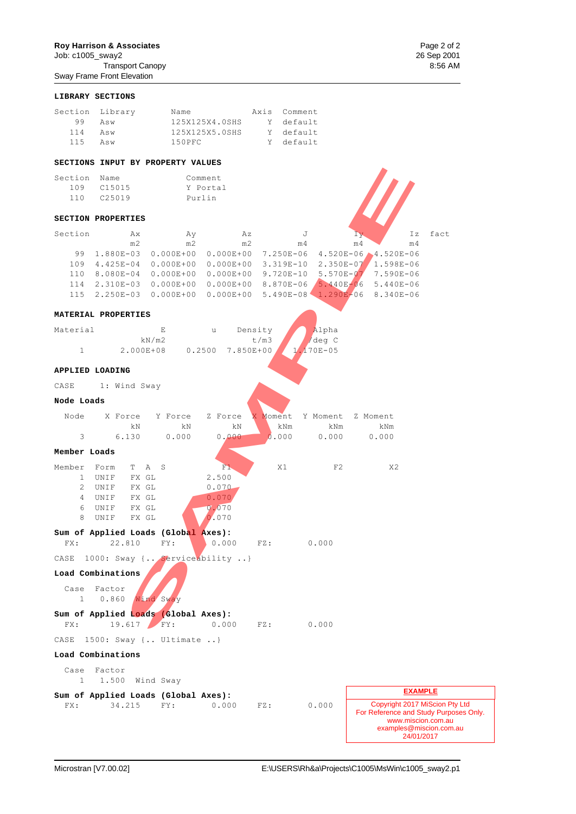# **Roy Harrison & Associates** Page 2 of 2<br>
Job: c1005\_sway2 26 Sep 2001

Job: c1005\_sway2 26 Sep 2001 Transport Canopy

|                       | Sway Frame Front Elevation      |                                                                       |                |          |              |                       |                |                             |      |
|-----------------------|---------------------------------|-----------------------------------------------------------------------|----------------|----------|--------------|-----------------------|----------------|-----------------------------|------|
|                       | LIBRARY SECTIONS                |                                                                       |                |          |              |                       |                |                             |      |
|                       | Section Library                 |                                                                       | Name           |          | Axis Comment |                       |                |                             |      |
| 99                    | Asw                             |                                                                       | 125X125X4.0SHS |          | Y default    |                       |                |                             |      |
| 114                   | Asw                             |                                                                       | 125X125X5.0SHS |          | Y default    |                       |                |                             |      |
| 115                   | Asw                             | 150PFC                                                                |                |          | Y default    |                       |                |                             |      |
|                       |                                 | SECTIONS INPUT BY PROPERTY VALUES                                     |                |          |              |                       |                |                             |      |
| Section Name          |                                 |                                                                       | Comment        |          |              |                       |                |                             |      |
|                       | 109 C15015                      |                                                                       | Y Portal       |          |              |                       |                |                             |      |
| 110                   | C25019                          |                                                                       | Purlin         |          |              |                       |                |                             |      |
|                       | <b>SECTION PROPERTIES</b>       |                                                                       |                |          |              |                       |                |                             |      |
| Section               | Ax                              | Ay                                                                    | Αz             |          | J            |                       | I y            | Ιz                          | fact |
|                       | m2                              | m2                                                                    |                | m2       | m 4          |                       | m <sub>4</sub> | m <sub>4</sub>              |      |
|                       |                                 | 99 1.880E-03 0.000E+00 0.000E+00 7.250E-06                            |                |          |              |                       |                | $4.520E - 06 - 4.520E - 06$ |      |
|                       |                                 | 109 4.425E-04 0.000E+00 0.000E+00 3.319E-10 2.350E-07 1.598E-06       |                |          |              |                       |                |                             |      |
|                       |                                 | 110 8.080E-04 0.000E+00 0.000E+00 9.720E-10 5.570E-07 7.590E-06       |                |          |              |                       |                |                             |      |
|                       |                                 | 114  2.310E-03  0.000E+00  0.000E+00  8.870E-06  5.440E-06  5.440E-06 |                |          |              |                       |                |                             |      |
|                       |                                 | 115  2.250E-03  0.000E+00  0.000E+00  5.490E-08  1.290E-06  8.340E-06 |                |          |              |                       |                |                             |      |
|                       | MATERIAL PROPERTIES             |                                                                       |                |          |              |                       |                |                             |      |
| Material              |                                 | E                                                                     | u              | Density  |              | Alpha                 |                |                             |      |
| $\mathbf{1}$          |                                 | kN/m2<br>2.000E+08 0.2500                                             | 7.850E+00      | t/m3     |              | /deg C<br>$170E - 05$ |                |                             |      |
|                       |                                 |                                                                       |                |          |              |                       |                |                             |      |
| CASE                  | APPLIED LOADING<br>1: Wind Sway |                                                                       |                |          |              |                       |                |                             |      |
| Node Loads            |                                 |                                                                       |                |          |              |                       |                |                             |      |
| Node                  | X Force                         | Y Force                                                               | Z Force        | X Moment |              | Y Moment              | Z Moment       |                             |      |
|                       | kN                              | kΝ                                                                    | kΝ             |          | kNm          | kNm                   |                | kNm                         |      |
| 3                     | 6.130                           | 0.000                                                                 | 0,000          |          | 0.000        | 0.000                 |                | 0.000                       |      |
| Member Loads          |                                 |                                                                       |                |          |              |                       |                |                             |      |
| Member                | Form<br>$\mathbb{T}$            | A<br>S                                                                | F1.            |          | X1           | F2                    |                | X2                          |      |
| $\mathbf{1}$          | UNIF<br>FX GL                   |                                                                       | 2.500          |          |              |                       |                |                             |      |
| $\mathbf{2}^{\prime}$ | UNIF<br>FX GL                   |                                                                       | 0.070          |          |              |                       |                |                             |      |
| $\overline{4}$        | UNIF<br>FX GL                   |                                                                       | 0.070          |          |              |                       |                |                             |      |
|                       |                                 |                                                                       |                |          |              |                       |                |                             |      |
| 8                     | 6 UNIF FX GL<br>UNIF<br>FX GL   |                                                                       | 0.070<br>0.070 |          |              |                       |                |                             |      |
|                       |                                 | Sum of Applied Loads (Global Axes):                                   |                |          |              |                       |                |                             |      |
| FX:                   | 22.810                          | FY:                                                                   | 0.000          |          | $FZ$ :       | 0.000                 |                |                             |      |
|                       |                                 | CASE 1000: Sway { Serviceability }                                    |                |          |              |                       |                |                             |      |
|                       | Load Combinations               |                                                                       |                |          |              |                       |                |                             |      |
| Case                  | Factor                          |                                                                       |                |          |              |                       |                |                             |      |
| 1                     | 0.860                           | Wind Sway                                                             |                |          |              |                       |                |                             |      |
|                       |                                 | Sum of Applied Loads (Global Axes):                                   |                |          |              |                       |                |                             |      |
| FX:                   | 19.617 FY:                      |                                                                       | 0.000          | FZ:      |              | 0.000                 |                |                             |      |

**Sum of Applied Loads (Global Axes):** FX: 19.617 FY: 0.000 FZ: 0.000 CASE 1500: Sway {.. Ultimate ..}

#### **Load Combinations**

Case Factor

1 1.500 Wind Sway

|     | Sum of Applied Loads (Global Axes): |     |       |     |       |
|-----|-------------------------------------|-----|-------|-----|-------|
| FX: | 34.215                              | FY: | 0.000 | FZ: | 0.000 |

![](_page_48_Figure_9.jpeg)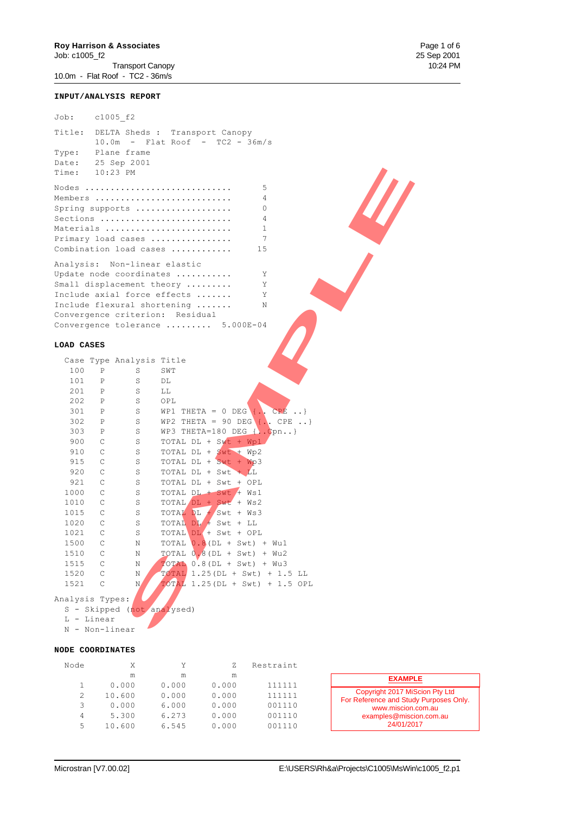Job: c1005\_f2 Title: DELTA Sheds : Transport Canopy 10.0m - Flat Roof - TC2 - 36m/s Type: Plane frame Date: 25 Sep 2001 Time: 10:23 PM Nodes ............................. 5 Members ........................... 4 Spring supports ................... 0 Sections .......................... 4 Materials ......................... 1 Primary load cases ................ 7 Combination load cases ............ 15 Analysis: Non-linear elastic Update node coordinates ........... Y Small displacement theory ......... Y Include axial force effects ....... Y Include flexural shortening ....... N Convergence criterion: Residual Convergence tolerance ......... 5.000E-04

#### **LOAD CASES**

| Time:           |                | 10:23 PM                     |                                                                                                                                                                           |
|-----------------|----------------|------------------------------|---------------------------------------------------------------------------------------------------------------------------------------------------------------------------|
|                 |                |                              | Nodes<br>5<br>Members<br>4<br>Spring supports<br>$\circ$<br>Sections<br>$\overline{4}$<br>Materials<br>$\mathbf{1}$                                                       |
|                 |                |                              | $\overline{7}$<br>Primary load cases<br>Combination load cases<br>15                                                                                                      |
|                 |                |                              |                                                                                                                                                                           |
|                 |                | Analysis: Non-linear elastic | Update node coordinates<br>Υ<br>Small displacement theory<br>Υ<br>Include axial force effects<br>Υ<br>Include flexural shortening<br>Ν<br>Convergence criterion: Residual |
|                 |                |                              | Convergence tolerance $\ldots \ldots \ldots 5.000E-04$                                                                                                                    |
| LOAD CASES      |                |                              |                                                                                                                                                                           |
|                 |                | Case Type Analysis Title     |                                                                                                                                                                           |
| 100             | $\, {\bf P}$   | S                            | SWT                                                                                                                                                                       |
| 101             | P              | $\rm S$                      | DL                                                                                                                                                                        |
| 201             | $\mathbb{P}$   | S                            | LL                                                                                                                                                                        |
| 202             | $\mathbb{P}$   | S                            | OPL                                                                                                                                                                       |
| 301             | $\mathbb{P}$   | S                            | WP1 THETA = 0 DEG $\{\cdot, \cdot\}$ CPE }                                                                                                                                |
| 302             | $\mathbb{P}$   | S                            | WP2 THETA = 90 DEG $\{\cdot\}$ , CPE }                                                                                                                                    |
| 303             | $\mathbb{P}$   | S                            | WP3 THETA=180 DEG $\{.\phi\}$                                                                                                                                             |
| 900             | $\mathsf{C}$   | S                            | TOTAL DL + Swt + Wp1                                                                                                                                                      |
| 910             | $\mathsf{C}$   | S                            | TOTAL DL + $Swt$ + Wp2                                                                                                                                                    |
| 915             | C              | S                            | TOTAL DL + Swt + Wp3                                                                                                                                                      |
| 920             | $\mathsf{C}$   | S                            | TOTAL DL + Swt + LL                                                                                                                                                       |
| 921             | $\mathsf C$    | S                            | TOTAL DL + Swt + OPL                                                                                                                                                      |
| 1000            | $\mathsf{C}$   | S                            | TOTAL DL + Swt + Ws1                                                                                                                                                      |
| 1010            | C              | S                            | TOTAL DL + Swt + Ws2                                                                                                                                                      |
| 1015            | C              | S                            | TOTAL DL + Swt + Ws3                                                                                                                                                      |
| 1020            | C              | S                            | TOTAL $DI$ + Swt + LL                                                                                                                                                     |
| 1021            | $\mathsf C$    | S                            | TOTAL DL + Swt + OPL                                                                                                                                                      |
| 1500            | C              | Ν                            | TOTAL $0.8$ (DL + Swt) + Wu1                                                                                                                                              |
| 1510            | $\mathbb{C}$   | Ν                            | $TOTAL$ 0.8 (DL + Swt) + Wu2                                                                                                                                              |
| 1515            | $\mathsf C$    | Ν                            | $\overline{\text{POPAD}}$ 0.8 (DL + Swt) + Wu3                                                                                                                            |
| 1520            | $\mathsf{C}$   | Ν                            | $\overline{Y}$ OTAL 1.25 (DL + Swt) + 1.5 LL                                                                                                                              |
| 1521            | $\mathsf{C}$   | N                            | $\overline{ \text{TOTAL}}$ 1.25 (DL + Swt) + 1.5 OPL                                                                                                                      |
| Analysis Types: | L - Linear     | S - Skipped (not analysed)   |                                                                                                                                                                           |
|                 | N - Non-linear |                              |                                                                                                                                                                           |

#### L - Linear N - Non-linear

#### **NODE COORDINATES**

| Node |        | Y     |       | Restraint |                                                                          |
|------|--------|-------|-------|-----------|--------------------------------------------------------------------------|
|      | m      | m     | m     |           | <b>EXAMPLE</b>                                                           |
|      | 0.000  | 0.000 | 0.000 | 111111    |                                                                          |
|      | 10.600 | 0.000 | 0.000 | 111111    | Copyright 2017 MiScion Pty Ltd<br>For Reference and Study Purposes Only. |
| 3    | 0.000  | 6.000 | 0.000 | 001110    | www.miscion.com.au                                                       |
| 4    | 5.300  | 6.273 | 0.000 | 001110    | examples@miscion.com.au                                                  |
| 5    | 10.600 | 6.545 | 0.000 | 001110    | 24/01/2017                                                               |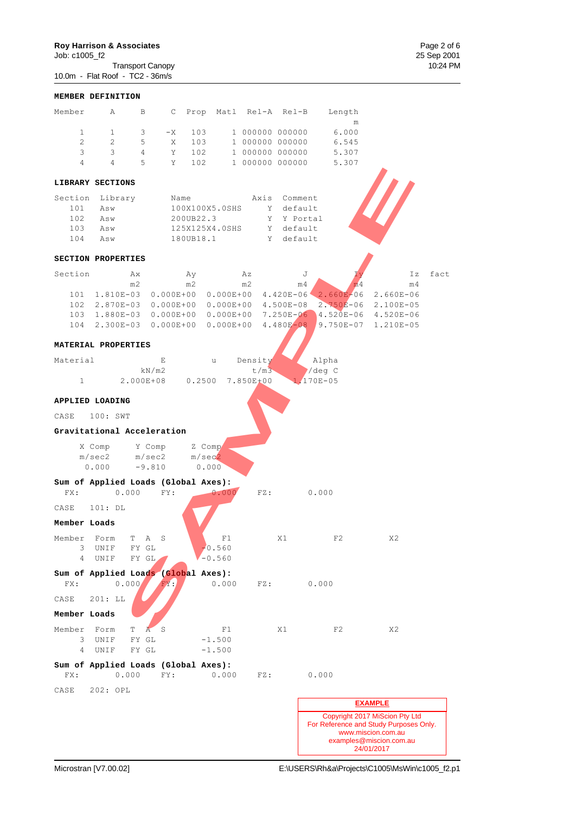**Roy Harrison & Associates**<br>
Job: c1005\_f2<br>
Transport Canopy<br>
25 Sep 2001<br>
10:24 PM  $Job: c1005_f2$ Transport Canopy 10:24 PM 10.0m - Flat Roof - TC2 - 36m/s

|                     | MEMBER DEFINITION                                             |                               |                  |                      |       |                                    |           |                       |                |                                                                                                                           |      |
|---------------------|---------------------------------------------------------------|-------------------------------|------------------|----------------------|-------|------------------------------------|-----------|-----------------------|----------------|---------------------------------------------------------------------------------------------------------------------------|------|
| Member              | $\mathbb{A}$                                                  | B                             |                  |                      |       | C Prop Matl Rel-A Rel-B            |           |                       | Length         |                                                                                                                           |      |
| $\mathbf{1}$        | $\mathbf{1}$                                                  | 3                             | $-X$             | 103                  |       | 1 000000 000000                    |           |                       | m<br>6.000     |                                                                                                                           |      |
| $\overline{2}$      | $\overline{2}$                                                | 5                             | X                | 103                  |       | 1 000000 000000                    |           |                       | 6.545          |                                                                                                                           |      |
| 3<br>$\overline{4}$ | 3<br>$\overline{4}$                                           | $\overline{4}$<br>$5^{\circ}$ | Y<br>Y           | 102<br>102           |       | 1 000000 000000<br>1 000000 000000 |           |                       | 5.307<br>5.307 |                                                                                                                           |      |
|                     |                                                               |                               |                  |                      |       |                                    |           |                       |                |                                                                                                                           |      |
|                     | LIBRARY SECTIONS                                              |                               |                  |                      |       |                                    |           |                       |                |                                                                                                                           |      |
| 101                 | Section Library<br>Asw                                        |                               | Name             | 100X100X5.0SHS       |       | Axis                               | Y default | Comment               |                |                                                                                                                           |      |
| 102                 | Asw                                                           |                               | 200UB22.3        |                      |       |                                    |           | Y Y Portal            |                |                                                                                                                           |      |
|                     | 103 Asw                                                       |                               |                  | 125X125X4.0SHS       |       |                                    | Y         | default               |                |                                                                                                                           |      |
| 104                 | Asw                                                           |                               | 180UB18.1        |                      |       |                                    | Y         | default               |                |                                                                                                                           |      |
|                     | SECTION PROPERTIES                                            |                               |                  |                      |       |                                    |           |                       |                |                                                                                                                           |      |
| Section             | Ax                                                            |                               | Ay               |                      |       | Az                                 |           | J                     |                | Ιz                                                                                                                        | fact |
|                     | m <sub>2</sub><br>101 1.810E-03 0.000E+00 0.000E+00 4.420E-06 |                               | m2               |                      |       | m2                                 |           | m <sub>4</sub>        | m <sub>4</sub> | m <sub>4</sub><br>$2.660E - 06$ 2.660E-06                                                                                 |      |
|                     | 102  2.870E-03  0.000E+00  0.000E+00  4.500E-08               |                               |                  |                      |       |                                    |           |                       |                | 2.750E-06 2.100E-05                                                                                                       |      |
|                     | 103 1.880E-03 0.000E+00 0.000E+00 7.250E-06                   |                               |                  |                      |       |                                    |           |                       |                | 4.520E-06 4.520E-06                                                                                                       |      |
|                     | 104  2.300E-03  0.000E+00  0.000E+00  4.480E-08               |                               |                  |                      |       |                                    |           |                       |                | 9.750E-07 1.210E-05                                                                                                       |      |
|                     | MATERIAL PROPERTIES                                           |                               |                  |                      |       |                                    |           |                       |                |                                                                                                                           |      |
| Material            |                                                               |                               | E                | u                    |       | Density                            |           | Alpha                 |                |                                                                                                                           |      |
| $\mathbf{1}$        |                                                               | kN/m2                         | 2.000E+08 0.2500 |                      |       | t/m3<br>7.850E+00                  |           | /deg C<br>$1,170E-05$ |                |                                                                                                                           |      |
|                     | APPLIED LOADING                                               |                               |                  |                      |       |                                    |           |                       |                |                                                                                                                           |      |
| CASE                | 100: SWT                                                      |                               |                  |                      |       |                                    |           |                       |                |                                                                                                                           |      |
|                     | Gravitational Acceleration                                    |                               |                  |                      |       |                                    |           |                       |                |                                                                                                                           |      |
|                     | X Comp<br>Y Comp                                              |                               |                  | Z Comp               |       |                                    |           |                       |                |                                                                                                                           |      |
|                     | m/sec2<br>0.000                                               | m/sec2<br>$-9.810$            |                  | m/sec2<br>0.000      |       |                                    |           |                       |                |                                                                                                                           |      |
|                     | Sum of Applied Loads (Global Axes):                           |                               |                  |                      |       |                                    |           |                       |                |                                                                                                                           |      |
| FX:                 | 0.000                                                         |                               | FY:              |                      | 0.000 | FZ:                                |           | 0.000                 |                |                                                                                                                           |      |
| CASE                | 101: DL                                                       |                               |                  |                      |       |                                    |           |                       |                |                                                                                                                           |      |
| Member Loads        |                                                               |                               |                  |                      |       |                                    |           |                       |                |                                                                                                                           |      |
| Member<br>3         | Form<br>T.<br>UNIF                                            | Α<br>FY GL                    | S                | $-0.560$             | F1    |                                    | X1        |                       | F2             | X2                                                                                                                        |      |
| 4                   | UNIF                                                          | FY GL                         |                  | $-0.560$             |       |                                    |           |                       |                |                                                                                                                           |      |
|                     | Sum of Applied Loads (Global Axes):                           |                               |                  |                      |       |                                    |           |                       |                |                                                                                                                           |      |
| FX:<br>CASE         | 0.000<br>201: LL                                              |                               | FX:              |                      | 0.000 | FZ:                                |           | 0.000                 |                |                                                                                                                           |      |
| Member Loads        |                                                               |                               |                  |                      |       |                                    |           |                       |                |                                                                                                                           |      |
| Member              | Form<br>T                                                     | $\overline{A}$                | S                |                      | F1    |                                    | X1        |                       | F2             | X2                                                                                                                        |      |
| 3<br>4              | UNIF<br>UNIF                                                  | FY GL<br>FY GL                |                  | $-1.500$<br>$-1.500$ |       |                                    |           |                       |                |                                                                                                                           |      |
| FX:                 | Sum of Applied Loads (Global Axes):<br>0.000                  |                               | FY:              |                      | 0.000 | FZ:                                |           | 0.000                 |                |                                                                                                                           |      |
| CASE                | 202: OPL                                                      |                               |                  |                      |       |                                    |           |                       |                |                                                                                                                           |      |
|                     |                                                               |                               |                  |                      |       |                                    |           |                       |                | <b>EXAMPLE</b>                                                                                                            |      |
|                     |                                                               |                               |                  |                      |       |                                    |           |                       |                | Copyright 2017 MiScion Pty Ltd<br>For Reference and Study Purposes Only.<br>www.miscion.com.au<br>examples@miscion.com.au |      |

24/01/2017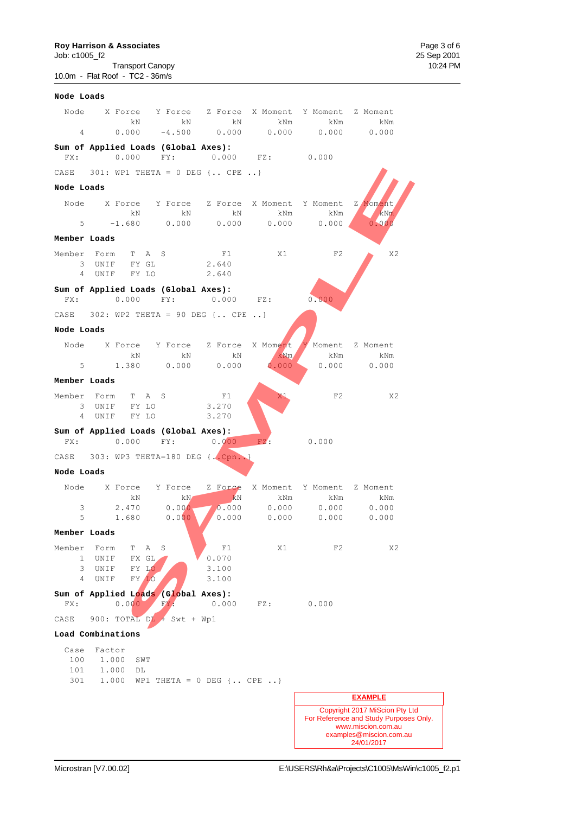**Roy Harrison & Associates**<br>
Job: c1005\_f2<br>
Transport Canopy<br>
Transport Canopy<br>
Page 3 of 6<br>
10:24 PM  $Job: c1005_f2$ Transport Canopy 10:24 PM 10.0m - Flat Roof - TC2 - 36m/s

| Node Loads   |                                                                |                              |       |                     |                            |                                                                          |
|--------------|----------------------------------------------------------------|------------------------------|-------|---------------------|----------------------------|--------------------------------------------------------------------------|
|              | Node X Force Y Force Z Force X Moment Y Moment Z Moment        |                              |       |                     |                            |                                                                          |
|              |                                                                | $\,$ kN $\,$ kN $\,$ kN $\,$ |       | kNm                 | kNm                        | kNm                                                                      |
|              | $4$ 0.000 -4.500 0.000 0.000 0.000 0.000                       |                              |       |                     |                            |                                                                          |
|              | Sum of Applied Loads (Global Axes):                            |                              |       |                     |                            |                                                                          |
| FX:          | $0.000$ FY:                                                    |                              |       | $0.000$ FZ: $0.000$ |                            |                                                                          |
|              | CASE $301: WP1 THETA = 0 DEG$ $\{.\; CPE\;.\; \}$              |                              |       |                     |                            |                                                                          |
| Node Loads   |                                                                |                              |       |                     |                            |                                                                          |
|              | Node X Force Y Force Z Force X Moment Y Moment                 |                              |       |                     |                            | Z Moment                                                                 |
|              | kN<br>$-1.680$ 0.000 0.000 0.000 0.000                         | kN                           | kN    | kNm                 | kNm                        | kNm                                                                      |
|              |                                                                |                              |       |                     |                            | 0.000                                                                    |
| Member Loads |                                                                |                              |       |                     |                            |                                                                          |
|              | Member Form T A S                                              |                              | F1    | X1                  | F2                         | X2                                                                       |
|              | 3 UNIF FY GL<br>4 UNIF FY LO                                   |                              | 2.640 |                     |                            |                                                                          |
|              |                                                                | 2.640                        |       |                     |                            |                                                                          |
|              | Sum of Applied Loads (Global Axes):<br>FX: 0.000 FY: 0.000 FZ: |                              |       |                     | 0.000                      |                                                                          |
|              | CASE 302: WP2 THETA = 90 DEG { CPE }                           |                              |       |                     |                            |                                                                          |
| Node Loads   |                                                                |                              |       |                     |                            |                                                                          |
|              | Node X Force Y Force Z Force X Moment                          |                              |       |                     |                            | Y Moment Z Moment                                                        |
|              | kN                                                             | kN kN                        |       | kNm                 | kNm                        | kNm                                                                      |
|              | 5 1.380 0.000 0.000                                            |                              |       | 0.000               |                            | 0.000 0.000                                                              |
| Member Loads |                                                                |                              |       |                     |                            |                                                                          |
|              | Member Form T A S                                              |                              | F1    | ΧI                  | F <sub>2</sub>             | X2                                                                       |
|              | 3 UNIF FY LO                                                   |                              | 3.270 |                     |                            |                                                                          |
|              | 4 UNIF FY LO                                                   |                              | 3.270 |                     |                            |                                                                          |
|              | Sum of Applied Loads (Global Axes):<br>FX: 0.000 FY: 0.000     |                              |       | FZ: 0.000           |                            |                                                                          |
|              |                                                                |                              |       |                     |                            |                                                                          |
|              | CASE 303: WP3 THETA=180 DEG $\{\cdot, \text{Cpn.}\}\$          |                              |       |                     |                            |                                                                          |
| Node Loads   |                                                                |                              |       |                     |                            |                                                                          |
|              | Node X Force Y Force Z Force X Moment Y Moment Z Moment        |                              |       |                     |                            |                                                                          |
| 3            | kN<br>2.470                                                    | kN<br>0.000                  | kN    | kNm                 | kNm<br>$0.000$ 0.000 0.000 | kNm<br>0.000                                                             |
| 5            | 1.680                                                          | 0.000                        | 0.000 |                     | 0.000 0.000                | 0.000                                                                    |
| Member Loads |                                                                |                              |       |                     |                            |                                                                          |
| Member       | Α<br>Form<br>Т                                                 | S                            | F1    | X1                  | F2                         | X2                                                                       |
| 1            | UNIF<br>FX GL                                                  |                              | 0.070 |                     |                            |                                                                          |
| 3            | FY LO<br>UNIF                                                  |                              | 3.100 |                     |                            |                                                                          |
| 4            | FY LO<br>UNIF                                                  |                              | 3.100 |                     |                            |                                                                          |
|              | Sum of Applied Loads (Global Axes):                            |                              |       |                     |                            |                                                                          |
| FX:          | 0.000                                                          | FY                           | 0.000 | FZ:                 | 0.000                      |                                                                          |
| CASE         | 900: TOTAL $DL + Swt + Wp1$                                    |                              |       |                     |                            |                                                                          |
|              | Load Combinations                                              |                              |       |                     |                            |                                                                          |
| Case         | Factor                                                         |                              |       |                     |                            |                                                                          |
| 100<br>101   | 1.000<br>SWT                                                   |                              |       |                     |                            |                                                                          |
| 301          | 1.000<br>DL<br>1,000                                           | WP1 THETA = $0$ DEG { CPE }  |       |                     |                            |                                                                          |
|              |                                                                |                              |       |                     |                            |                                                                          |
|              |                                                                |                              |       |                     |                            | <b>EXAMPLE</b>                                                           |
|              |                                                                |                              |       |                     |                            | Copyright 2017 MiScion Pty Ltd<br>For Reference and Study Purposes Only. |
|              |                                                                |                              |       |                     |                            | www.miscion.com.au                                                       |

examples@miscion.com.au 24/01/2017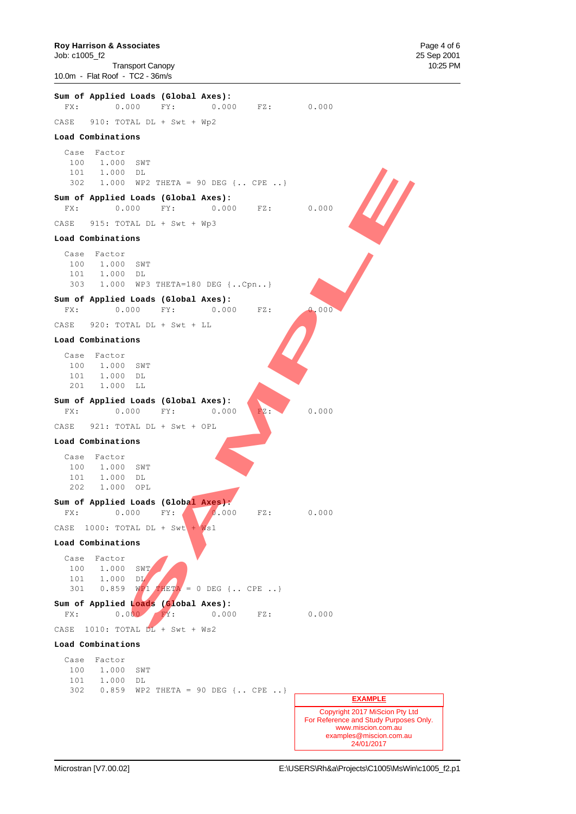Job: c1005\_f2 25 Sep 2001 Transport Canopy 10:25 PM 10.0m - Flat Roof - TC2 - 36m/s

![](_page_52_Figure_3.jpeg)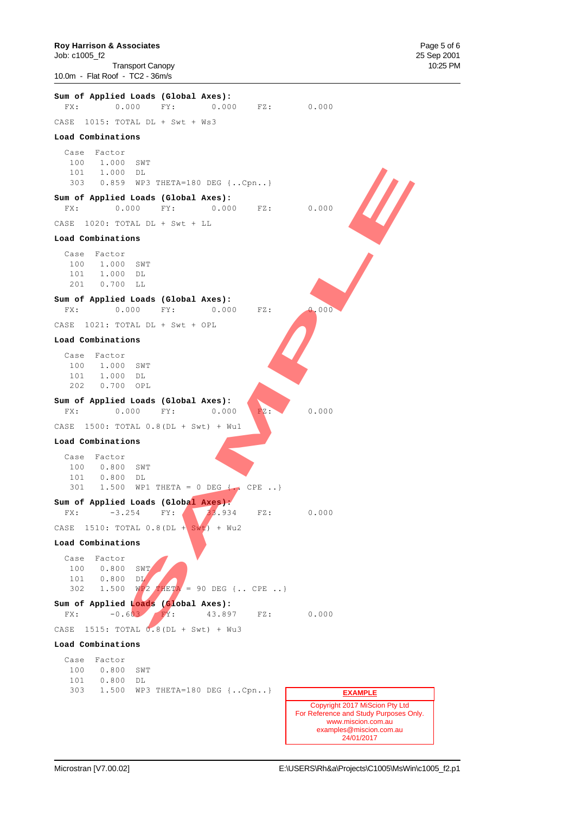![](_page_53_Figure_0.jpeg)

Job: c1005\_f2 25 Sep 2001 Transport Canopy 10:25 PM 10.0m - Flat Roof - TC2 - 36m/s

![](_page_53_Figure_3.jpeg)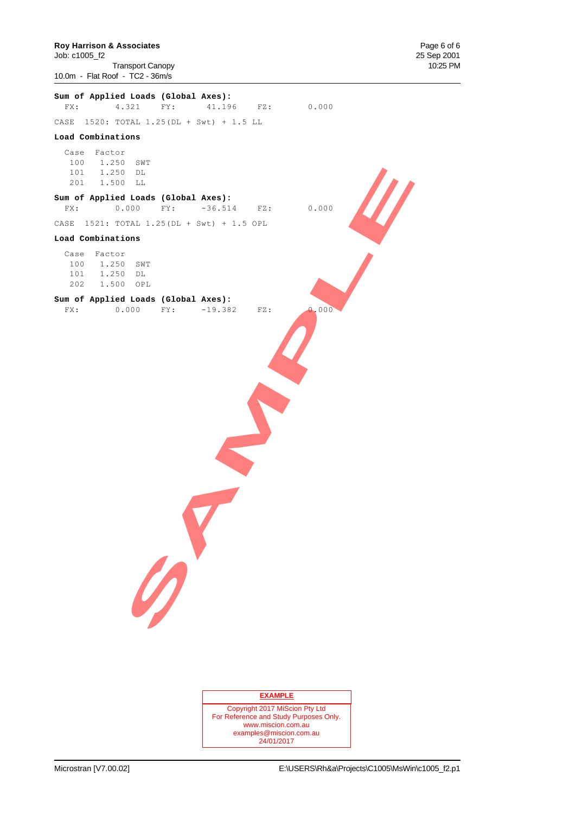**Roy Harrison & Associates Page 6 of 6**<br> **Page 6 of 6**<br> **Page 6 of 6**<br> **Page 6 of 6**<br> **Page 6 of 6**<br> **Page 6 of 6** Job: c1005\_f2 25 Sep 2001 Transport Canopy 10.0m - Flat Roof - TC2 - 36m/s

|                                                                | FX: 4.321 FY: 41.196 FZ: 0.000    |     |       |
|----------------------------------------------------------------|-----------------------------------|-----|-------|
|                                                                |                                   |     |       |
| CASE 1520: TOTAL 1.25 (DL + Swt) + 1.5 LL                      |                                   |     |       |
| Load Combinations                                              |                                   |     |       |
| Case Factor<br>100 1.250 SWT<br>101  1.250 DL<br>201 1.500 LL  |                                   |     |       |
| Sum of Applied Loads (Global Axes):<br>FX:                     | $0.000$ FY: $-36.514$ FZ: $0.000$ |     |       |
| CASE 1521: TOTAL 1.25 (DL + Swt) + 1.5 OPL                     |                                   |     |       |
| Load Combinations                                              |                                   |     |       |
| Case Factor<br>100 1.250 SWT<br>101 1.250  DL<br>202 1.500 OPL |                                   |     |       |
| Sum of Applied Loads (Global Axes):<br>FX: 0.000 FY: -19.382   |                                   | FZ: | 0.000 |
| 0                                                              |                                   |     |       |

### **EXAMPLE**

Copyright 2017 MiScion Pty Ltd For Reference and Study Purposes Only. www.miscion.com.au examples@miscion.com.au 24/01/2017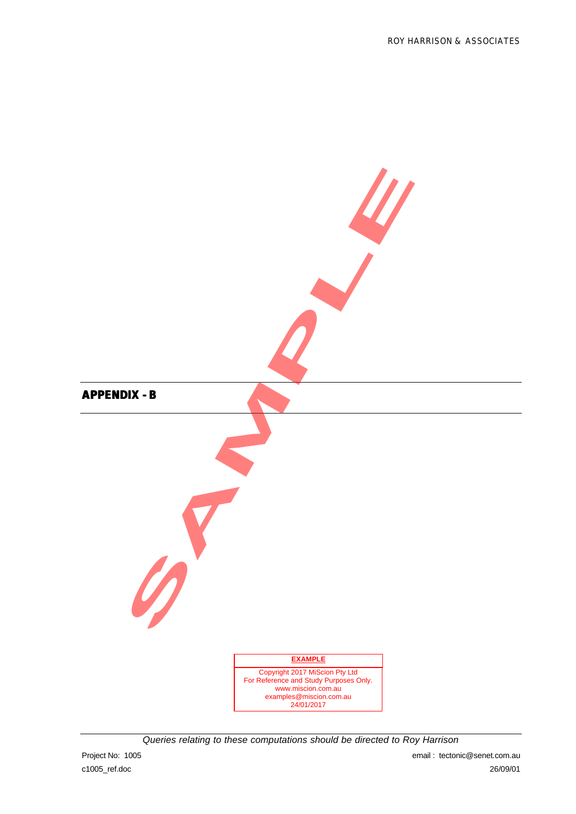![](_page_55_Figure_1.jpeg)

*Queries relating to these computations should be directed to Roy Harrison*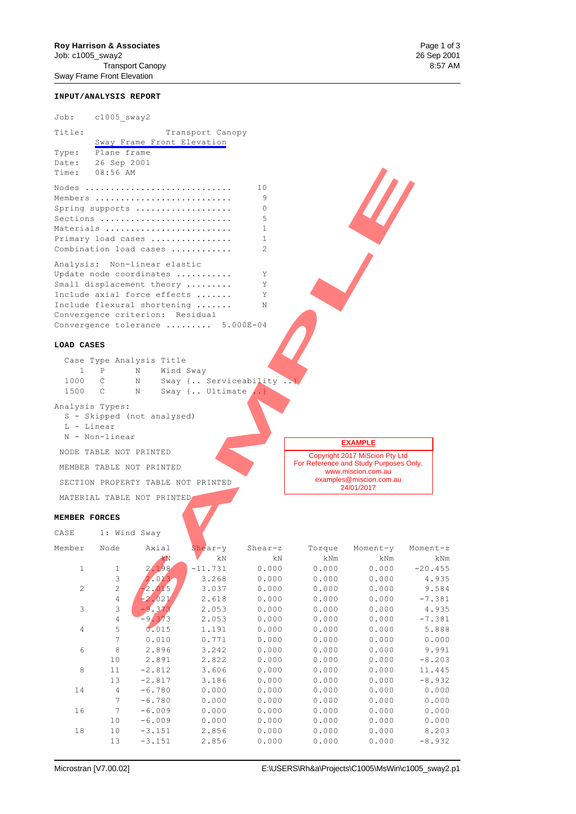# **Roy Harrison & Associates** Page 1 of 3<br>
Job: c1005\_sway2 26 Sep 2001

Job: c1005\_sway2 26 Sep 2001 Transport Canopy Sway Frame Front Elevation

#### **INPUT/ANALYSIS REPORT**

Job: c1005\_sway2

| Title:                                     |                                                                    |                                                                                    | Transport Canopy   |                       |                |                                                                       |   |
|--------------------------------------------|--------------------------------------------------------------------|------------------------------------------------------------------------------------|--------------------|-----------------------|----------------|-----------------------------------------------------------------------|---|
|                                            |                                                                    | Sway Frame Front Elevation                                                         |                    |                       |                |                                                                       |   |
| Type:                                      | Plane frame                                                        |                                                                                    |                    |                       |                |                                                                       |   |
| Date:                                      | 26 Sep 2001                                                        |                                                                                    |                    |                       |                |                                                                       |   |
| Time:                                      | 08:56 AM                                                           |                                                                                    |                    |                       |                |                                                                       |   |
|                                            |                                                                    | Nodes                                                                              |                    | 10                    |                |                                                                       |   |
|                                            |                                                                    | Members                                                                            |                    | 9                     |                |                                                                       |   |
|                                            |                                                                    | Spring supports                                                                    |                    | 0                     |                |                                                                       |   |
|                                            |                                                                    | Sections                                                                           |                    | 5                     |                |                                                                       |   |
|                                            |                                                                    | Materials                                                                          |                    | 1                     |                |                                                                       |   |
|                                            |                                                                    | Primary load cases                                                                 |                    | 1                     |                |                                                                       |   |
|                                            |                                                                    | Combination load cases                                                             |                    | $\mathcal{L}$         |                |                                                                       |   |
|                                            |                                                                    | Analysis: Non-linear elastic                                                       |                    |                       |                |                                                                       |   |
|                                            |                                                                    | Update node coordinates                                                            |                    | Υ                     |                |                                                                       |   |
|                                            |                                                                    | Small displacement theory                                                          |                    | Υ                     |                |                                                                       |   |
|                                            |                                                                    | Include axial force effects                                                        |                    | Υ                     |                |                                                                       |   |
|                                            |                                                                    | Include flexural shortening                                                        |                    | N                     |                |                                                                       |   |
|                                            |                                                                    | Convergence criterion: Residual                                                    |                    |                       |                |                                                                       |   |
|                                            |                                                                    | Convergence tolerance  5.000E-04                                                   |                    |                       |                |                                                                       |   |
| LOAD CASES<br>$\mathbf{1}$<br>1000<br>1500 | $_{\rm P}$<br>$\mathsf{C}$<br>C<br>Analysis Types:<br>$L - Linear$ | Case Type Analysis Title<br>N<br>Wind Sway<br>N<br>Ν<br>S - Skipped (not analysed) | Sway { Ultimate  } | Sway { Serviceability |                |                                                                       |   |
|                                            | N - Non-linear                                                     |                                                                                    |                    |                       |                |                                                                       |   |
|                                            | NODE TABLE NOT PRINTED                                             |                                                                                    |                    |                       |                | <b>EXAMPLE</b>                                                        |   |
|                                            |                                                                    |                                                                                    |                    |                       |                | Copyright 2017 MiScion Pty Ltd<br>For Reference and Study Purposes On |   |
|                                            |                                                                    | MEMBER TABLE NOT PRINTED                                                           |                    |                       |                | www.miscion.com.au                                                    |   |
|                                            |                                                                    | SECTION PROPERTY TABLE NOT PRINTED                                                 |                    |                       |                | examples@miscion.com.au<br>24/01/2017                                 |   |
|                                            |                                                                    | MATERIAL TABLE NOT PRINTED                                                         |                    |                       |                |                                                                       |   |
| MEMBER FORCES                              |                                                                    |                                                                                    |                    |                       |                |                                                                       |   |
| CASE                                       | 1: Wind Sway                                                       |                                                                                    |                    |                       |                |                                                                       |   |
|                                            | Member Node Axial                                                  |                                                                                    | Shear-y            | Shear-z               | Torque         | Moment-y                                                              | Μ |
|                                            |                                                                    | kN                                                                                 | $\rm{k}$ N         | kΝ                    | kNm            | kNm                                                                   |   |
| 1                                          | 1                                                                  | 2.198                                                                              | $-11.731$          | 0.000                 | 0.000          | 0.000                                                                 |   |
|                                            | $\ensuremath{\mathsf{3}}$                                          | 2.013                                                                              | 3.268              | 0.000                 | 0.000          | 0.000                                                                 |   |
| $\mathbf{2}$                               | $\sqrt{2}$                                                         | $-2.015$                                                                           | 3.037              | 0.000                 | 0.000          | 0.000                                                                 |   |
|                                            | $\sqrt{4}$<br>$\mathfrak{Z}$                                       | $-2,021$<br>$-9,373$                                                               | 2.618              | 0.000<br>0.000        | 0.000<br>0.000 | 0.000                                                                 |   |
| 3                                          | $\sqrt{4}$                                                         | $-9.373$                                                                           | 2.053<br>2.053     | 0.000                 | 0.000          | 0.000<br>0.000                                                        |   |
|                                            |                                                                    |                                                                                    |                    |                       |                |                                                                       |   |
| $\overline{4}$                             | 5                                                                  | 0.015                                                                              | 1.191              | 0.000                 | 0.000          | 0.000                                                                 |   |

#### **LOAD CASES**

|             | Case Type Analysis Title |           |                         |  |
|-------------|--------------------------|-----------|-------------------------|--|
|             | $\mathbb N$              | Wind Sway |                         |  |
| $1000 \t C$ | N                        |           | Sway { Serviceability } |  |
| 1500        | N                        |           | Sway { Ultimate  }      |  |

- L Linear
- N Non-linear

#### **MEMBER FORCES**

| CASE |  | 1: Wind Sway |  |
|------|--|--------------|--|
|------|--|--------------|--|

| Member         | Node           | Axial    | $Shear-v$ | Shear-z | Torque | Moment-y | Moment-z  |
|----------------|----------------|----------|-----------|---------|--------|----------|-----------|
|                |                | kN       | kΝ        | kΝ      | kNm    | kNm      | kNm       |
| $\mathbf{1}$   |                | 2.198    | $-11.731$ | 0.000   | 0.000  | 0.000    | $-20.455$ |
|                | 3              | 2.013    | 3.268     | 0.000   | 0.000  | 0.000    | 4.935     |
| $\overline{c}$ | $\overline{c}$ | $-2.015$ | 3.037     | 0.000   | 0.000  | 0.000    | 9.584     |
|                | $\overline{4}$ | $-2.021$ | 2.618     | 0.000   | 0.000  | 0.000    | $-7.381$  |
| 3              | 3              | $-9.373$ | 2.053     | 0.000   | 0.000  | 0.000    | 4.935     |
|                | $\overline{4}$ | $-9.373$ | 2.053     | 0.000   | 0.000  | 0.000    | $-7.381$  |
| $\overline{4}$ | 5              | 0.015    | 1.191     | 0.000   | 0.000  | 0.000    | 5.888     |
|                | $\overline{7}$ | 0.010    | 0.771     | 0.000   | 0.000  | 0.000    | 0.000     |
| 6              | 8              | 2.896    | 3.242     | 0.000   | 0.000  | 0.000    | 9.991     |
|                | 10             | 2.891    | 2.822     | 0.000   | 0.000  | 0.000    | $-8.203$  |
| 8              | 11             | $-2.812$ | 3.606     | 0.000   | 0.000  | 0.000    | 11.445    |
|                | 13             | $-2.817$ | 3.186     | 0.000   | 0.000  | 0.000    | $-8.932$  |
| 14             | $\overline{4}$ | $-6.780$ | 0.000     | 0.000   | 0.000  | 0.000    | 0.000     |
|                | $\overline{7}$ | $-6.780$ | 0.000     | 0.000   | 0.000  | 0.000    | 0.000     |
| 16             | $\overline{7}$ | $-6.009$ | 0.000     | 0.000   | 0.000  | 0.000    | 0.000     |
|                | 10             | $-6.009$ | 0.000     | 0.000   | 0.000  | 0.000    | 0.000     |
| 18             | 10             | $-3.151$ | 2.856     | 0.000   | 0.000  | 0.000    | 8.203     |
|                | 13             | $-3.151$ | 2.856     | 0.000   | 0.000  | 0.000    | $-8.932$  |
|                |                |          |           |         |        |          |           |

#### **EXAMPLE**

Copyright 2017 MiScion Pty Ltd For Reference and Study Purposes Only. www.miscion.com.au examples@miscion.com.au 24/01/2017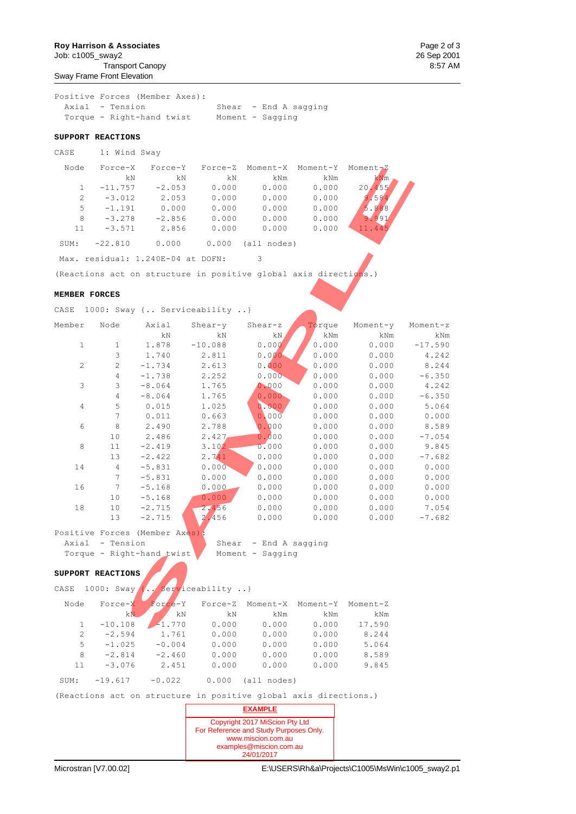**Roy Harrison & Associates Page 2 of 3** Job: c1005\_sway2 26 Sep 2001 Transport Canopy

Sway Frame Front Elevation

Positive Forces (Member Axes): Shear - End A sagging Torque - Right-hand twist Moment - Sagging

#### **SUPPORT REACTIONS**

CASE 1: Wind Sway

| Node          | $Force-X$ | Force-Y  | Force-Z | Moment-X        | Moment-Y | Moment - Z      |
|---------------|-----------|----------|---------|-----------------|----------|-----------------|
|               | kN        | kN       | kN      | kNm             | kNm      | kNm             |
|               | $-11.757$ | $-2.053$ | 0.000   | 0.000           | 0.000    | 20.455          |
| $\mathcal{L}$ | $-3.012$  | 2.053    | 0.000   | 0.000           | 0.000    | 9.584           |
| 5             | $-1.191$  | 0.000    | 0.000   | 0.000           | 0.000    | 5.888           |
| 8             | $-3.278$  | $-2.856$ | 0.000   | 0.000           | 0.000    | 9.991           |
| 11            | $-3.571$  | 2.856    | 0.000   | 0.000           | 0.000    | l <b>1.</b> 445 |
| SUM:          | $-22.810$ | 0.000    | 0.000   | . nodes)<br>all |          |                 |

#### **MEMBER FORCES**

| Node          | Force-X           | Force-Y                           | Force-Z                                                          | Moment-X              | Moment-Y | Moment-Z |           |
|---------------|-------------------|-----------------------------------|------------------------------------------------------------------|-----------------------|----------|----------|-----------|
|               | kN                | kN                                | kN                                                               | kNm                   | kNm      | kNm      |           |
| $\mathbf{1}$  | $-11.757$         | $-2.053$                          | 0.000                                                            | 0.000                 | 0.000    | 20.455   |           |
| 2             | $-3.012$          | 2.053                             | 0.000                                                            | 0.000                 | 0.000    | 9.584    |           |
| 5             | $-1.191$          | 0.000                             | 0.000                                                            | 0.000                 | 0.000    | 5.888    |           |
| 8             | $-3.278$          | $-2.856$                          | 0.000                                                            | 0.000                 | 0.000    | 9.991    |           |
| 11            | $-3.571$          | 2.856                             | 0.000                                                            | 0.000                 | 0.000    | 11.445   |           |
| SUM:          | $-22.810$         | 0.000                             | 0.000                                                            | (all nodes)           |          |          |           |
|               |                   | Max. residual: 1.240E-04 at DOFN: |                                                                  | 3                     |          |          |           |
|               |                   |                                   | (Reactions act on structure in positive global axis directions.) |                       |          |          |           |
| MEMBER FORCES |                   |                                   |                                                                  |                       |          |          |           |
| CASE          |                   |                                   | 1000: Sway { Serviceability }                                    |                       |          |          |           |
| Member        | Node              | Axial                             | $Shear-y$                                                        | $Shear-z$             | Torque   | Moment-y | Moment-z  |
|               |                   | kΝ                                | kΝ                                                               | kN.                   | kNm      | kNm      | kNm       |
| $\mathbf{1}$  | $\mathbf{1}$      | 1.878                             | $-10.088$                                                        | 0.000                 | 0.000    | 0.000    | $-17.590$ |
|               | 3                 | 1.740                             | 2.811                                                            | 0.000                 | 0.000    | 0.000    | 4.242     |
| 2             | $\mathbf{2}$      | $-1.734$                          | 2.613                                                            | 0.000                 | 0.000    | 0.000    | 8.244     |
|               | $\overline{4}$    | $-1.738$                          | 2.252                                                            | 0.000                 | 0.000    | 0.000    | $-6.350$  |
| 3             | 3                 | $-8.064$                          | 1.765                                                            | 0.000                 | 0.000    | 0.000    | 4.242     |
|               | $\overline{4}$    | $-8.064$                          | 1.765                                                            | 0.000                 | 0.000    | 0.000    | $-6.350$  |
| 4             | 5                 | 0.015                             | 1.025                                                            | 0.000                 | 0.000    | 0.000    | 5.064     |
|               | 7                 | 0.011                             | 0.663                                                            | 0.000                 | 0.000    | 0.000    | 0.000     |
| 6             | 8                 | 2.490                             | 2.788                                                            | 0.000                 | 0.000    | 0.000    | 8.589     |
|               | 10                | 2.486                             | 2.427                                                            | 0.000                 | 0.000    | 0.000    | $-7.054$  |
| 8             | 11                | $-2.419$                          | 3.102                                                            | 0.000                 | 0.000    | 0.000    | 9.845     |
|               | 13                | $-2.422$                          | 2.741                                                            | 0.000                 | 0.000    | 0.000    | $-7.682$  |
| 14            | 4                 | $-5.831$                          | 0.000                                                            | 0.000                 | 0.000    | 0.000    | 0.000     |
|               | 7                 | $-5.831$                          | 0.000                                                            | 0.000                 | 0.000    | 0.000    | 0.000     |
| 16            | 7                 | $-5.168$                          | 0.000                                                            | 0.000                 | 0.000    | 0.000    | 0.000     |
|               | 10                | $-5.168$                          | 0.000                                                            | 0.000                 | 0.000    | 0.000    | 0.000     |
| 18            | 10                | $-2.715$                          | 2.456                                                            | 0.000                 | 0.000    | 0.000    | 7.054     |
|               | 13                | $-2.715$                          | 2.456                                                            | 0.000                 | 0.000    | 0.000    | $-7.682$  |
|               |                   | Positive Forces (Member Axes):    |                                                                  |                       |          |          |           |
|               | Axial - Tension   |                                   |                                                                  | Shear - End A sagging |          |          |           |
|               |                   | Torque - Right-hand twist         |                                                                  | Moment - Sagging      |          |          |           |
|               | SUPPORT REACTIONS |                                   |                                                                  |                       |          |          |           |
| CASE          |                   |                                   | 1000: Sway $\{.\}$ Serviceability }                              |                       |          |          |           |
| Node          | Force-X           | Force-Y                           | Force-Z                                                          | Moment-X              | Moment-Y | Moment-Z |           |
|               | kN                | kΝ                                | kN                                                               | kNm                   | kNm      | kNm      |           |
| $\mathbf{1}$  | $-10.108$         | $-1.770$                          | 0.000                                                            | 0.000                 | 0.000    | 17.590   |           |
|               |                   |                                   |                                                                  |                       |          |          |           |

#### **SUPPORT REACTIONS**

| Moment-Z | Moment-Y | Moment-X    | Force-Z | Force-Y  | Force-X   | Node          |
|----------|----------|-------------|---------|----------|-----------|---------------|
| kNm      | kNm      | kNm         | kN      | kN       | kN        |               |
| 17.590   | 0.000    | 0.000       | 0.000   | $-1.770$ | $-10.108$ |               |
| 8.244    | 0.000    | 0.000       | 0.000   | 1.761    | $-2.594$  | $\mathcal{L}$ |
| 5.064    | 0.000    | 0.000       | 0.000   | $-0.004$ | $-1.025$  | 5.            |
| 8.589    | 0.000    | 0.000       | 0.000   | $-2.460$ | $-2.814$  | 8             |
| 9.845    | 0.000    | 0.000       | 0.000   | 2.451    | $-3.076$  | 11            |
|          |          | 'all nodes) | 0.000   | $-0.022$ | $-19.617$ | SUM:          |

(Reactions act on structure in positive global axis directions.)

![](_page_57_Picture_17.jpeg)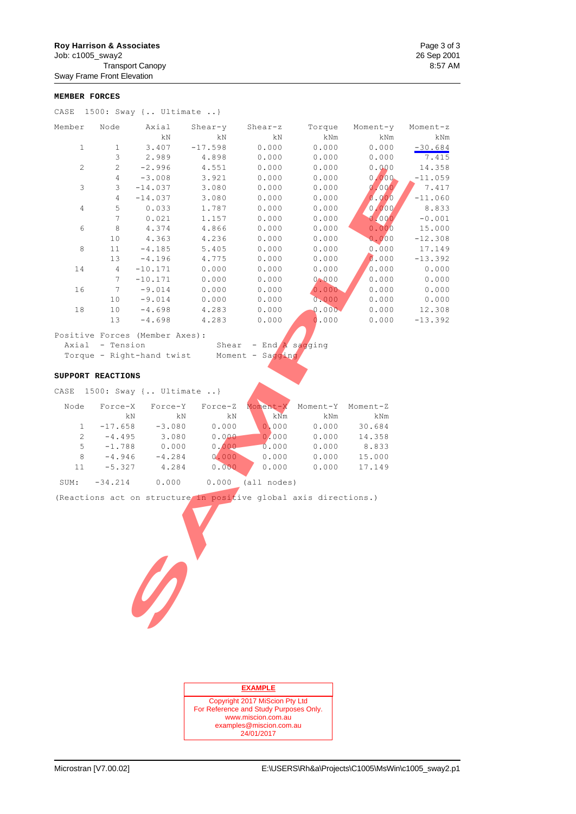# **Roy Harrison & Associates** Page 3 of 3<br>
Job: c1005\_sway2 26 Sep 2001

Job: c1005\_sway2 26 Sep 2001 Transport Canopy

Sway Frame Front Elevation

#### **MEMBER FORCES**

|  |  |  |  | CASE $1500:$ Sway { Ultimate } |  |  |
|--|--|--|--|--------------------------------|--|--|
|--|--|--|--|--------------------------------|--|--|

| Member            | Node            | Axial                          | $Shear-y$                                                        | Shear-z          | Torque         | Moment-y       | Moment-z  |
|-------------------|-----------------|--------------------------------|------------------------------------------------------------------|------------------|----------------|----------------|-----------|
|                   |                 | kN                             | kΝ                                                               | kΝ               | kNm            | kNm            | kNm       |
| $\mathbf{1}$      | $\mathbf{1}$    | 3.407                          | $-17.598$                                                        | 0.000            | 0.000          | 0.000          | $-30.684$ |
|                   | 3               | 2.989                          | 4.898                                                            | 0.000            | 0.000          | 0.000          | 7.415     |
| $\mathbf{2}$      | $\mathbf{2}$    | $-2.996$                       | 4.551<br>3.921                                                   | 0.000            | 0.000<br>0.000 | 0.000<br>0.000 | 14.358    |
|                   | 4<br>3          | $-3.008$                       |                                                                  | 0.000            |                |                | $-11.059$ |
| 3                 | 4               | $-14.037$<br>$-14.037\,$       | 3.080                                                            | 0.000            | 0.000          | 0,000          | 7.417     |
|                   |                 |                                | 3.080                                                            | 0.000            | 0.000          | 0.000          | $-11.060$ |
| 4                 | 5               | 0.033                          | 1.787                                                            | 0.000            | 0.000          | 0.000          | 8.833     |
|                   | 7               | 0.021                          | 1.157                                                            | 0.000            | 0.000          | 0.000          | $-0.001$  |
| 6                 | 8               | 4.374                          | 4.866                                                            | 0.000            | 0.000          | 0.000          | 15.000    |
|                   | 10              | 4.363                          | 4.236                                                            | 0.000            | 0.000          | 0.000          | $-12.308$ |
| 8                 | 11              | $-4.185$                       | 5.405                                                            | 0.000            | 0.000          | 0.000          | 17.149    |
|                   | 13              | $-4.196$                       | 4.775                                                            | 0.000            | 0.000          | 0.000          | $-13.392$ |
| 14                | $\overline{4}$  | $-10.171$                      | 0.000                                                            | 0.000            | 0.000          | 0.000          | 0.000     |
|                   | 7               | $-10.171$                      | 0.000                                                            | 0.000            | 0.000          | 0.000          | 0.000     |
| 16                | 7               | $-9.014$                       | 0.000                                                            | 0.000            | 0.000          | 0.000          | 0.000     |
|                   | 10              | $-9.014$                       | 0.000                                                            | 0.000            | 0.000          | 0.000          | 0.000     |
| 18                | 10              | $-4.698$                       | 4.283                                                            | 0.000            | 0.000          | 0.000          | 12.308    |
|                   | 13              | $-4.698$                       | 4.283                                                            | 0.000            | 0.000          | 0.000          | $-13.392$ |
|                   |                 | Positive Forces (Member Axes): |                                                                  |                  |                |                |           |
|                   | Axial - Tension |                                | Shear                                                            | - End A sagging  |                |                |           |
|                   |                 | Torque - Right-hand twist      |                                                                  | Moment - Sagging |                |                |           |
|                   |                 |                                |                                                                  |                  |                |                |           |
| SUPPORT REACTIONS |                 |                                |                                                                  |                  |                |                |           |
|                   |                 | CASE 1500: Sway { Ultimate }   |                                                                  |                  |                |                |           |
| Node              | Force-X         | Force-Y                        | Force-Z                                                          | Moment-X         | Moment-Y       | Moment-Z       |           |
|                   | kN              | kN                             | kΝ                                                               | kNm              | kNm            | kNm            |           |
| $\mathbf{1}$      | $-17.658$       | $-3.080$                       | 0.000                                                            | 0.000            | 0.000          | 30.684         |           |
| $\overline{c}$    | $-4.495$        | 3.080                          | 0.000                                                            | 0.000            | 0.000          | 14.358         |           |
| 5                 | $-1.788$        | 0.000                          | 0,000                                                            | 0.000            | 0.000          | 8.833          |           |
| 8                 | $-4.946\,$      | $-4.284$                       | 0.000                                                            | 0.000            | 0.000          | 15.000         |           |
| 11                | $-5.327$        | 4.284                          | 0.000                                                            | 0.000            | 0.000          | 17.149         |           |
| SUM:              | $-34.214$       | 0.000                          | 0.000                                                            | (all nodes)      |                |                |           |
|                   |                 |                                |                                                                  |                  |                |                |           |
|                   |                 |                                | (Reactions act on structure in positive global axis directions.) |                  |                |                |           |
|                   |                 |                                |                                                                  |                  |                |                |           |
|                   |                 |                                |                                                                  |                  |                |                |           |
|                   |                 |                                |                                                                  |                  |                |                |           |
|                   |                 |                                |                                                                  |                  |                |                |           |
|                   |                 |                                |                                                                  |                  |                |                |           |
|                   |                 |                                |                                                                  |                  |                |                |           |
|                   |                 |                                |                                                                  |                  |                |                |           |
|                   |                 |                                |                                                                  |                  |                |                |           |
|                   |                 |                                |                                                                  |                  |                |                |           |
|                   |                 | D                              |                                                                  |                  |                |                |           |
|                   |                 |                                |                                                                  |                  |                |                |           |
|                   |                 |                                |                                                                  |                  |                |                |           |
|                   |                 |                                |                                                                  |                  |                |                |           |

#### **SUPPORT REACTIONS**

| Moment-Z | Moment-Y | Moment-X | Force-Z | Force-Y  | Force-X   | Node |
|----------|----------|----------|---------|----------|-----------|------|
| kNm      | kNm      | kNm      | kN      | kN       | kN        |      |
| 30.684   | 0.000    | 0,000    | 0.000   | $-3.080$ | $-17.658$ |      |
| 14.358   | 0.000    | 0.000    | 0.000   | 3.080    | $-4.495$  |      |
| 8.833    | 0.000    | 0.000    | 0.000   | 0.000    | $-1.788$  | 5.   |
| 15.000   | 0.000    | 0.000    | 0.000   | $-4.284$ | $-4.946$  | 8    |
| 17.149   | 0.000    | 0.000    | 0.000   | 4.284    | $-5.327$  | 11   |
|          |          |          |         |          |           |      |

| SUM: | $-34.214$ | 0.000 | 0.000 | (all nodes) |
|------|-----------|-------|-------|-------------|
|      |           |       |       |             |

![](_page_58_Picture_14.jpeg)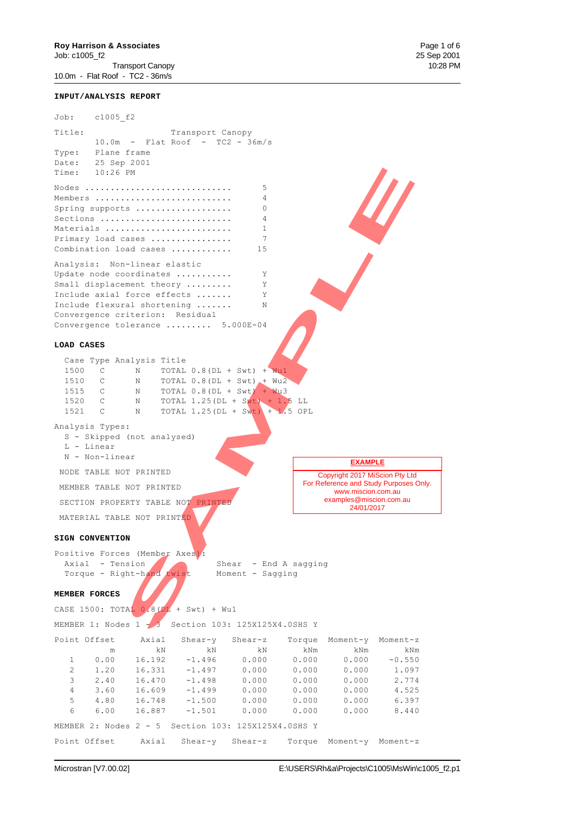Transport Canopy 10:28 PM 10.0m - Flat Roof - TC2 - 36m/s

**INPUT/ANALYSIS REPORT**

Job: c1005\_f2 Title: Transport Canopy 10.0m - Flat Roof - TC2 - 36m/s Type: Plane frame Date: 25 Sep 2001 Time: 10:26 PM Nodes ............................. 5 Members ........................... 4 Spring supports ................... 0 Sections .......................... 4 Materials ......................... 1 Primary load cases ................ 7 Combination load cases ............. 15 Analysis: Non-linear elastic Update node coordinates ........... Y Small displacement theory ......... Y Include axial force effects ....... Y Include flexural shortening ....... N Convergence criterion: Residual Convergence tolerance ......... 5.000E-04 **LOAD CASES** Case Type Analysis Title 1500 C N TOTAL 0.8(DL + Swt) + Wu1 1510 C N TOTAL 0.8(DL + Swt) + Wu2<br>1515 C N TOTAL 0.8(DL + Swt) + Wu3 1515 C N TOTAL 0.8(DL + Swt) + Wu3 1520 C N TOTAL  $1.25(DL + 5wt) + 1.5 LL$ <br>1521 C N TOTAL  $1.25(DL + 5wt) + 1.5$  OP 1521 C N TOTAL 1.25(DL + Swt) + 1.5 OPL Analysis Types: S - Skipped (not analysed) L - Linear N - Non-linear NODE TABLE NOT PRINTED MEMBER TABLE NOT PRINTED SECTION PROPERTY TABLE NOT PRINTED MATERIAL TABLE NOT PRINTED **SIGN CONVENTION** Positive Forces (Member Axes): Axial - Tension Shear - End A sagging Torque - Right-hand twist Moment - Sagging **MEMBER FORCES** CASE 1500: TOTAL  $0.8(DL + Swt) + Wu1$ MEMBER 1: Nodes 1 - 3 Section 103: 125X125X4.0SHS Y Point Offset Axial Shear-y Shear-z Torque Moment-y Moment-z m kN kN kN kNm kNm kNm 1 0.00 16.192 -1.496 0.000 0.000 0.000 -0.550 2 1.20 16.331 -1.497 0.000 0.000 0.000 1.097  $\begin{array}{cccccccc} 3 & 2.40 & 16.470 & -1.498 & 0.000 & 0.000 & 0.000 & 2.774 \\ 4 & 3.60 & 16.609 & -1.499 & 0.000 & 0.000 & 0.000 & 4.525 \end{array}$  4 3.60 16.609 -1.499 0.000 0.000 0.000 4.525 5 4.80 16.748 -1.500 0.000 0.000 0.000 6.397 6 6.00 16.887 -1.501 0.000 0.000 0.000 8.440 Copyright 2017 MiScion Pty Ltd For Reference and Study Purposes Only. www.miscion.com.au examples@miscion.com.au 24/01/2017 **EXAMPLE** FM<br>
SAM CREEK CONTROL CONTROL CONTROL CONTROL CONTROL CONTROL CONTROL CONTROL CONTROL CONTROL CONTROL CONTROL CONTROL CONTROL CONTROL CONTROL CONTROL CONTROL CONTROL CONTROL CONTROL CONTROL CONTROL CONTROL CONTROL CONTROL

MEMBER 2: Nodes 2 - 5 Section 103: 125X125X4.0SHS Y

Point Offset Axial Shear-y Shear-z Torque Moment-y Moment-z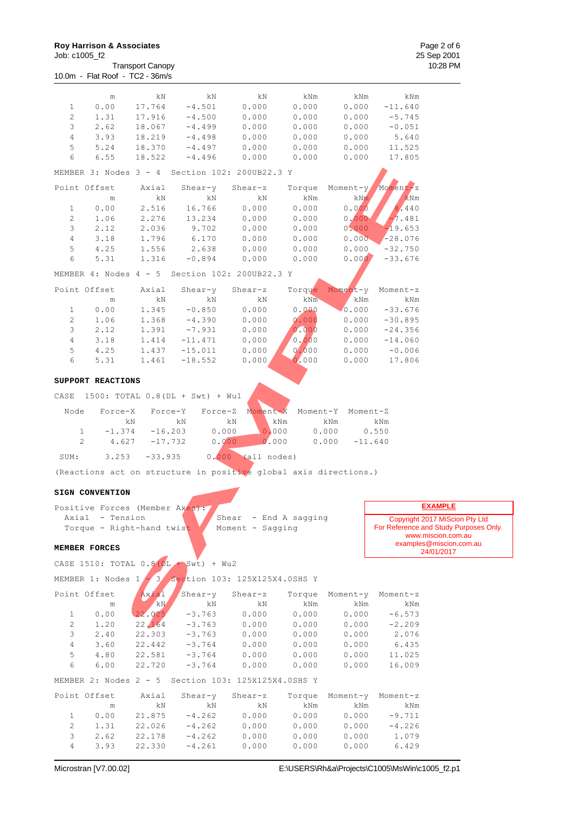www.miscion.com.au examples@miscion.com.au 24/01/2017

**EXAMPLE**

|                |                                 | <b>Transport Canopy</b> |           |                          |        |          |           |
|----------------|---------------------------------|-------------------------|-----------|--------------------------|--------|----------|-----------|
|                | 10.0m - Flat Roof - TC2 - 36m/s |                         |           |                          |        |          |           |
|                | m                               | kN                      | kN        | kN                       | kNm    | kNm      | kNm       |
| $\mathbf{1}$   | 0.00                            | 17.764                  | $-4.501$  | 0.000                    | 0.000  | 0.000    | $-11.640$ |
| $\overline{c}$ | 1.31                            | 17.916                  | $-4.500$  | 0.000                    | 0.000  | 0.000    | $-5.745$  |
| 3              | 2.62                            | 18.067                  | $-4.499$  | 0.000                    | 0.000  | 0.000    | $-0.051$  |
| $\overline{4}$ | 3.93                            | 18.219                  | $-4.498$  | 0.000                    | 0.000  | 0.000    | 5.640     |
| 5              | 5.24                            | 18.370                  | $-4.497$  | 0.000                    | 0.000  | 0.000    | 11.525    |
| 6              | 6.55                            | 18.522                  | $-4.496$  | 0.000                    | 0.000  | 0.000    | 17.805    |
|                | MEMBER 3: Nodes                 | $3 - 4$                 |           | Section 102: 200UB22.3 Y |        |          |           |
|                | Point Offset                    | Axial                   | $Shear-y$ | $Shear-z$                | Torque | Moment-y | Moment-z  |
|                | m                               | kΝ                      | kΝ        | kN                       | kNm    | kNm      | kNm       |
| $\mathbf{1}$   | 0.00                            | 2.516                   | 16.766    | 0.000                    | 0.000  | 0.000    | 440       |
| $\overline{c}$ | 1.06                            | 2.276                   | 13.234    | 0.000                    | 0.000  | 0.000    | 7.481     |
| 3              | 2.12                            | 2.036                   | 9.702     | 0.000                    | 0.000  | 0.000    | $-19.653$ |
| $\overline{4}$ | 3.18                            | 1.796                   | 6.170     | 0.000                    | 0.000  | 0.000    | $-28.076$ |

|                |                                |           |                                        | MEMBER 3: Nodes 3 - 4 Section 102: 200UB22.3 Y                   |          |                    |                                    |
|----------------|--------------------------------|-----------|----------------------------------------|------------------------------------------------------------------|----------|--------------------|------------------------------------|
|                | Point Offset                   | Axial     | Shear-y                                | Shear-z                                                          | Torque   |                    | Moment-y Moment-z                  |
|                | m                              | kN        | kN                                     | kN                                                               | kNm      | kNm                | kNm                                |
| $\mathbf{1}$   | 0.00                           | 2.516     | 16.766                                 | 0.000                                                            | 0.000    | 0.000              | 8.440                              |
| $\overline{2}$ | 1.06                           | 2.276     | 13.234                                 | 0.000                                                            | 0.000    | 0.000              | $-7.481$                           |
| 3              | 2.12                           | 2.036     | 9.702                                  | 0.000                                                            | 0.000    | 0.000              | $-19.653$                          |
| $\overline{4}$ | 3.18                           | 1.796     | 6.170                                  | 0.000                                                            | 0.000    | 0.000              | $-28.076$                          |
| 5              | 4.25                           | 1.556     | 2.638                                  | 0.000                                                            | 0.000    | 0.000              | $-32.750$                          |
| 6              | 5.31                           | 1.316     | $-0.894$                               | 0.000                                                            | 0.000    | 0.000              | $-33.676$                          |
|                | MEMBER 4: Nodes $4 - 5$        |           |                                        | Section 102: 200UB22.3 Y                                         |          |                    |                                    |
|                | Point Offset                   | Axial     | Shear-y                                | Shear-z                                                          | Torque   | Moment-y           | Moment-z                           |
|                | m                              | kN        | kN                                     | kN                                                               | kNm      | kNm                | kNm                                |
| $\mathbf{1}$   | 0.00                           | 1.345     | $-0.850$                               | 0.000                                                            | 0.000    | 0.000              | $-33.676$                          |
| $\overline{2}$ | 1.06                           | 1.368     | $-4.390$                               | 0.000                                                            | 0.000    | 0.000              | $-30.895$                          |
| 3              | 2.12                           | 1.391     | $-7.931$                               | 0.000                                                            | 0.000    | 0.000              | $-24.356$                          |
| $\overline{4}$ | 3.18                           | 1.414     | $-11.471$                              | 0.000                                                            | 0.000    | 0.000              | $-14.060$                          |
| 5              | 4.25                           | 1.437     | $-15.011$                              | 0.000                                                            | 0,000    | 0.000              | $-0.006$                           |
| 6              | 5.31                           | 1.461     | $-18.552$                              | 0.000                                                            | 0.000    | 0.000              | 17.806                             |
|                | SUPPORT REACTIONS              |           |                                        |                                                                  |          |                    |                                    |
| CASE           |                                |           | 1500: TOTAL 0.8(DL + Swt) + Wu1        |                                                                  |          |                    |                                    |
| Node           | Force-X                        | Force-Y   | Force-Z                                | Moment-X                                                         | Moment-Y | Moment-Z           |                                    |
|                |                                | kN        | kΝ                                     | kN                                                               | kNm      | kNm                | kNm                                |
|                | $-1.374$<br>1                  | $-16.203$ | 0.000                                  | 0.000                                                            |          | 0.000              | 0.550                              |
|                | $\overline{2}$<br>4.627        | $-17.732$ | 0.000                                  | 0.000                                                            |          | 0.000<br>$-11.640$ |                                    |
| SUM:           | 3.253                          | $-33.935$ |                                        | $0.000$ (all nodes)                                              |          |                    |                                    |
|                |                                |           |                                        | (Reactions act on structure in positive global axis directions.) |          |                    |                                    |
|                | SIGN CONVENTION                |           |                                        |                                                                  |          |                    |                                    |
|                | Positive Forces (Member Axes): |           |                                        |                                                                  |          |                    |                                    |
|                | Axial - Tension                |           |                                        | Shear - End A sagging                                            |          |                    | Copyright                          |
|                | Torque - Right-hand twist      |           |                                        | Moment - Sagging                                                 |          |                    | <b>For Reference</b><br><b>WWW</b> |
|                | MEMBER FORCES                  |           |                                        |                                                                  |          |                    | example                            |
|                |                                |           | CASE 1510: TOTAL $0.8(DL + Swt) + Wu2$ |                                                                  |          |                    |                                    |
|                |                                |           |                                        | MEMBER 1: Nodes $1/3$ Section 103: 125X125X4.0SHS Y              |          |                    |                                    |
|                | Point Offset                   | Axial     | $Shear-y$                              | Shear-z                                                          | Torque   |                    | Moment-y Moment-z                  |
|                | m                              | kN        | kN                                     | kN                                                               | kNm      | kNm                | kNm                                |
| $\mathbf{1}$   | 0.00                           | 22.025    | $-3.763$                               | 0.000                                                            | 0.000    | 0.000              | $-6.573$                           |
| $\overline{2}$ | 1.20                           | 22, 164   | $-3.763$                               | 0.000                                                            | 0.000    | 0.000              | $-2.209$                           |
|                |                                |           |                                        |                                                                  |          |                    |                                    |

|      | CASE 1500: TOTAL 0.8 (DL + Swt) + Wu1 |           |                                            |             |       |           |
|------|---------------------------------------|-----------|--------------------------------------------|-------------|-------|-----------|
| Node | Force-X                               |           | Force-Y Force-Z Moment-X Moment-Y Moment-Z |             |       |           |
|      | kN                                    | kN        | kN                                         | kNm         | kNm   | kNm       |
|      | $-1.374$                              | $-16.203$ | 0.000                                      | 0.000       | 0.000 | 0.550     |
|      | 4.627                                 | $-17.732$ | 0.000                                      | 0.000       | 0.000 | $-11.640$ |
| SUM: | 3.253                                 | $-33.935$ | 0.000                                      | (all nodes) |       |           |

#### **SIGN CONVENTION**

| Positive Forces (Member Axes): |                         | <b>EXAMPLE</b>                         |
|--------------------------------|-------------------------|----------------------------------------|
| - Tension<br>Axial             | / Shear - End A saqqinq | Copyright 2017 MiScion Pty Ltd         |
| Torque - Right-hand twist      | Moment - Saqqinq        | For Reference and Study Purposes Only. |

#### **MEMBER FORCES**

|                | Point Offset | Axial  | Shear-y                                             | Shear-z | Torque | Moment-y | Moment-z |
|----------------|--------------|--------|-----------------------------------------------------|---------|--------|----------|----------|
|                | m            | kN     | kN                                                  | kN      | kNm    | kNm      | kNm      |
| $\mathbf{1}$   | 0.00         | 22.025 | $-3.763$                                            | 0.000   | 0.000  | 0.000    | $-6.573$ |
| 2              | 1.20         | 22.164 | $-3.763$                                            | 0.000   | 0.000  | 0.000    | $-2.209$ |
| 3              | 2.40         | 22.303 | $-3.763$                                            | 0.000   | 0.000  | 0.000    | 2.076    |
| $\overline{4}$ | 3.60         | 22.442 | $-3.764$                                            | 0.000   | 0.000  | 0.000    | 6.435    |
| 5              | 4.80         | 22.581 | $-3.764$                                            | 0.000   | 0.000  | 0.000    | 11.025   |
| 6              | 6.00         | 22.720 | $-3.764$                                            | 0.000   | 0.000  | 0.000    | 16.009   |
|                |              |        | MEMBER 2: Nodes 2 - 5 Section 103: 125X125X4.0SHS Y |         |        |          |          |
|                | Point Offset | Axial  | Shear-y                                             | Shear-z | Torque | Moment-y | Moment-z |
|                | m            | kΝ     | kN                                                  | kΝ      | kNm    | kNm      | kNm      |
| $\mathbf{1}$   |              |        |                                                     |         |        |          |          |
|                | 0.00         | 21.875 | $-4.262$                                            | 0.000   | 0.000  | 0.000    | $-9.711$ |
| $\mathfrak{D}$ | 1.31         | 22.026 | $-4.262$                                            | 0.000   | 0.000  | 0.000    | $-4.226$ |
| 3              | 2.62         | 22.178 | $-4.262$                                            | 0.000   | 0.000  | 0.000    | 1.079    |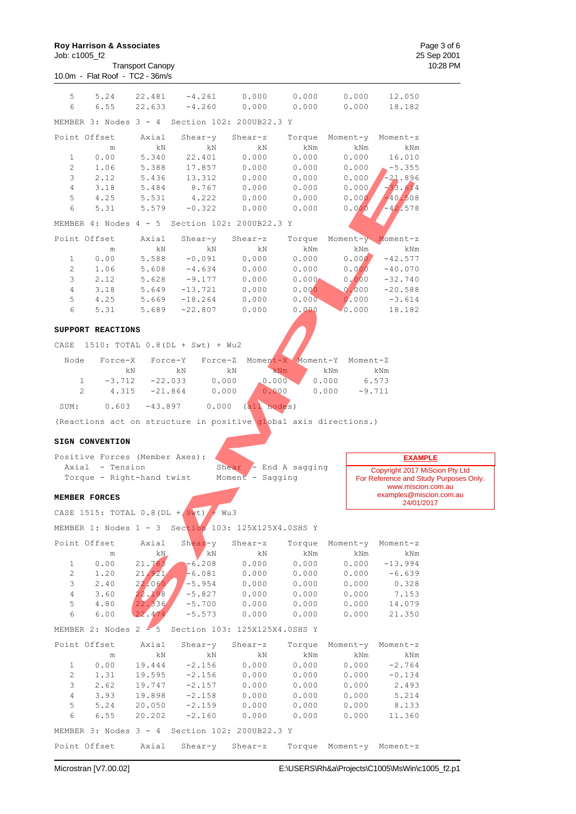Transport Canopy 10.0m - Flat Roof - TC2 - 36m/s

Copyright 2017 MiScion Pty Ltd For Reference and Study Purposes Only. www.miscion.com.au examples@miscion.com.au 24/01/2017

**EXAMPLE**

| 5              | 5.24              | 22.481                                 | $-4.261$                         | 0.000                                                            | 0.000             | 0.000             | 12.050                       |
|----------------|-------------------|----------------------------------------|----------------------------------|------------------------------------------------------------------|-------------------|-------------------|------------------------------|
| 6              | 6.55              | 22.633                                 | $-4.260$                         | 0.000                                                            | 0.000             | 0.000             | 18.182                       |
|                |                   | MEMBER 3: Nodes 3 - 4                  |                                  | Section 102: 200UB22.3 Y                                         |                   |                   |                              |
| Point Offset   |                   | Axial                                  | Shear-y                          | Shear-z                                                          | Torque            | Moment-y          | Moment-z                     |
|                | m                 | kΝ                                     | kN                               | kΝ                                                               | kNm               | kNm               | kNm                          |
| 1              | 0.00              | 5.340                                  | 22.401                           | 0.000                                                            | 0.000             | 0.000             | 16.010                       |
| $\overline{2}$ | 1.06              | 5.388                                  | 17.857                           | 0.000                                                            | 0.000             | 0.000             | $-5.355$                     |
| 3              | 2.12              | 5.436                                  | 13.312                           | 0.000                                                            | 0.000             | 0.000             | $-21.896$                    |
| $\overline{4}$ | 3.18              | 5.484                                  | 8.767                            | 0.000                                                            | 0.000             | 0.000/            | $-33.614$                    |
| 5              | 4.25              | 5.531                                  | 4.222                            | 0.000                                                            | 0.000             | 0.000             | $-40.508$                    |
| 6              | 5.31              | 5.579                                  | $-0.322$                         | 0.000                                                            | 0.000             | 0.000             | $-42.578$                    |
|                |                   | MEMBER 4: Nodes $4 - 5$                |                                  | Section 102: 200UB22.3 Y                                         |                   |                   |                              |
| Point Offset   |                   | Axial                                  | Shear-y                          | Shear-z                                                          | Torque            | Moment-y          | Moment-z                     |
|                | m                 | kΝ                                     | kN                               | kΝ                                                               | kNm               | kNm               | kNm                          |
| 1              | 0.00              | 5.588                                  | $-0.091$                         | 0.000                                                            | 0.000             | 0.000             | $-42.577$                    |
| 2              | 1.06              | 5.608                                  | $-4.634$                         | 0.000                                                            | 0.000             | 0.000             | $-40.070$                    |
| 3              | 2.12              | 5.628                                  | $-9.177$                         | 0.000                                                            | 0.000             | 0.000             | $-32.740$                    |
| $\overline{4}$ | 3.18              | 5.649                                  | $-13.721$                        | 0.000                                                            | 0.000             | 0.000             | $-20.588$                    |
| 5              | 4.25              | 5.669                                  | $-18.264$                        | 0.000                                                            | 0.000             | 0.000             | $-3.614$                     |
| 6              | 5.31              | 5.689                                  | $-22.807$                        | 0.000                                                            | 0.000             | 0.000             | 18.182                       |
|                |                   |                                        |                                  |                                                                  |                   |                   |                              |
|                | SUPPORT REACTIONS |                                        |                                  |                                                                  |                   |                   |                              |
| CASE           |                   |                                        | 1510: TOTAL 0.8 (DL + Swt) + Wu2 |                                                                  |                   |                   |                              |
| Node           | Force-X           | Force-Y                                | Force-Z                          |                                                                  | Moment-X Moment-Y | Moment-Z          |                              |
|                |                   | kN                                     | kΝ                               | kΝ                                                               | kNm               | kNm               | kNm                          |
| 1              | $-3.712$          | $-22.033$                              | 0.000                            | 0.000                                                            |                   | 0.000             | 6.573                        |
| $\overline{2}$ | 4.315             | $-21.864$                              | 0.000                            | 0.000                                                            |                   | 0.000<br>$-9.711$ |                              |
| SUM:           | 0.603             | $-43.897$                              | 0.000                            | (all nodes)                                                      |                   |                   |                              |
|                |                   |                                        |                                  | (Reactions act on structure in positive global axis directions.) |                   |                   |                              |
|                | SIGN CONVENTION   |                                        |                                  |                                                                  |                   |                   |                              |
|                |                   |                                        |                                  |                                                                  |                   |                   |                              |
|                |                   | Positive Forces (Member Axes):         |                                  |                                                                  |                   |                   | <b>EXAMP</b>                 |
|                | Axial - Tension   |                                        |                                  | Shear - End A sagging                                            |                   |                   | Copyright 2017 Mi            |
|                |                   | Torque - Right-hand twist              |                                  | Moment - Sagging                                                 |                   |                   | For Reference and Stu        |
|                |                   |                                        |                                  |                                                                  |                   |                   | www.miscion<br>examples@misc |
|                | MEMBER FORCES     |                                        |                                  |                                                                  |                   |                   | 24/01/20                     |
|                |                   | CASE 1515: TOTAL $0.8$ (DL + $Swt$ ) + |                                  | Wu3                                                              |                   |                   |                              |
|                |                   |                                        |                                  | MEMBER 1: Nodes 1 - 3 Section 103: 125X125X4.0SHS Y              |                   |                   |                              |
| Point Offset   |                   | Axial                                  | Shear-y                          | Shear-z                                                          | Torque            | Moment-y          | Moment-z                     |
|                | ${\rm m}$         | kN                                     | kN                               | kΝ                                                               | kNm               | kNm               | kNm                          |
| $\mathbf{1}$   | 0.00              | 21.783                                 | $-6.208$                         | 0.000                                                            | 0.000             | 0.000             | $-13.994$                    |
| 2              | 1.20              | 21.921                                 | 6.081                            | 0.000                                                            | 0.000             | 0.000             | $-6.639$                     |
| 3              | 2.40              | 22.060                                 | $-5.954$                         | 0.000                                                            | 0.000             | 0.000             | 0.328                        |
| $\overline{4}$ | 3.60              | 22,198                                 | $-5.827$                         | 0.000                                                            | 0.000             | 0.000             | 7.153                        |
| 5              | 4.80              | 22.336                                 | $-5.700$                         | 0.000                                                            | 0.000             | 0.000             | 14.079                       |
| 6              | 6.00              | 22.474                                 | $-5.573$                         | 0.000                                                            | 0.000             | 0.000             | 21.350                       |
|                |                   |                                        |                                  | MEMBER 2: Nodes 2 - 5 Section 103: 125X125X4.0SHS Y              |                   |                   |                              |
|                |                   |                                        |                                  |                                                                  |                   |                   |                              |

#### **SUPPORT REACTIONS**

| Node |    |       | Force-X Force-Y Force-Z Moment-X Moment-Y Moment-Z |             |     |
|------|----|-------|----------------------------------------------------|-------------|-----|
|      | kN | kN kN |                                                    | $kNm$ $kNm$ | kNm |
|      |    |       | $1 -3.712 -22.033$ 0.000 0.000 0.000 6.573         |             |     |
|      |    |       | 2 4.315 -21.864 0.000 0.000 0.000 -9.711           |             |     |
|      |    |       | SUM: 0.603 -43.897 0.000 (all nodes)               |             |     |

#### **SIGN CONVENTION**

#### **MEMBER FORCES**

|                | Point Offset Axial |        |                                                             | Shear-y Shear-z |       | Torque Moment-y Moment-z |            |
|----------------|--------------------|--------|-------------------------------------------------------------|-----------------|-------|--------------------------|------------|
|                | m                  | kN     | kN                                                          | kN              | kNm   |                          | kNm<br>kNm |
| $\mathbf{1}$   | 0.00               | 21.783 | $-6.208$                                                    | 0.000           | 0.000 | 0.000                    | $-13.994$  |
| $\overline{2}$ | 1.20               | 21.921 | $-6.081$                                                    | 0.000           | 0.000 | 0.000                    | $-6.639$   |
| 3              | 2.40               | 22.060 | $-5.954$                                                    | 0.000           | 0.000 | 0.000                    | 0.328      |
| $\overline{4}$ | 3.60               | 22.198 | $-5.827$                                                    | 0.000           | 0.000 | 0.000                    | 7.153      |
| 5              | 4.80               | 22.336 | $-5.700$                                                    | 0.000           |       | 0.000 0.000              | 14.079     |
| 6              | 6.00               | 22.474 | $-5.573$                                                    | 0.000           |       | 0.000000000              | 21.350     |
|                |                    |        | MEMBER 2: Nodes $2 - 5$ Section 103: 125X125X4.0SHS Y       |                 |       |                          |            |
|                | Point Offset Axial |        |                                                             | Shear-y Shear-z |       | Torque Moment-y          | Moment-z   |
|                | m                  | kN     | kN kN                                                       |                 | kNm   | kNm                      | kNm        |
| $\mathbf{1}$   | 0.00               |        | $19.444 - 2.156$                                            | 0.000           |       | 0.0000000000             | $-2.764$   |
| $\mathfrak{D}$ | 1.31               | 19.595 | $-2.156$                                                    | 0.000           | 0.000 | 0.000                    | $-0.134$   |
| 3              | 2.62               | 19.747 | $-2.157$                                                    | 0.000           | 0.000 | 0.000                    | 2.493      |
| $\overline{4}$ | 3.93               | 19.898 | $-2.158$                                                    | 0.000           | 0.000 | 0.000                    | 5.214      |
| 5              | 5.24               | 20.050 | $-2.159$                                                    | 0.000           |       | $0.000$ $0.000$ $8.133$  |            |
| 6              | 6.55               | 20.202 | $-2.160$                                                    | 0.000           | 0.000 | 0.000                    | 11.360     |
|                |                    |        | MEMBER 3: Nodes $3 - 4$ Section 102: 200UB22.3 Y            |                 |       |                          |            |
|                |                    |        | Point Offset Axial Shear-y Shear-z Torque Moment-y Moment-z |                 |       |                          |            |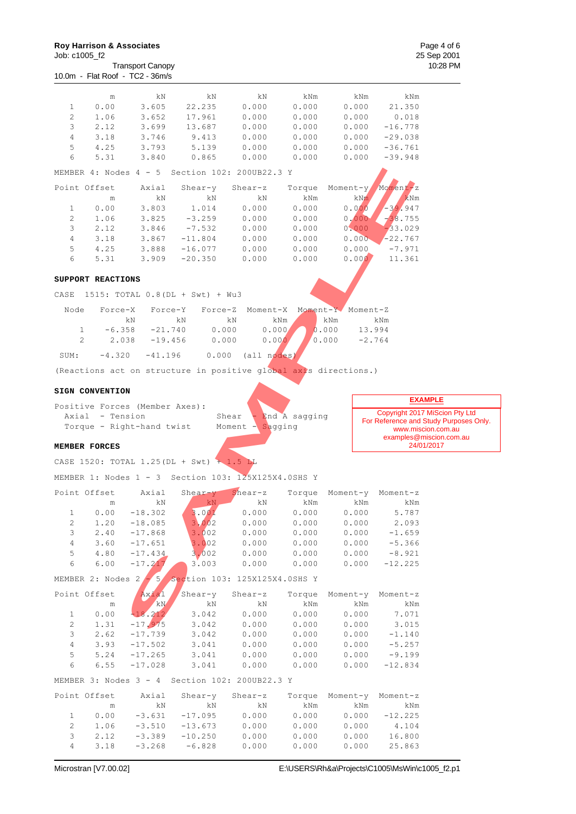10.0m - Flat Roof - TC2 - 36m/s

Transport Canopy

|                                | m                         | kΝ                             | kΝ                                                               | kΝ                  | kNm            | kNm                    | kNm                            |                                        |
|--------------------------------|---------------------------|--------------------------------|------------------------------------------------------------------|---------------------|----------------|------------------------|--------------------------------|----------------------------------------|
| 1                              | 0.00                      | 3.605                          | 22.235                                                           | 0.000               | 0.000          | 0.000                  | 21.350                         |                                        |
| $\overline{c}$                 | 1.06                      | 3.652                          | 17.961                                                           | 0.000               | 0.000          | 0.000                  | 0.018                          |                                        |
| 3                              | 2.12                      | 3.699                          | 13.687                                                           | 0.000               | 0.000          | 0.000                  | $-16.778$                      |                                        |
| 4                              | 3.18                      | 3.746                          | 9.413                                                            | 0.000               | 0.000          | 0.000                  | $-29.038$                      |                                        |
| 5<br>6                         | 4.25<br>5.31              | 3.793<br>3.840                 | 5.139<br>0.865                                                   | 0.000<br>0.000      | 0.000<br>0.000 | 0.000<br>0.000         | $-36.761$<br>$-39.948$         |                                        |
|                                |                           |                                |                                                                  |                     |                |                        |                                |                                        |
|                                | MEMBER $4:$ Nodes $4 - 5$ |                                | Section 102: 200UB22.3 Y                                         |                     |                |                        |                                |                                        |
| Point Offset                   |                           | Axial                          | $Shear-y$                                                        | Shear-z             | Torque         | Moment-y               | Moment-z                       |                                        |
|                                | m                         | kN                             | kΝ                                                               | kΝ                  | kNm            | kNm                    | kNm                            |                                        |
| 1                              | 0.00                      | 3.803                          | 1.014                                                            | 0.000               | 0.000          | 0.000                  | $-39.947$                      |                                        |
| $\overline{c}$                 | 1.06                      | 3.825                          | $-3.259$                                                         | 0.000               | 0.000          | 0.000                  | $-38.755$                      |                                        |
| 3                              | 2.12                      | 3.846                          | $-7.532$                                                         | 0.000               | 0.000          | 0.000                  | $-33.029$                      |                                        |
| $\overline{4}$<br>5            | 3.18<br>4.25              | 3.867                          | $-11.804$<br>$-16.077$                                           | 0.000<br>0.000      | 0.000          | 0.000<br>0.000         | $-22.767$<br>$-7.971$          |                                        |
| 6                              | 5.31                      | 3.888<br>3.909                 | $-20.350$                                                        | 0.000               | 0.000<br>0.000 | 0.000                  | 11.361                         |                                        |
|                                |                           |                                |                                                                  |                     |                |                        |                                |                                        |
|                                | SUPPORT REACTIONS         |                                |                                                                  |                     |                |                        |                                |                                        |
| CASE                           |                           |                                | 1515: TOTAL 0.8 (DL + Swt) + Wu3                                 |                     |                |                        |                                |                                        |
|                                |                           |                                |                                                                  |                     |                |                        |                                |                                        |
| Node                           | Force-X                   | Force-Y                        | Force-Z                                                          | Moment-X            | Moment-Y       | Moment-Z               |                                |                                        |
|                                |                           | kΝ                             | kΝ                                                               | kΝ                  | kNm            | kNm                    | kNm                            |                                        |
| $\mathbf{1}$<br>$\overline{c}$ | $-6.358$<br>2.038         | $-21.740$                      | 0.000                                                            | 0.000               |                | 0.000<br>0.000         | 13.994<br>$-2.764$             |                                        |
|                                |                           | $-19.456$                      | 0.000                                                            | 0.000'              |                |                        |                                |                                        |
| SUM:                           | $-4.320$                  | $-41.196$                      | 0.000                                                            | (all nodes)         |                |                        |                                |                                        |
|                                |                           |                                | (Reactions act on structure in positive global axis directions.) |                     |                |                        |                                |                                        |
|                                |                           |                                |                                                                  |                     |                |                        |                                |                                        |
|                                | SIGN CONVENTION           |                                |                                                                  |                     |                |                        |                                |                                        |
|                                |                           | Positive Forces (Member Axes): |                                                                  |                     |                |                        | <b>EXAMPLE</b>                 |                                        |
|                                |                           |                                |                                                                  |                     |                |                        |                                |                                        |
|                                | Axial - Tension           |                                |                                                                  | Shear               | End A sagging  |                        | Copyright 2017 MiScion Pty Ltd |                                        |
|                                |                           | Torque - Right-hand twist      |                                                                  | · Sagging<br>Moment |                |                        | www.miscion.com.au             | For Reference and Study Purposes Only. |
|                                |                           |                                |                                                                  |                     |                |                        | examples@miscion.com.au        |                                        |
| MEMBER FORCES                  |                           |                                |                                                                  |                     |                |                        | 24/01/2017                     |                                        |
|                                |                           |                                | CASE 1520: TOTAL 1.25 (DL + Swt) + 1.5 LL                        |                     |                |                        |                                |                                        |
|                                |                           |                                | MEMBER 1: Nodes $1 - 3$ Section 103: $125X125X4.0SHS Y$          |                     |                |                        |                                |                                        |
|                                |                           |                                |                                                                  |                     |                |                        |                                |                                        |
| Point Offset                   |                           | Axial                          | Shear-y                                                          | $Shear-z$           |                | Torque Moment-y        | Moment-z                       |                                        |
|                                | m                         | kΝ                             | kN                                                               | kΝ                  | kNm            | kNm                    | kNm                            |                                        |
| 1<br>2                         | 0.00                      | $-18.302$                      | 3.001                                                            | 0.000               | 0.000          | 0.000                  | 5.787                          |                                        |
| 3                              | $1\,.\,2\,0$<br>2.40      | $-18.085$<br>$-17.868$         | 3.002<br>3.002                                                   | 0.000<br>0.000      | 0.000<br>0.000 | 0.000<br>0.000         | 2.093<br>$-1.659$              |                                        |
| 4                              | 3.60                      | $-17.651$                      | 3.002                                                            | 0.000               | 0.000          | 0.000                  | $-5.366$                       |                                        |
| 5                              | 4.80                      | $-17.434$                      | 3.002                                                            | 0.000               | 0.000          | 0.000                  | $-8.921$                       |                                        |
| 6                              | 6.00                      | $-17.217$                      | 3.003                                                            | 0.000               | 0.000          | 0.000                  | $-12.225$                      |                                        |
|                                |                           |                                | MEMBER 2: Nodes 2 - 5 Section 103: 125X125X4.0SHS Y              |                     |                |                        |                                |                                        |
|                                |                           |                                |                                                                  |                     |                |                        |                                |                                        |
| Point Offset                   |                           | Axial                          | Shear-y                                                          | Shear-z             |                | Torque Moment-y        | Moment-z                       |                                        |
| 1                              | ${\rm m}$<br>0.00         | kN                             | kN<br>3.042                                                      | kN<br>0.000         | kNm<br>0.000   | kNm<br>0.000           | kNm<br>7.071                   |                                        |
| 2                              | 1.31                      | $-18.212$<br>$-17.975$         | 3.042                                                            | 0.000               | 0.000          | 0.000                  | 3.015                          |                                        |
| 3                              | 2.62                      | $-17.739$                      | 3.042                                                            | 0.000               | 0.000          | 0.000                  | $-1.140$                       |                                        |
| $\overline{4}$                 | 3.93                      | $-17.502$                      | 3.041                                                            | 0.000               | 0.000          | 0.000                  | $-5.257$                       |                                        |
| 5                              | 5.24                      | $-17.265$                      | 3.041                                                            | 0.000               | 0.000          | 0.000                  | $-9.199$                       |                                        |
| 6                              | 6.55                      | $-17.028$                      | 3.041                                                            | 0.000               | 0.000          | 0.000                  | $-12.834$                      |                                        |
|                                |                           |                                | MEMBER 3: Nodes 3 - 4 Section 102: 200UB22.3 Y                   |                     |                |                        |                                |                                        |
|                                |                           |                                |                                                                  |                     |                |                        |                                |                                        |
| Point Offset                   | m                         | Axial<br>kN                    | Shear-y<br>kN                                                    | Shear-z<br>kN       | kNm            | Torque Moment-y<br>kNm | Moment-z<br>kNm                |                                        |
| 1                              | 0.00                      | $-3.631$                       | $-17.095$                                                        | 0.000               | 0.000          | 0.000                  | $-12.225$                      |                                        |
| $\mathbf{2}$<br>3              | 1.06                      | $-3.510$<br>$-3.389$           | $-13.673$<br>$-10.250$                                           | 0.000<br>0.000      | 0.000<br>0.000 | 0.000<br>0.000         | 4.104<br>16.800                |                                        |

4 3.18 -3.268 -6.828 0.000 0.000 0.000 25.863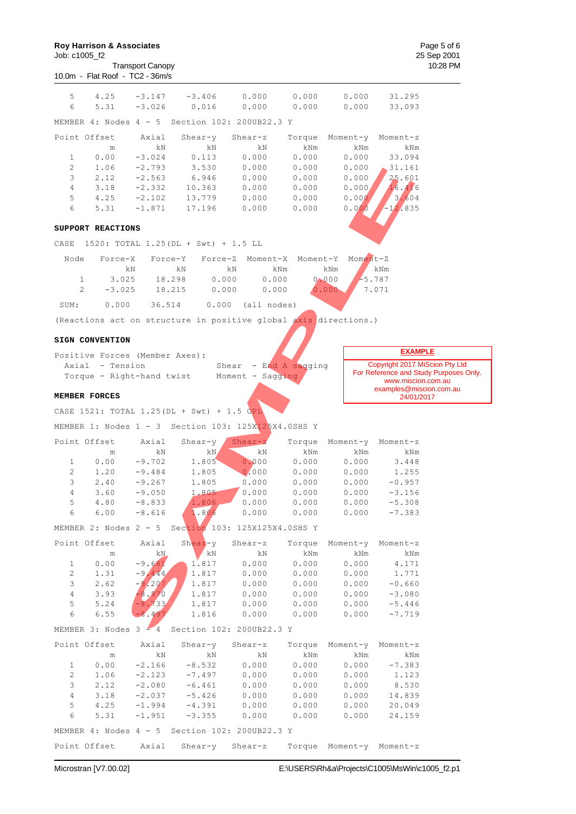| Job: c1005 f2       | <b>Roy Harrison &amp; Associates</b> | <b>Transport Canopy</b> |                                                                  |                  |                 |                          |                                       | Page 5 of 6<br>25 Sep 2001<br>10:28 PM |
|---------------------|--------------------------------------|-------------------------|------------------------------------------------------------------|------------------|-----------------|--------------------------|---------------------------------------|----------------------------------------|
|                     | 10.0m - Flat Roof - TC2 - 36m/s      |                         |                                                                  |                  |                 |                          |                                       |                                        |
| 5                   | 4.25                                 | $-3.147$                | $-3.406$                                                         | 0.000            | 0.000           | 0.000                    | 31.295                                |                                        |
| 6                   | 5.31                                 | $-3.026$                | 0.016                                                            | 0.000            | 0.000           | 0.000                    | 33.093                                |                                        |
|                     | MEMBER $4:$ Nodes $4 - 5$            |                         | Section 102: 200UB22.3 Y                                         |                  |                 |                          |                                       |                                        |
| Point Offset        |                                      | Axial                   | $Shear-y$                                                        | $Shear-z$        | Torque          | Moment-y                 | Moment-z                              |                                        |
|                     | $\mathop{\text{m}}$                  | kΝ                      | kΝ                                                               | kΝ               | kNm             | kNm                      | kNm                                   |                                        |
| 1<br>2              | 0.00<br>1.06                         | $-3.024$<br>$-2.793$    | 0.113<br>3.530                                                   | 0.000<br>0.000   | 0.000<br>0.000  | 0.000<br>0.000           | 33.094<br>31.161                      |                                        |
| 3                   | 2.12                                 | $-2.563$                | 6.946                                                            | 0.000            | 0.000           | 0.000                    | 25.601                                |                                        |
| $\overline{4}$      | 3.18                                 | $-2.332$                | 10.363                                                           | 0.000            | 0.000           | 0.000/                   | 16.416                                |                                        |
| 5                   | 4.25                                 | $-2.102$                | 13.779                                                           | 0.000            | 0.000           | 0.000                    | 3.604                                 |                                        |
| 6                   | 5.31                                 | $-1.871$                | 17.196                                                           | 0.000            | 0.000           | 0.000                    | $-12.835$                             |                                        |
|                     | SUPPORT REACTIONS                    |                         |                                                                  |                  |                 |                          |                                       |                                        |
| CASE                |                                      |                         | 1520: TOTAL 1.25 (DL + Swt) + 1.5 LL                             |                  |                 |                          |                                       |                                        |
| Node                | Force-X                              | Force-Y                 | Force-Z                                                          | Moment-X         | Moment-Y        | $M$ oment-Z              |                                       |                                        |
|                     | kΝ                                   |                         | kΝ                                                               | kNm<br>kΝ        |                 | kNm                      | kNm                                   |                                        |
| 1<br>2              | 3.025<br>$-3.025$                    |                         | 18.298<br>0.000<br>18.215<br>0.000                               | 0.000<br>0.000   |                 | 0.000<br>0.000           | $-5.787$<br>7.071                     |                                        |
|                     |                                      |                         |                                                                  |                  |                 |                          |                                       |                                        |
| SUM:                | 0.000                                | 36.514                  | 0.000                                                            | (all nodes)      |                 |                          |                                       |                                        |
|                     |                                      |                         | (Reactions act on structure in positive global axis directions.) |                  |                 |                          |                                       |                                        |
|                     | SIGN CONVENTION                      |                         |                                                                  |                  |                 |                          |                                       |                                        |
|                     | Positive Forces (Member Axes):       |                         |                                                                  |                  |                 |                          | <b>EXAMPLE</b>                        |                                        |
|                     | Axial - Tension                      |                         |                                                                  | Shear            | - End A sagging |                          | Copyright 2017 MiScion Pty Ltd        |                                        |
|                     | Torque - Right-hand twist            |                         |                                                                  | Moment - Sagging |                 |                          | www.miscion.com.au                    | For Reference and Study Purposes Only. |
|                     | MEMBER FORCES                        |                         |                                                                  |                  |                 |                          | examples@miscion.com.au<br>24/01/2017 |                                        |
|                     |                                      |                         | CASE 1521: TOTAL 1.25 (DL + Swt) + 1.5 OPL                       |                  |                 |                          |                                       |                                        |
|                     |                                      |                         | MEMBER 1: Nodes 1 - 3 Section 103: 125X125X4.0SHS Y              |                  |                 |                          |                                       |                                        |
|                     |                                      |                         |                                                                  |                  |                 |                          |                                       |                                        |
| Point Offset        | m                                    | Axial<br>kΝ             | Shear-y<br>kN                                                    | $Shear-z$<br>kΝ  | Torque<br>kNm   | Moment-y<br>kNm          | Moment-z<br>kNm                       |                                        |
| 1                   | 0.00                                 | $-9.702$                | 1.805                                                            | 0.000            | 0.000           | 0.000                    | 3.448                                 |                                        |
| $\mathbf{2}$        | 1.20                                 | $-9.484$                | 1.805                                                            | 0.000            | 0.000           | 0.000                    | 1.255                                 |                                        |
| 3                   | 2.40                                 | $-9.267$                | 1.805                                                            | 0.000            | 0.000           | 0.000                    | $-0.957$                              |                                        |
| 4                   | 3.60                                 | $-9.050$                | 1.805                                                            | 0.000            | 0.000           | 0.000                    | $-3.156$                              |                                        |
| 5<br>6              | 4.80<br>6.00                         | $-8.833$<br>$-8.616$    | 1.806<br>1.806                                                   | 0.000<br>0.000   | 0.000<br>0.000  | 0.000<br>0.000           | $-5.308$<br>$-7.383$                  |                                        |
|                     |                                      |                         |                                                                  |                  |                 |                          |                                       |                                        |
|                     |                                      |                         | MEMBER 2: Nodes 2 - 5 Section 103: 125X125X4.0SHS Y              |                  |                 |                          |                                       |                                        |
| Point Offset        |                                      | Axial<br>kN             | Shear-y Shear-z<br>kN                                            | kN               | Torque<br>kNm   | Moment-y Moment-z<br>kNm |                                       |                                        |
| 1                   | m<br>0.00                            | $-9.681$                | 1.817                                                            | 0.000            | 0.000           | 0.000                    | kNm<br>4.171                          |                                        |
| 2                   | 1.31                                 | $-9.444$                | 1.817                                                            | 0.000            | 0.000           | 0.000                    | 1.771                                 |                                        |
| 3                   | 2.62                                 | $-9.207$                | 1.817                                                            | 0.000            | 0.000           | 0.000                    | $-0.660$                              |                                        |
| 4                   | 3.93                                 | $-8,970$                | 1.817                                                            | 0.000            | 0.000           | 0.000                    | $-3.080$                              |                                        |
| 5                   | 5.24                                 | $-8.733$                | 1.817                                                            | 0.000            | 0.000           | 0.000                    | $-5.446$                              |                                        |
| 6                   | 6.55                                 | $-8.497$                | 1.816                                                            | 0.000            | 0.000           | 0.000                    | $-7.719$                              |                                        |
|                     |                                      |                         | MEMBER 3: Nodes 3 - 4 Section 102: 200UB22.3 Y                   |                  |                 |                          |                                       |                                        |
| Point Offset        |                                      | Axial                   | Shear-y                                                          | Shear-z          |                 | Torque Moment-y Moment-z |                                       |                                        |
|                     | m                                    | kN                      | kN                                                               | kN               | kNm             | kNm                      | kNm                                   |                                        |
| 1<br>$\overline{c}$ | 0.00<br>1.06                         | $-2.166$<br>$-2.123$    | $-8.532$<br>$-7.497$                                             | 0.000<br>0.000   | 0.000<br>0.000  | 0.000<br>0.000           | $-7.383$<br>1.123                     |                                        |
| $\mathsf 3$         | 2.12                                 | $-2.080$                | $-6.461$                                                         | 0.000            | 0.000           | 0.000                    | 8.530                                 |                                        |
| $\sqrt{4}$          | 3.18                                 | $-2.037$                | $-5.426$                                                         | 0.000            | 0.000           | 0.000                    | 14.839                                |                                        |
| 5                   |                                      |                         |                                                                  | 0.000            |                 | 0.000                    | 20.049                                |                                        |
|                     | 4.25                                 | $-1.994$                | $-4.391$                                                         |                  | 0.000           |                          |                                       |                                        |
| 6                   | 5.31                                 | $-1.951$                | $-3.355$                                                         | 0.000            | 0.000           | 0.000                    | 24.159                                |                                        |